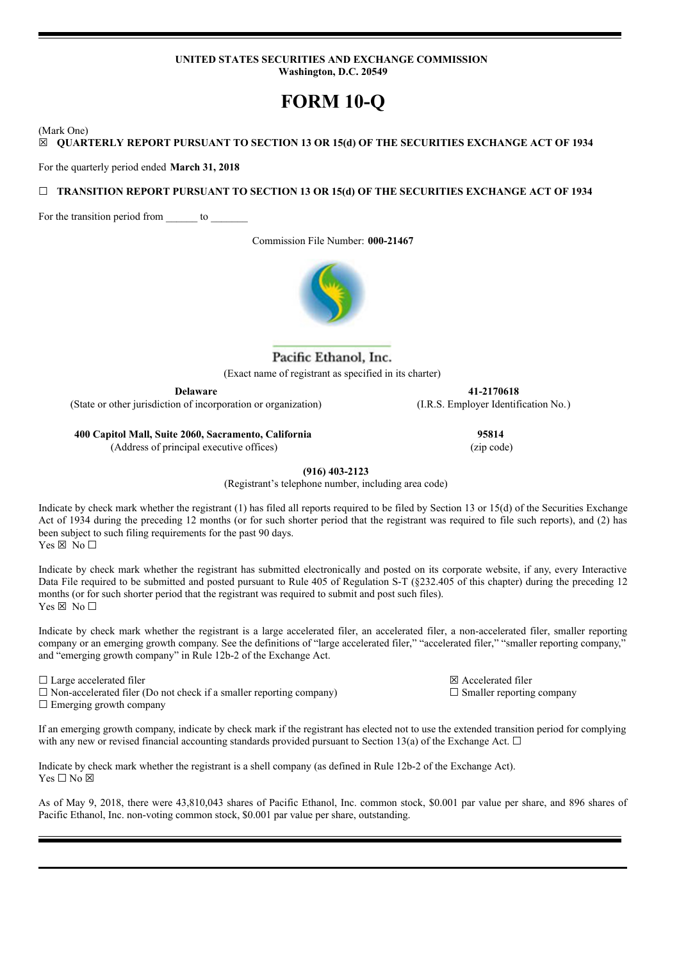## **UNITED STATES SECURITIES AND EXCHANGE COMMISSION Washington, D.C. 20549**

# **FORM 10-Q**

(Mark One)

☒ **QUARTERLY REPORT PURSUANT TO SECTION 13 OR 15(d) OF THE SECURITIES EXCHANGE ACT OF 1934**

For the quarterly period ended **March 31, 2018**

## ☐ **TRANSITION REPORT PURSUANT TO SECTION 13 OR 15(d) OF THE SECURITIES EXCHANGE ACT OF 1934**

For the transition period from \_\_\_\_\_\_ to \_\_\_\_\_\_\_

Commission File Number: **000-21467**



# Pacific Ethanol, Inc.

(Exact name of registrant as specified in its charter)

**Delaware**

(State or other jurisdiction of incorporation or organization)

## **400 Capitol Mall, Suite 2060, Sacramento, California**

(Address of principal executive offices)

**(916) 403-2123**

(Registrant's telephone number, including area code)

Indicate by check mark whether the registrant (1) has filed all reports required to be filed by Section 13 or 15(d) of the Securities Exchange Act of 1934 during the preceding 12 months (or for such shorter period that the registrant was required to file such reports), and (2) has been subject to such filing requirements for the past 90 days.  $Yes \boxtimes No \square$ 

Indicate by check mark whether the registrant has submitted electronically and posted on its corporate website, if any, every Interactive Data File required to be submitted and posted pursuant to Rule 405 of Regulation S-T (§232.405 of this chapter) during the preceding 12 months (or for such shorter period that the registrant was required to submit and post such files). Yes ⊠ No □

Indicate by check mark whether the registrant is a large accelerated filer, an accelerated filer, a non-accelerated filer, smaller reporting company or an emerging growth company. See the definitions of "large accelerated filer," "accelerated filer," "smaller reporting company," and "emerging growth company" in Rule 12b-2 of the Exchange Act.

☐ Large accelerated filer ☒ Accelerated filer

 $\Box$  Non-accelerated filer (Do not check if a smaller reporting company)  $\Box$  Smaller reporting company □ Emerging growth company

If an emerging growth company, indicate by check mark if the registrant has elected not to use the extended transition period for complying with any new or revised financial accounting standards provided pursuant to Section 13(a) of the Exchange Act.  $\Box$ 

Indicate by check mark whether the registrant is a shell company (as defined in Rule 12b-2 of the Exchange Act). Yes □ No ⊠

As of May 9, 2018, there were 43,810,043 shares of Pacific Ethanol, Inc. common stock, \$0.001 par value per share, and 896 shares of Pacific Ethanol, Inc. non-voting common stock, \$0.001 par value per share, outstanding.

**41-2170618** (I.R.S. Employer Identification No.)

> **95814** (zip code)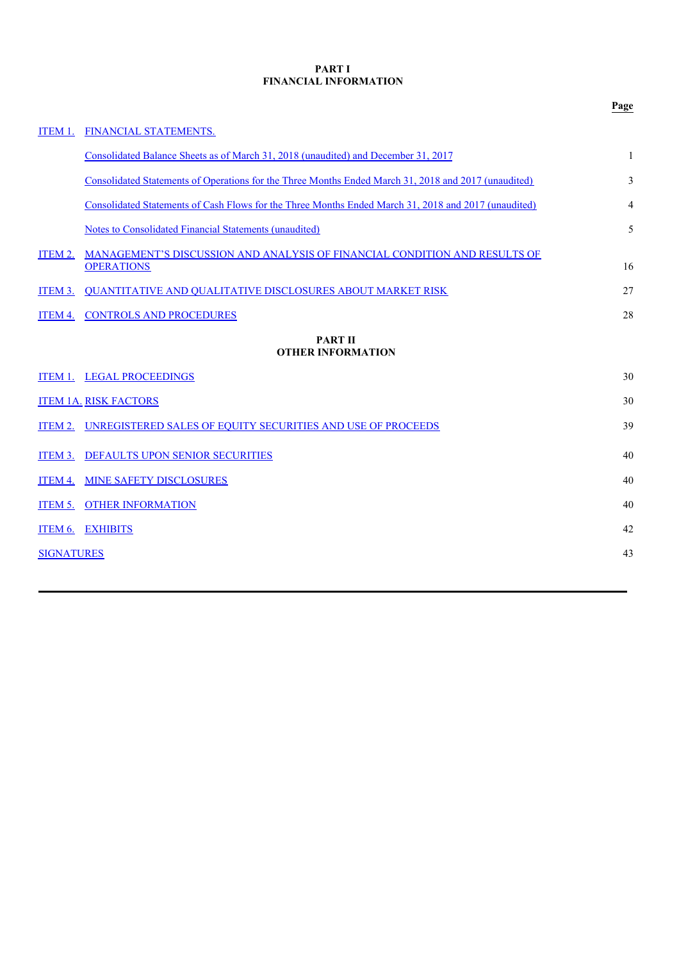# **PART I FINANCIAL INFORMATION**

|                   |                                                                                                      | Page |
|-------------------|------------------------------------------------------------------------------------------------------|------|
| ITEM 1.           | FINANCIAL STATEMENTS.                                                                                |      |
|                   | Consolidated Balance Sheets as of March 31, 2018 (unaudited) and December 31, 2017                   | 1    |
|                   | Consolidated Statements of Operations for the Three Months Ended March 31, 2018 and 2017 (unaudited) | 3    |
|                   | Consolidated Statements of Cash Flows for the Three Months Ended March 31, 2018 and 2017 (unaudited) | 4    |
|                   | Notes to Consolidated Financial Statements (unaudited)                                               | 5    |
| ITEM 2.           | MANAGEMENT'S DISCUSSION AND ANALYSIS OF FINANCIAL CONDITION AND RESULTS OF<br><b>OPERATIONS</b>      | 16   |
| ITEM 3.           | <b>OUANTITATIVE AND OUALITATIVE DISCLOSURES ABOUT MARKET RISK</b>                                    | 27   |
| ITEM 4.           | <b>CONTROLS AND PROCEDURES</b>                                                                       | 28   |
|                   | <b>PART II</b><br><b>OTHER INFORMATION</b>                                                           |      |
|                   | ITEM 1. LEGAL PROCEEDINGS                                                                            | 30   |
|                   | <b>ITEM 1A. RISK FACTORS</b>                                                                         | 30   |
| ITEM 2.           | UNREGISTERED SALES OF EQUITY SECURITIES AND USE OF PROCEEDS                                          | 39   |
| ITEM 3.           | DEFAULTS UPON SENIOR SECURITIES                                                                      | 40   |
| ITEM 4.           | <b>MINE SAFETY DISCLOSURES</b>                                                                       | 40   |
| ITEM 5.           | <b>OTHER INFORMATION</b>                                                                             | 40   |
| ITEM 6.           | <b>EXHIBITS</b>                                                                                      | 42   |
| <b>SIGNATURES</b> |                                                                                                      | 43   |
|                   |                                                                                                      |      |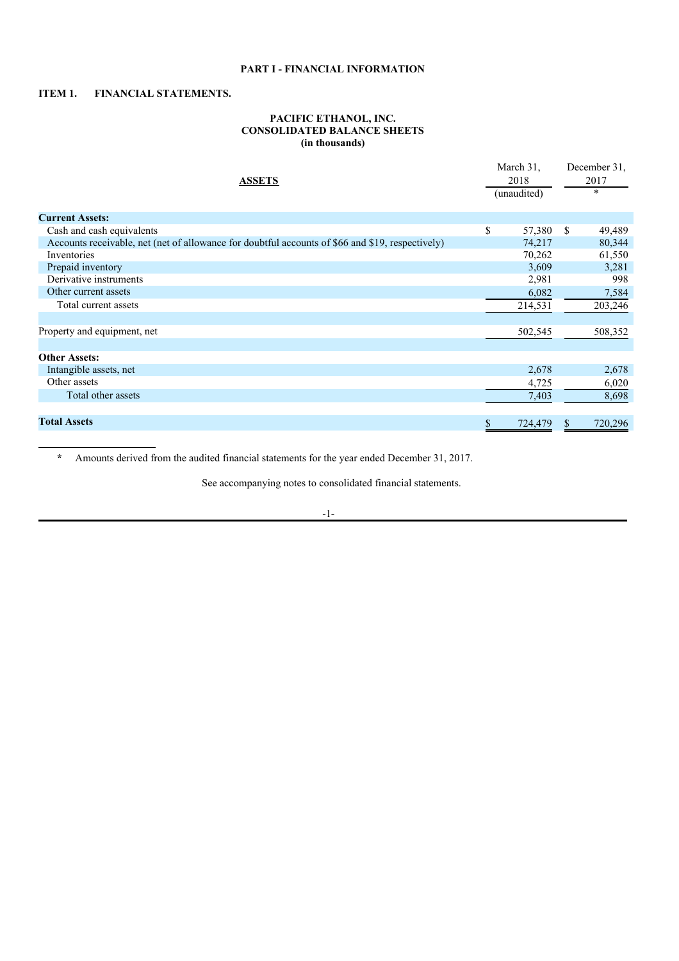# **PART I - FINANCIAL INFORMATION**

# **ITEM 1. FINANCIAL STATEMENTS.**

## **PACIFIC ETHANOL, INC. CONSOLIDATED BALANCE SHEETS (in thousands)**

| <b>ASSETS</b>                                                                                    |    | March 31,<br>2018 |    | December 31,<br>2017 |
|--------------------------------------------------------------------------------------------------|----|-------------------|----|----------------------|
|                                                                                                  |    | (unaudited)       |    | *                    |
| <b>Current Assets:</b>                                                                           |    |                   |    |                      |
| Cash and cash equivalents                                                                        | \$ | 57,380            | -S | 49,489               |
| Accounts receivable, net (net of allowance for doubtful accounts of \$66 and \$19, respectively) |    | 74,217            |    | 80,344               |
| Inventories                                                                                      |    | 70,262            |    | 61,550               |
| Prepaid inventory                                                                                |    | 3,609             |    | 3,281                |
| Derivative instruments                                                                           |    | 2,981             |    | 998                  |
| Other current assets                                                                             |    | 6,082             |    | 7,584                |
| Total current assets                                                                             |    | 214,531           |    | 203,246              |
|                                                                                                  |    |                   |    |                      |
| Property and equipment, net                                                                      |    | 502,545           |    | 508,352              |
|                                                                                                  |    |                   |    |                      |
| <b>Other Assets:</b>                                                                             |    |                   |    |                      |
| Intangible assets, net                                                                           |    | 2,678             |    | 2,678                |
| Other assets                                                                                     |    | 4,725             |    | 6,020                |
| Total other assets                                                                               |    | 7,403             |    | 8,698                |
|                                                                                                  |    |                   |    |                      |
| <b>Total Assets</b>                                                                              | \$ | 724,479           |    | 720,296              |
|                                                                                                  |    |                   |    |                      |

**\*** Amounts derived from the audited financial statements for the year ended December 31, 2017.

See accompanying notes to consolidated financial statements.

$$
-1-
$$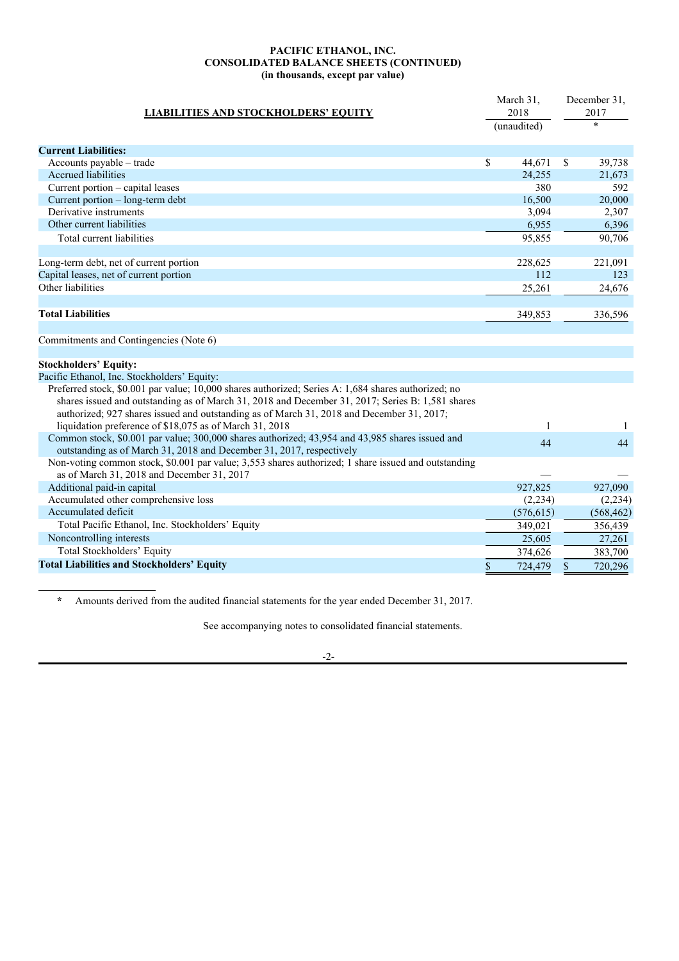## **PACIFIC ETHANOL, INC. CONSOLIDATED BALANCE SHEETS (CONTINUED) (in thousands, except par value)**

| <b>LIABILITIES AND STOCKHOLDERS' EQUITY</b>                                                                                                                                                                                                                                                          |    | March 31,<br>2018 |    | December 31,<br>2017 |  |
|------------------------------------------------------------------------------------------------------------------------------------------------------------------------------------------------------------------------------------------------------------------------------------------------------|----|-------------------|----|----------------------|--|
|                                                                                                                                                                                                                                                                                                      |    | (unaudited)       |    | $\ast$               |  |
| <b>Current Liabilities:</b>                                                                                                                                                                                                                                                                          |    |                   |    |                      |  |
| Accounts payable – trade                                                                                                                                                                                                                                                                             | \$ | 44,671            | S  | 39,738               |  |
| <b>Accrued liabilities</b>                                                                                                                                                                                                                                                                           |    | 24,255            |    | 21,673               |  |
| Current portion - capital leases                                                                                                                                                                                                                                                                     |    | 380               |    | 592                  |  |
| Current portion - long-term debt                                                                                                                                                                                                                                                                     |    | 16,500            |    | 20,000               |  |
| Derivative instruments                                                                                                                                                                                                                                                                               |    | 3,094             |    | 2,307                |  |
| Other current liabilities                                                                                                                                                                                                                                                                            |    | 6,955             |    | 6,396                |  |
| Total current liabilities                                                                                                                                                                                                                                                                            |    | 95,855            |    | 90,706               |  |
| Long-term debt, net of current portion                                                                                                                                                                                                                                                               |    | 228,625           |    | 221,091              |  |
| Capital leases, net of current portion                                                                                                                                                                                                                                                               |    | 112               |    | 123                  |  |
| Other liabilities                                                                                                                                                                                                                                                                                    |    | 25,261            |    | 24,676               |  |
|                                                                                                                                                                                                                                                                                                      |    |                   |    |                      |  |
| <b>Total Liabilities</b>                                                                                                                                                                                                                                                                             |    | 349,853           |    | 336,596              |  |
|                                                                                                                                                                                                                                                                                                      |    |                   |    |                      |  |
| Commitments and Contingencies (Note 6)                                                                                                                                                                                                                                                               |    |                   |    |                      |  |
| <b>Stockholders' Equity:</b>                                                                                                                                                                                                                                                                         |    |                   |    |                      |  |
| Pacific Ethanol, Inc. Stockholders' Equity:                                                                                                                                                                                                                                                          |    |                   |    |                      |  |
| Preferred stock, \$0.001 par value; 10,000 shares authorized; Series A: 1,684 shares authorized; no<br>shares issued and outstanding as of March 31, 2018 and December 31, 2017; Series B: 1,581 shares<br>authorized; 927 shares issued and outstanding as of March 31, 2018 and December 31, 2017; |    |                   |    |                      |  |
| liquidation preference of \$18,075 as of March 31, 2018                                                                                                                                                                                                                                              |    | $\mathbf{1}$      |    | 1                    |  |
| Common stock, \$0.001 par value; 300,000 shares authorized; 43,954 and 43,985 shares issued and<br>outstanding as of March 31, 2018 and December 31, 2017, respectively                                                                                                                              |    | 44                |    | 44                   |  |
| Non-voting common stock, \$0.001 par value; 3,553 shares authorized; 1 share issued and outstanding<br>as of March 31, 2018 and December 31, 2017                                                                                                                                                    |    |                   |    |                      |  |
| Additional paid-in capital                                                                                                                                                                                                                                                                           |    | 927,825           |    | 927,090              |  |
| Accumulated other comprehensive loss                                                                                                                                                                                                                                                                 |    | (2, 234)          |    | (2, 234)             |  |
| Accumulated deficit                                                                                                                                                                                                                                                                                  |    | (576, 615)        |    | (568, 462)           |  |
| Total Pacific Ethanol, Inc. Stockholders' Equity                                                                                                                                                                                                                                                     |    | 349,021           |    | 356,439              |  |
| Noncontrolling interests                                                                                                                                                                                                                                                                             |    | 25,605            |    | 27,261               |  |
| <b>Total Stockholders' Equity</b>                                                                                                                                                                                                                                                                    |    | 374,626           |    | 383,700              |  |
| <b>Total Liabilities and Stockholders' Equity</b>                                                                                                                                                                                                                                                    | \$ | 724,479           | \$ | 720,296              |  |

**\*** Amounts derived from the audited financial statements for the year ended December 31, 2017.

See accompanying notes to consolidated financial statements.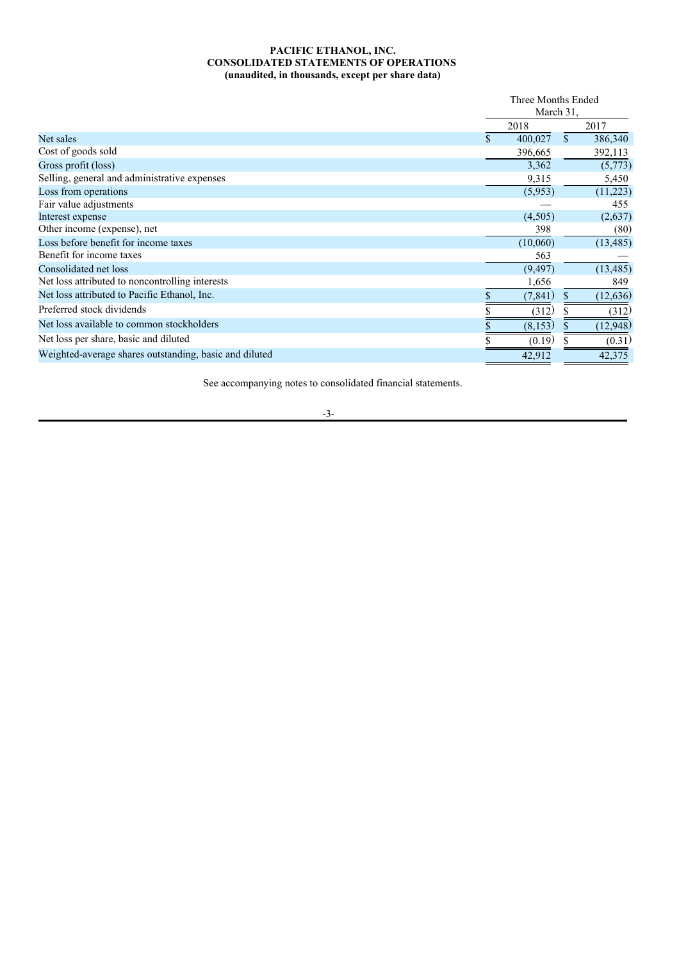## **PACIFIC ETHANOL, INC. CONSOLIDATED STATEMENTS OF OPERATIONS (unaudited, in thousands, except per share data)**

|                                                        |              | Three Months Ended<br>March 31, |           |  |
|--------------------------------------------------------|--------------|---------------------------------|-----------|--|
|                                                        | 2018         |                                 | 2017      |  |
| Net sales                                              | 400,027<br>S | \$.                             | 386,340   |  |
| Cost of goods sold                                     | 396,665      |                                 | 392,113   |  |
| Gross profit (loss)                                    | 3,362        |                                 | (5,773)   |  |
| Selling, general and administrative expenses           | 9,315        |                                 | 5,450     |  |
| Loss from operations                                   | (5,953)      |                                 | (11,223)  |  |
| Fair value adjustments                                 |              |                                 | 455       |  |
| Interest expense                                       | (4,505)      |                                 | (2,637)   |  |
| Other income (expense), net                            | 398          |                                 | (80)      |  |
| Loss before benefit for income taxes                   | (10,060)     |                                 | (13, 485) |  |
| Benefit for income taxes                               | 563          |                                 |           |  |
| Consolidated net loss                                  | (9, 497)     |                                 | (13, 485) |  |
| Net loss attributed to noncontrolling interests        | 1,656        |                                 | 849       |  |
| Net loss attributed to Pacific Ethanol, Inc.           | (7, 841)     |                                 | (12, 636) |  |
| Preferred stock dividends                              | (312)        |                                 | (312)     |  |
| Net loss available to common stockholders              | (8,153)      |                                 | (12,948)  |  |
| Net loss per share, basic and diluted                  | (0.19)       |                                 | (0.31)    |  |
| Weighted-average shares outstanding, basic and diluted | 42,912       |                                 | 42,375    |  |

See accompanying notes to consolidated financial statements.

-3-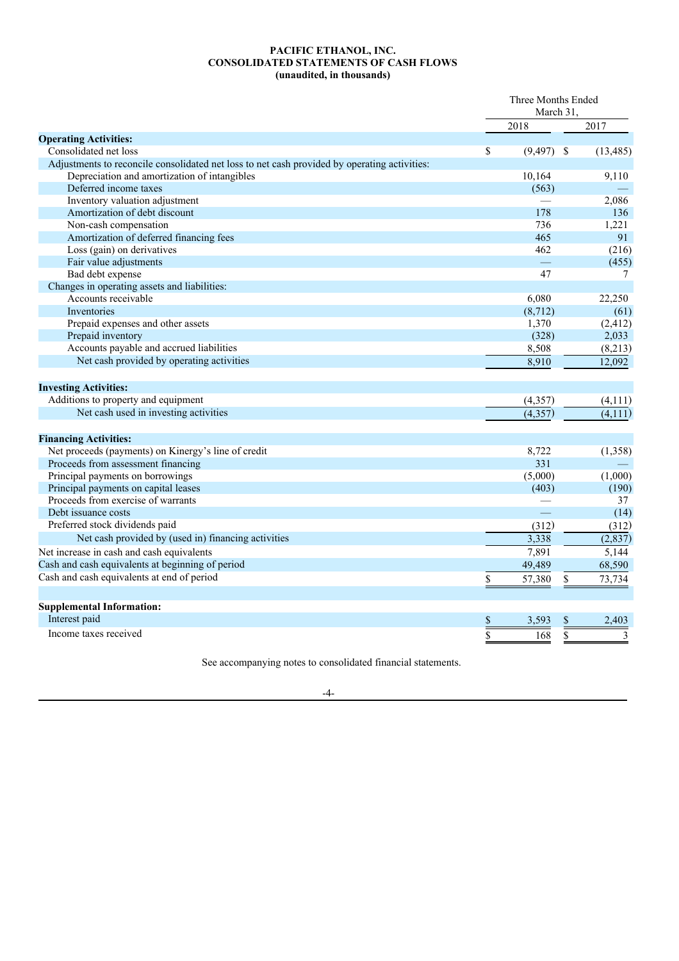## **PACIFIC ETHANOL, INC. CONSOLIDATED STATEMENTS OF CASH FLOWS (unaudited, in thousands)**

|                                                                                              | Three Months Ended<br>March 31. |              |    |           |
|----------------------------------------------------------------------------------------------|---------------------------------|--------------|----|-----------|
|                                                                                              |                                 | 2018         |    | 2017      |
| <b>Operating Activities:</b>                                                                 |                                 |              |    |           |
| Consolidated net loss                                                                        | \$                              | $(9,497)$ \$ |    | (13, 485) |
| Adjustments to reconcile consolidated net loss to net cash provided by operating activities: |                                 |              |    |           |
| Depreciation and amortization of intangibles                                                 |                                 | 10,164       |    | 9,110     |
| Deferred income taxes                                                                        |                                 | (563)        |    |           |
| Inventory valuation adjustment                                                               |                                 |              |    | 2,086     |
| Amortization of debt discount                                                                |                                 | 178          |    | 136       |
| Non-cash compensation                                                                        |                                 | 736          |    | 1,221     |
| Amortization of deferred financing fees                                                      |                                 | 465          |    | 91        |
| Loss (gain) on derivatives                                                                   |                                 | 462          |    | (216)     |
| Fair value adjustments                                                                       |                                 | 二            |    | (455)     |
| Bad debt expense                                                                             |                                 | 47           |    | 7         |
| Changes in operating assets and liabilities:                                                 |                                 |              |    |           |
| Accounts receivable                                                                          |                                 | 6,080        |    | 22,250    |
| Inventories                                                                                  |                                 | (8,712)      |    | (61)      |
| Prepaid expenses and other assets                                                            |                                 | 1,370        |    | (2, 412)  |
| Prepaid inventory                                                                            |                                 | (328)        |    | 2,033     |
| Accounts payable and accrued liabilities                                                     |                                 | 8,508        |    | (8,213)   |
| Net cash provided by operating activities                                                    |                                 | 8,910        |    | 12,092    |
| <b>Investing Activities:</b>                                                                 |                                 |              |    |           |
| Additions to property and equipment                                                          |                                 | (4, 357)     |    | (4,111)   |
| Net cash used in investing activities                                                        |                                 | (4, 357)     |    | (4, 111)  |
|                                                                                              |                                 |              |    |           |
| <b>Financing Activities:</b>                                                                 |                                 |              |    |           |
| Net proceeds (payments) on Kinergy's line of credit                                          |                                 | 8,722        |    | (1, 358)  |
| Proceeds from assessment financing                                                           |                                 | 331          |    |           |
| Principal payments on borrowings                                                             |                                 | (5,000)      |    | (1,000)   |
| Principal payments on capital leases                                                         |                                 | (403)        |    | (190)     |
| Proceeds from exercise of warrants                                                           |                                 |              |    | 37        |
| Debt issuance costs                                                                          |                                 |              |    | (14)      |
| Preferred stock dividends paid                                                               |                                 | (312)        |    | (312)     |
| Net cash provided by (used in) financing activities                                          |                                 | 3,338        |    | (2, 837)  |
| Net increase in cash and cash equivalents                                                    |                                 | 7,891        |    | 5,144     |
| Cash and cash equivalents at beginning of period                                             |                                 | 49,489       |    | 68,590    |
| Cash and cash equivalents at end of period                                                   | \$                              |              |    |           |
|                                                                                              |                                 | 57,380       | \$ | 73,734    |
| <b>Supplemental Information:</b>                                                             |                                 |              |    |           |
| Interest paid                                                                                | \$                              | 3,593        | \$ | 2,403     |
| Income taxes received                                                                        | \$                              | 168          | \$ | 3         |
|                                                                                              |                                 |              |    |           |

See accompanying notes to consolidated financial statements.

# -4-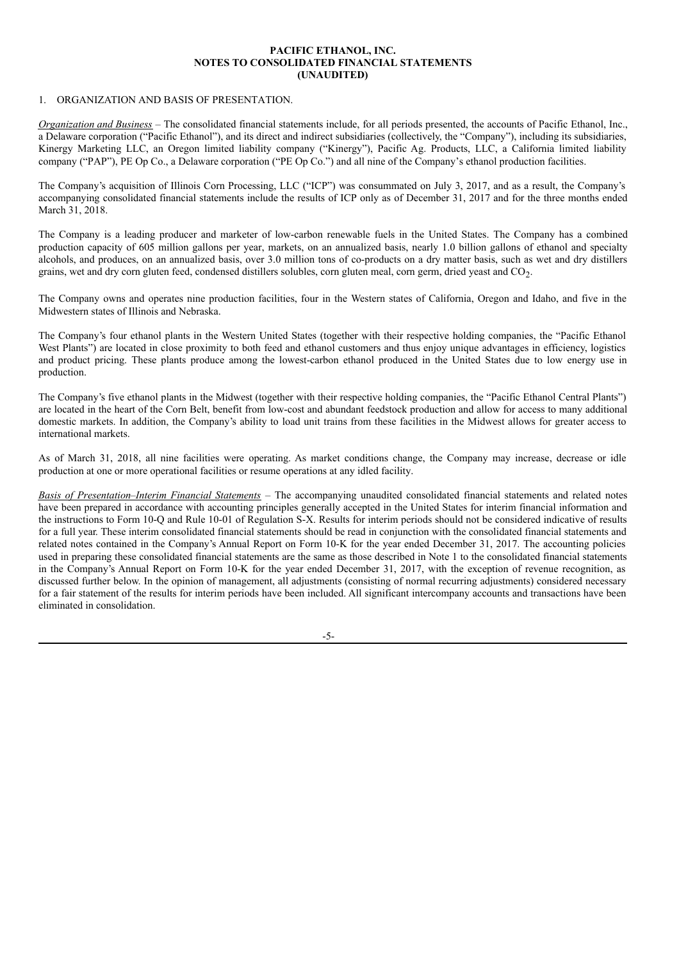### **PACIFIC ETHANOL, INC. NOTES TO CONSOLIDATED FINANCIAL STATEMENTS (UNAUDITED)**

## 1. ORGANIZATION AND BASIS OF PRESENTATION.

*Organization and Business* – The consolidated financial statements include, for all periods presented, the accounts of Pacific Ethanol, Inc., a Delaware corporation ("Pacific Ethanol"), and its direct and indirect subsidiaries (collectively, the "Company"), including its subsidiaries, Kinergy Marketing LLC, an Oregon limited liability company ("Kinergy"), Pacific Ag. Products, LLC, a California limited liability company ("PAP"), PE Op Co., a Delaware corporation ("PE Op Co.") and all nine of the Company's ethanol production facilities.

The Company's acquisition of Illinois Corn Processing, LLC ("ICP") was consummated on July 3, 2017, and as a result, the Company's accompanying consolidated financial statements include the results of ICP only as of December 31, 2017 and for the three months ended March 31, 2018.

The Company is a leading producer and marketer of low-carbon renewable fuels in the United States. The Company has a combined production capacity of 605 million gallons per year, markets, on an annualized basis, nearly 1.0 billion gallons of ethanol and specialty alcohols, and produces, on an annualized basis, over 3.0 million tons of co-products on a dry matter basis, such as wet and dry distillers grains, wet and dry corn gluten feed, condensed distillers solubles, corn gluten meal, corn germ, dried yeast and  $CO_2$ .

The Company owns and operates nine production facilities, four in the Western states of California, Oregon and Idaho, and five in the Midwestern states of Illinois and Nebraska.

The Company's four ethanol plants in the Western United States (together with their respective holding companies, the "Pacific Ethanol West Plants") are located in close proximity to both feed and ethanol customers and thus enjoy unique advantages in efficiency, logistics and product pricing. These plants produce among the lowest-carbon ethanol produced in the United States due to low energy use in production.

The Company's five ethanol plants in the Midwest (together with their respective holding companies, the "Pacific Ethanol Central Plants") are located in the heart of the Corn Belt, benefit from low-cost and abundant feedstock production and allow for access to many additional domestic markets. In addition, the Company's ability to load unit trains from these facilities in the Midwest allows for greater access to international markets.

As of March 31, 2018, all nine facilities were operating. As market conditions change, the Company may increase, decrease or idle production at one or more operational facilities or resume operations at any idled facility.

*Basis of Presentation*–*Interim Financial Statements* – The accompanying unaudited consolidated financial statements and related notes have been prepared in accordance with accounting principles generally accepted in the United States for interim financial information and the instructions to Form 10-Q and Rule 10-01 of Regulation S-X. Results for interim periods should not be considered indicative of results for a full year. These interim consolidated financial statements should be read in conjunction with the consolidated financial statements and related notes contained in the Company's Annual Report on Form 10-K for the year ended December 31, 2017. The accounting policies used in preparing these consolidated financial statements are the same as those described in Note 1 to the consolidated financial statements in the Company's Annual Report on Form 10-K for the year ended December 31, 2017, with the exception of revenue recognition, as discussed further below. In the opinion of management, all adjustments (consisting of normal recurring adjustments) considered necessary for a fair statement of the results for interim periods have been included. All significant intercompany accounts and transactions have been eliminated in consolidation.

-5-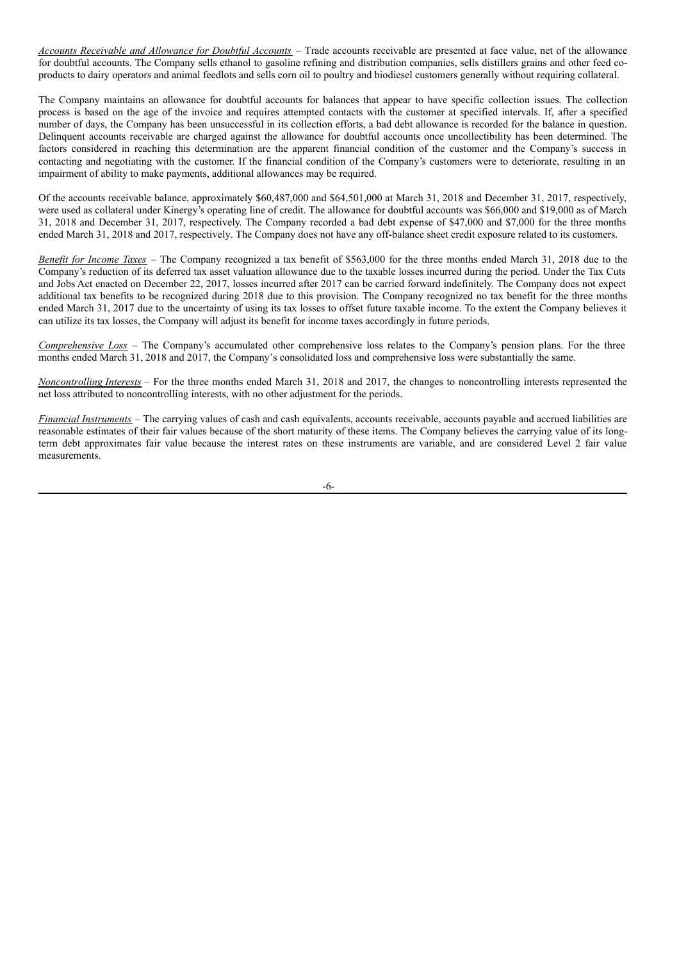*Accounts Receivable and Allowance for Doubtful Accounts* – Trade accounts receivable are presented at face value, net of the allowance for doubtful accounts. The Company sells ethanol to gasoline refining and distribution companies, sells distillers grains and other feed coproducts to dairy operators and animal feedlots and sells corn oil to poultry and biodiesel customers generally without requiring collateral.

The Company maintains an allowance for doubtful accounts for balances that appear to have specific collection issues. The collection process is based on the age of the invoice and requires attempted contacts with the customer at specified intervals. If, after a specified number of days, the Company has been unsuccessful in its collection efforts, a bad debt allowance is recorded for the balance in question. Delinquent accounts receivable are charged against the allowance for doubtful accounts once uncollectibility has been determined. The factors considered in reaching this determination are the apparent financial condition of the customer and the Company's success in contacting and negotiating with the customer. If the financial condition of the Company's customers were to deteriorate, resulting in an impairment of ability to make payments, additional allowances may be required.

Of the accounts receivable balance, approximately \$60,487,000 and \$64,501,000 at March 31, 2018 and December 31, 2017, respectively, were used as collateral under Kinergy's operating line of credit. The allowance for doubtful accounts was \$66,000 and \$19,000 as of March 31, 2018 and December 31, 2017, respectively. The Company recorded a bad debt expense of \$47,000 and \$7,000 for the three months ended March 31, 2018 and 2017, respectively. The Company does not have any off-balance sheet credit exposure related to its customers.

*Benefit for Income Taxes* – The Company recognized a tax benefit of \$563,000 for the three months ended March 31, 2018 due to the Company's reduction of its deferred tax asset valuation allowance due to the taxable losses incurred during the period. Under the Tax Cuts and Jobs Act enacted on December 22, 2017, losses incurred after 2017 can be carried forward indefinitely. The Company does not expect additional tax benefits to be recognized during 2018 due to this provision. The Company recognized no tax benefit for the three months ended March 31, 2017 due to the uncertainty of using its tax losses to offset future taxable income. To the extent the Company believes it can utilize its tax losses, the Company will adjust its benefit for income taxes accordingly in future periods.

*Comprehensive Loss* – The Company's accumulated other comprehensive loss relates to the Company's pension plans. For the three months ended March 31, 2018 and 2017, the Company's consolidated loss and comprehensive loss were substantially the same.

*Noncontrolling Interests* – For the three months ended March 31, 2018 and 2017, the changes to noncontrolling interests represented the net loss attributed to noncontrolling interests, with no other adjustment for the periods.

*Financial Instruments* – The carrying values of cash and cash equivalents, accounts receivable, accounts payable and accrued liabilities are reasonable estimates of their fair values because of the short maturity of these items. The Company believes the carrying value of its longterm debt approximates fair value because the interest rates on these instruments are variable, and are considered Level 2 fair value measurements.

-6-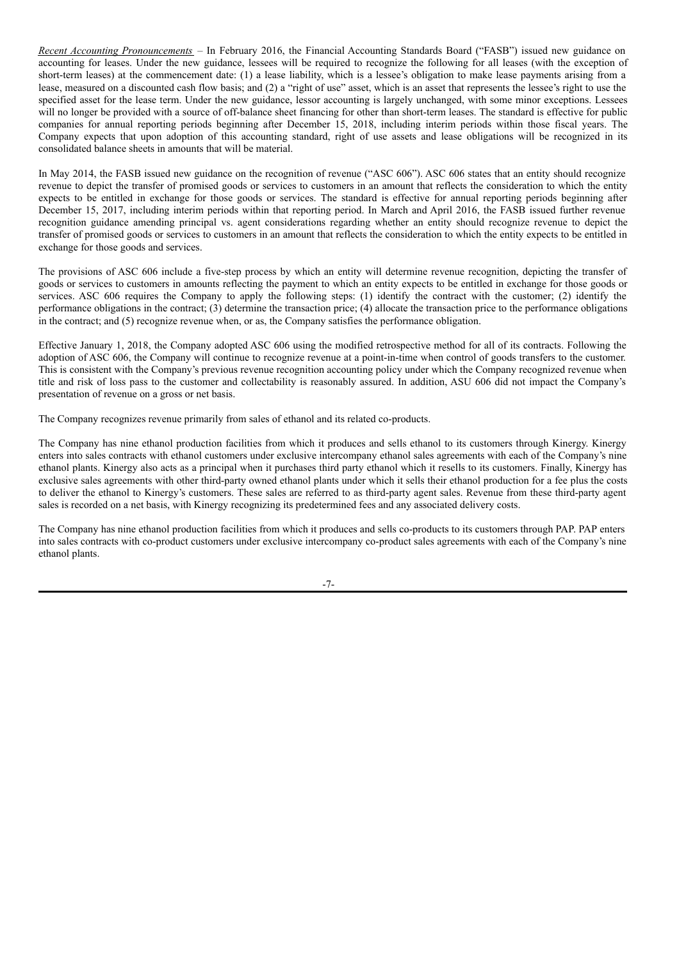*Recent Accounting Pronouncements* – In February 2016, the Financial Accounting Standards Board ("FASB") issued new guidance on accounting for leases. Under the new guidance, lessees will be required to recognize the following for all leases (with the exception of short-term leases) at the commencement date: (1) a lease liability, which is a lessee's obligation to make lease payments arising from a lease, measured on a discounted cash flow basis; and (2) a "right of use" asset, which is an asset that represents the lessee's right to use the specified asset for the lease term. Under the new guidance, lessor accounting is largely unchanged, with some minor exceptions. Lessees will no longer be provided with a source of off-balance sheet financing for other than short-term leases. The standard is effective for public companies for annual reporting periods beginning after December 15, 2018, including interim periods within those fiscal years. The Company expects that upon adoption of this accounting standard, right of use assets and lease obligations will be recognized in its consolidated balance sheets in amounts that will be material.

In May 2014, the FASB issued new guidance on the recognition of revenue ("ASC 606"). ASC 606 states that an entity should recognize revenue to depict the transfer of promised goods or services to customers in an amount that reflects the consideration to which the entity expects to be entitled in exchange for those goods or services. The standard is effective for annual reporting periods beginning after December 15, 2017, including interim periods within that reporting period. In March and April 2016, the FASB issued further revenue recognition guidance amending principal vs. agent considerations regarding whether an entity should recognize revenue to depict the transfer of promised goods or services to customers in an amount that reflects the consideration to which the entity expects to be entitled in exchange for those goods and services.

The provisions of ASC 606 include a five-step process by which an entity will determine revenue recognition, depicting the transfer of goods or services to customers in amounts reflecting the payment to which an entity expects to be entitled in exchange for those goods or services. ASC 606 requires the Company to apply the following steps: (1) identify the contract with the customer; (2) identify the performance obligations in the contract; (3) determine the transaction price; (4) allocate the transaction price to the performance obligations in the contract; and (5) recognize revenue when, or as, the Company satisfies the performance obligation.

Effective January 1, 2018, the Company adopted ASC 606 using the modified retrospective method for all of its contracts. Following the adoption of ASC 606, the Company will continue to recognize revenue at a point-in-time when control of goods transfers to the customer. This is consistent with the Company's previous revenue recognition accounting policy under which the Company recognized revenue when title and risk of loss pass to the customer and collectability is reasonably assured. In addition, ASU 606 did not impact the Company's presentation of revenue on a gross or net basis.

The Company recognizes revenue primarily from sales of ethanol and its related co-products.

The Company has nine ethanol production facilities from which it produces and sells ethanol to its customers through Kinergy. Kinergy enters into sales contracts with ethanol customers under exclusive intercompany ethanol sales agreements with each of the Company's nine ethanol plants. Kinergy also acts as a principal when it purchases third party ethanol which it resells to its customers. Finally, Kinergy has exclusive sales agreements with other third-party owned ethanol plants under which it sells their ethanol production for a fee plus the costs to deliver the ethanol to Kinergy's customers. These sales are referred to as third-party agent sales. Revenue from these third-party agent sales is recorded on a net basis, with Kinergy recognizing its predetermined fees and any associated delivery costs.

The Company has nine ethanol production facilities from which it produces and sells co-products to its customers through PAP. PAP enters into sales contracts with co-product customers under exclusive intercompany co-product sales agreements with each of the Company's nine ethanol plants.

-7-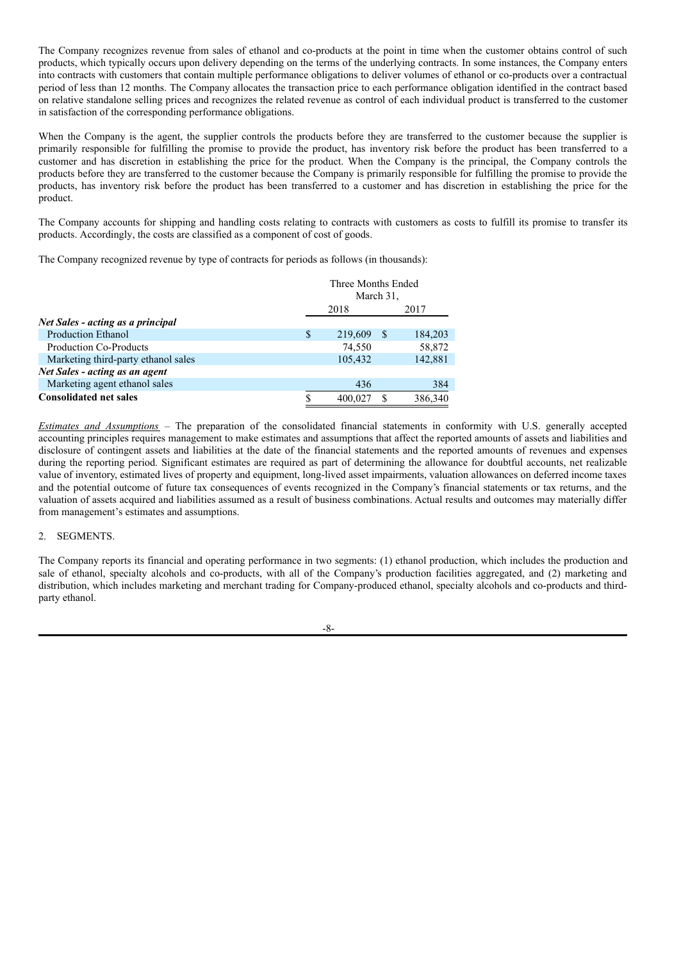The Company recognizes revenue from sales of ethanol and co-products at the point in time when the customer obtains control of such products, which typically occurs upon delivery depending on the terms of the underlying contracts. In some instances, the Company enters into contracts with customers that contain multiple performance obligations to deliver volumes of ethanol or co-products over a contractual period of less than 12 months. The Company allocates the transaction price to each performance obligation identified in the contract based on relative standalone selling prices and recognizes the related revenue as control of each individual product is transferred to the customer in satisfaction of the corresponding performance obligations.

When the Company is the agent, the supplier controls the products before they are transferred to the customer because the supplier is primarily responsible for fulfilling the promise to provide the product, has inventory risk before the product has been transferred to a customer and has discretion in establishing the price for the product. When the Company is the principal, the Company controls the products before they are transferred to the customer because the Company is primarily responsible for fulfilling the promise to provide the products, has inventory risk before the product has been transferred to a customer and has discretion in establishing the price for the product.

The Company accounts for shipping and handling costs relating to contracts with customers as costs to fulfill its promise to transfer its products. Accordingly, the costs are classified as a component of cost of goods.

The Company recognized revenue by type of contracts for periods as follows (in thousands):

|                                     |   | Three Months Ended<br>March 31, |    |         |  |
|-------------------------------------|---|---------------------------------|----|---------|--|
|                                     |   | 2018                            |    | 2017    |  |
| Net Sales - acting as a principal   |   |                                 |    |         |  |
| <b>Production Ethanol</b>           | S | 219,609                         | -S | 184,203 |  |
| <b>Production Co-Products</b>       |   | 74.550                          |    | 58,872  |  |
| Marketing third-party ethanol sales |   | 105,432                         |    | 142,881 |  |
| Net Sales - acting as an agent      |   |                                 |    |         |  |
| Marketing agent ethanol sales       |   | 436                             |    | 384     |  |
| <b>Consolidated net sales</b>       |   | 400,027                         |    | 386,340 |  |

*Estimates and Assumptions* – The preparation of the consolidated financial statements in conformity with U.S. generally accepted accounting principles requires management to make estimates and assumptions that affect the reported amounts of assets and liabilities and disclosure of contingent assets and liabilities at the date of the financial statements and the reported amounts of revenues and expenses during the reporting period. Significant estimates are required as part of determining the allowance for doubtful accounts, net realizable value of inventory, estimated lives of property and equipment, long-lived asset impairments, valuation allowances on deferred income taxes and the potential outcome of future tax consequences of events recognized in the Company's financial statements or tax returns, and the valuation of assets acquired and liabilities assumed as a result of business combinations. Actual results and outcomes may materially differ from management's estimates and assumptions.

## 2. SEGMENTS.

The Company reports its financial and operating performance in two segments: (1) ethanol production, which includes the production and sale of ethanol, specialty alcohols and co-products, with all of the Company's production facilities aggregated, and (2) marketing and distribution, which includes marketing and merchant trading for Company-produced ethanol, specialty alcohols and co-products and thirdparty ethanol.

-8-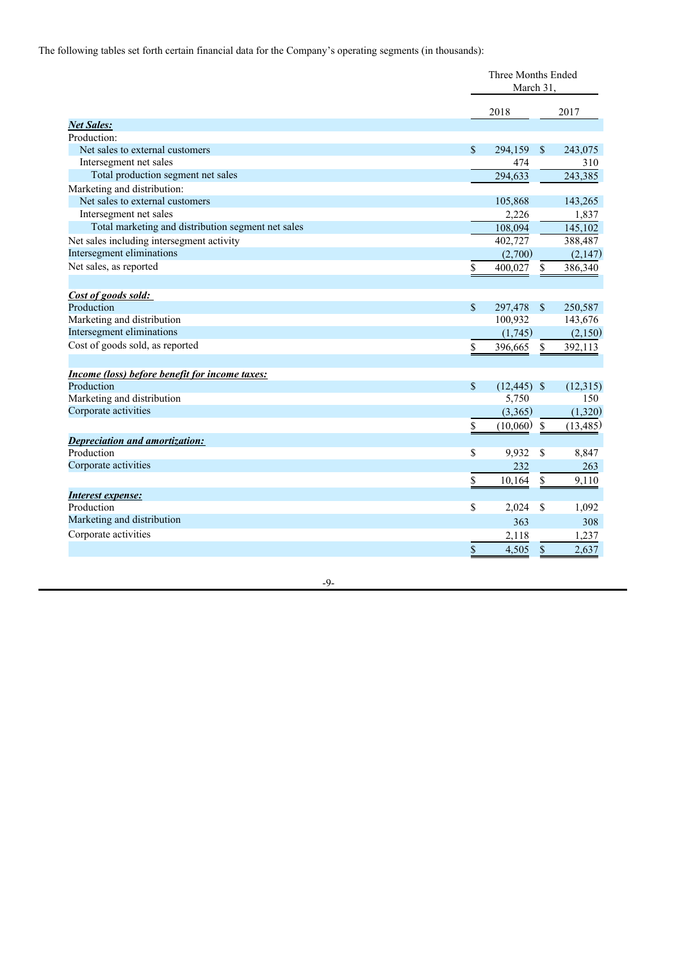The following tables set forth certain financial data for the Company's operating segments (in thousands):

|                                                       |              | Three Months Ended<br>March 31, |              |           |
|-------------------------------------------------------|--------------|---------------------------------|--------------|-----------|
|                                                       |              | 2018                            |              | 2017      |
| <b>Net Sales:</b>                                     |              |                                 |              |           |
| Production:                                           |              |                                 |              |           |
| Net sales to external customers                       | $\mathbb{S}$ | 294,159                         | \$           | 243,075   |
| Intersegment net sales                                |              | 474                             |              | 310       |
| Total production segment net sales                    |              | 294,633                         |              | 243,385   |
| Marketing and distribution:                           |              |                                 |              |           |
| Net sales to external customers                       |              | 105,868                         |              | 143,265   |
| Intersegment net sales                                |              | 2,226                           |              | 1,837     |
| Total marketing and distribution segment net sales    |              | 108,094                         |              | 145,102   |
| Net sales including intersegment activity             |              | 402,727                         |              | 388,487   |
| Intersegment eliminations                             |              | (2,700)                         |              | (2,147)   |
| Net sales, as reported                                | \$           | 400,027                         | \$           | 386,340   |
|                                                       |              |                                 |              |           |
| <b>Cost of goods sold:</b>                            |              |                                 |              |           |
| Production                                            | $\mathbb{S}$ | 297,478                         | $\sqrt{\ }$  | 250,587   |
| Marketing and distribution                            |              | 100,932                         |              | 143,676   |
| Intersegment eliminations                             |              | (1,745)                         |              | (2,150)   |
| Cost of goods sold, as reported                       | \$           | 396,665                         | \$           | 392,113   |
|                                                       |              |                                 |              |           |
| <b>Income (loss) before benefit for income taxes:</b> |              |                                 |              |           |
| Production                                            | $\mathbb{S}$ | $(12, 445)$ \$                  |              | (12, 315) |
| Marketing and distribution                            |              | 5,750                           |              | 150       |
| Corporate activities                                  |              | (3,365)                         |              | (1,320)   |
|                                                       | \$           | (10,060)                        | $\mathbb{S}$ | (13, 485) |
|                                                       |              |                                 |              |           |
| Depreciation and amortization:                        |              |                                 |              |           |
| Production                                            | \$           | 9,932                           | \$           | 8,847     |
| Corporate activities                                  |              | 232                             |              | 263       |
|                                                       | \$           | 10,164                          | \$           | 9,110     |
| Interest expense:                                     |              |                                 |              |           |
| Production                                            | \$           | 2,024                           | \$           | 1,092     |
| Marketing and distribution                            |              | 363                             |              | 308       |
| Corporate activities                                  |              | 2,118                           |              | 1,237     |
|                                                       | \$           | 4,505                           | \$           | 2,637     |

-9-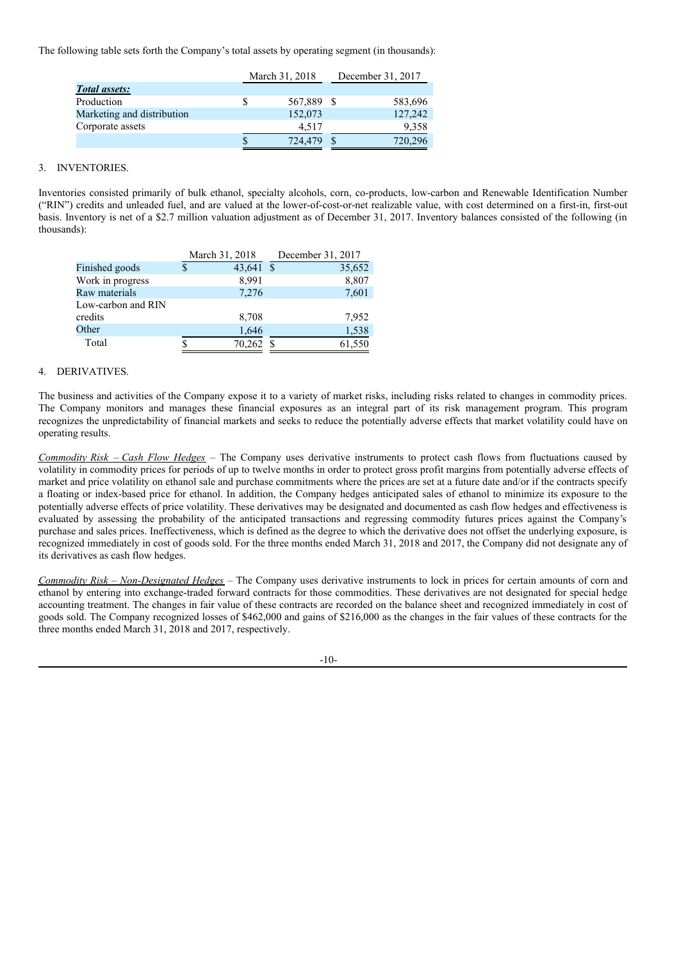The following table sets forth the Company's total assets by operating segment (in thousands):

|                            | March 31, 2018 | December 31, 2017 |
|----------------------------|----------------|-------------------|
| <b>Total assets:</b>       |                |                   |
| Production                 | 567,889 \$     | 583,696           |
| Marketing and distribution | 152,073        | 127,242           |
| Corporate assets           | 4.517          | 9,358             |
|                            | 724,479        | 720,296           |

## 3. INVENTORIES.

Inventories consisted primarily of bulk ethanol, specialty alcohols, corn, co-products, low-carbon and Renewable Identification Number ("RIN") credits and unleaded fuel, and are valued at the lower-of-cost-or-net realizable value, with cost determined on a first-in, first-out basis. Inventory is net of a \$2.7 million valuation adjustment as of December 31, 2017. Inventory balances consisted of the following (in thousands):

|                    | March 31, 2018 | December 31, 2017 |
|--------------------|----------------|-------------------|
| Finished goods     | 43,641 \$      | 35,652            |
| Work in progress   | 8,991          | 8,807             |
| Raw materials      | 7,276          | 7,601             |
| Low-carbon and RIN |                |                   |
| credits            | 8,708          | 7,952             |
| Other              | 1,646          | 1,538             |
| Total              | 70,262 \$      | 61,550            |

## 4. DERIVATIVES.

The business and activities of the Company expose it to a variety of market risks, including risks related to changes in commodity prices. The Company monitors and manages these financial exposures as an integral part of its risk management program. This program recognizes the unpredictability of financial markets and seeks to reduce the potentially adverse effects that market volatility could have on operating results.

*Commodity Risk* – *Cash Flow Hedges* – The Company uses derivative instruments to protect cash flows from fluctuations caused by volatility in commodity prices for periods of up to twelve months in order to protect gross profit margins from potentially adverse effects of market and price volatility on ethanol sale and purchase commitments where the prices are set at a future date and/or if the contracts specify a floating or index-based price for ethanol. In addition, the Company hedges anticipated sales of ethanol to minimize its exposure to the potentially adverse effects of price volatility. These derivatives may be designated and documented as cash flow hedges and effectiveness is evaluated by assessing the probability of the anticipated transactions and regressing commodity futures prices against the Company's purchase and sales prices. Ineffectiveness, which is defined as the degree to which the derivative does not offset the underlying exposure, is recognized immediately in cost of goods sold. For the three months ended March 31, 2018 and 2017, the Company did not designate any of its derivatives as cash flow hedges.

*Commodity Risk – Non-Designated Hedges* – The Company uses derivative instruments to lock in prices for certain amounts of corn and ethanol by entering into exchange-traded forward contracts for those commodities. These derivatives are not designated for special hedge accounting treatment. The changes in fair value of these contracts are recorded on the balance sheet and recognized immediately in cost of goods sold. The Company recognized losses of \$462,000 and gains of \$216,000 as the changes in the fair values of these contracts for the three months ended March 31, 2018 and 2017, respectively.

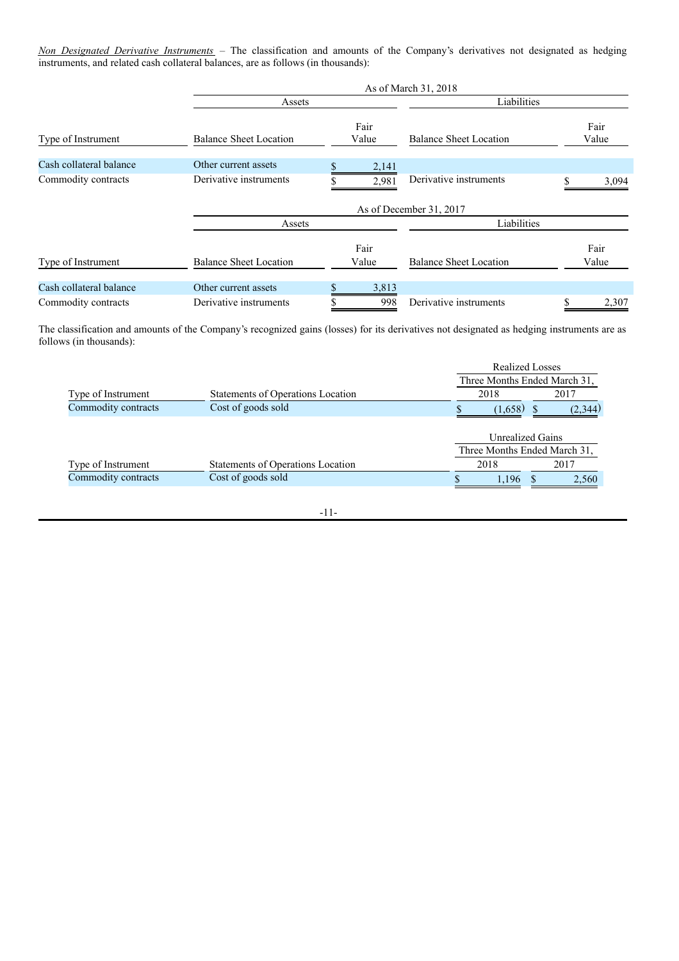*Non Designated Derivative Instruments* – The classification and amounts of the Company's derivatives not designated as hedging instruments, and related cash collateral balances, are as follows (in thousands):

|                         |                               |               | As of March 31, 2018          |    |               |  |
|-------------------------|-------------------------------|---------------|-------------------------------|----|---------------|--|
|                         | Assets                        |               | Liabilities                   |    |               |  |
| Type of Instrument      | <b>Balance Sheet Location</b> | Fair<br>Value | <b>Balance Sheet Location</b> |    | Fair<br>Value |  |
| Cash collateral balance | Other current assets          | 2,141         |                               |    |               |  |
| Commodity contracts     | Derivative instruments        | 2,981         | Derivative instruments        |    | 3,094         |  |
|                         |                               |               | As of December 31, 2017       |    |               |  |
|                         | Assets                        |               | Liabilities                   |    |               |  |
|                         |                               | Fair          |                               |    | Fair          |  |
| Type of Instrument      | <b>Balance Sheet Location</b> | Value         | <b>Balance Sheet Location</b> |    | Value         |  |
| Cash collateral balance | Other current assets          | 3,813         |                               |    |               |  |
| Commodity contracts     | Derivative instruments        | 998           | Derivative instruments        | \$ | 2,307         |  |

The classification and amounts of the Company's recognized gains (losses) for its derivatives not designated as hedging instruments are as follows (in thousands):

|                     |                                   | <b>Realized Losses</b>       |         |
|---------------------|-----------------------------------|------------------------------|---------|
|                     |                                   | Three Months Ended March 31, |         |
| Type of Instrument  | Statements of Operations Location | 2018<br>2017                 |         |
| Commodity contracts | Cost of goods sold                | (1.658)                      | (2.344) |
|                     |                                   |                              |         |
|                     |                                   | Unrealized Gains             |         |
|                     |                                   | Three Months Ended March 31, |         |
| Type of Instrument  | Statements of Operations Location | 2018<br>2017                 |         |
| Commodity contracts | Cost of goods sold                | 1.196                        | 2,560   |
|                     |                                   |                              |         |

-11-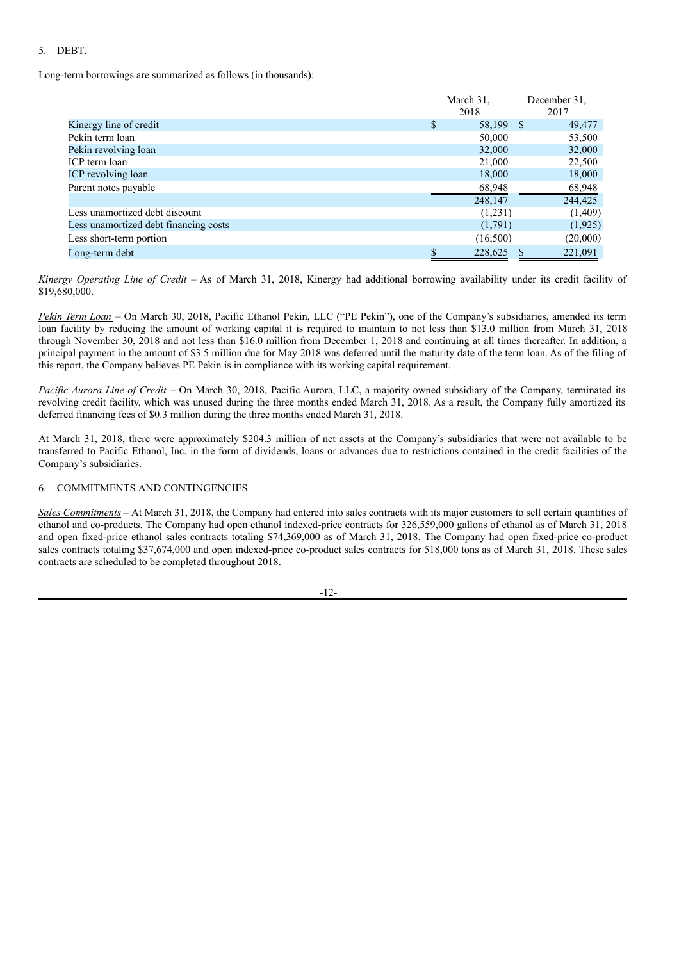## 5. DEBT.

Long-term borrowings are summarized as follows (in thousands):

|                                       | March 31,<br>2018 |    | December 31.<br>2017 |
|---------------------------------------|-------------------|----|----------------------|
| Kinergy line of credit                | 58,199            | -S | 49,477               |
| Pekin term loan                       | 50,000            |    | 53,500               |
| Pekin revolving loan                  | 32,000            |    | 32,000               |
| ICP term loan                         | 21,000            |    | 22,500               |
| ICP revolving loan                    | 18,000            |    | 18,000               |
| Parent notes payable                  | 68,948            |    | 68,948               |
|                                       | 248,147           |    | 244,425              |
| Less unamortized debt discount        | (1,231)           |    | (1,409)              |
| Less unamortized debt financing costs | (1,791)           |    | (1,925)              |
| Less short-term portion               | (16,500)          |    | (20,000)             |
| Long-term debt                        | 228,625           |    | 221,091              |
|                                       |                   |    |                      |

*Kinergy Operating Line of Credit* – As of March 31, 2018, Kinergy had additional borrowing availability under its credit facility of \$19,680,000.

*Pekin Term Loan* – On March 30, 2018, Pacific Ethanol Pekin, LLC ("PE Pekin"), one of the Company's subsidiaries, amended its term loan facility by reducing the amount of working capital it is required to maintain to not less than \$13.0 million from March 31, 2018 through November 30, 2018 and not less than \$16.0 million from December 1, 2018 and continuing at all times thereafter. In addition, a principal payment in the amount of \$3.5 million due for May 2018 was deferred until the maturity date of the term loan. As of the filing of this report, the Company believes PE Pekin is in compliance with its working capital requirement.

*Pacific Aurora Line of Credit* – On March 30, 2018, Pacific Aurora, LLC, a majority owned subsidiary of the Company, terminated its revolving credit facility, which was unused during the three months ended March 31, 2018. As a result, the Company fully amortized its deferred financing fees of \$0.3 million during the three months ended March 31, 2018.

At March 31, 2018, there were approximately \$204.3 million of net assets at the Company's subsidiaries that were not available to be transferred to Pacific Ethanol, Inc. in the form of dividends, loans or advances due to restrictions contained in the credit facilities of the Company's subsidiaries.

## 6. COMMITMENTS AND CONTINGENCIES.

*Sales Commitments* – At March 31, 2018, the Company had entered into sales contracts with its major customers to sell certain quantities of ethanol and co-products. The Company had open ethanol indexed-price contracts for 326,559,000 gallons of ethanol as of March 31, 2018 and open fixed-price ethanol sales contracts totaling \$74,369,000 as of March 31, 2018. The Company had open fixed-price co-product sales contracts totaling \$37,674,000 and open indexed-price co-product sales contracts for 518,000 tons as of March 31, 2018. These sales contracts are scheduled to be completed throughout 2018.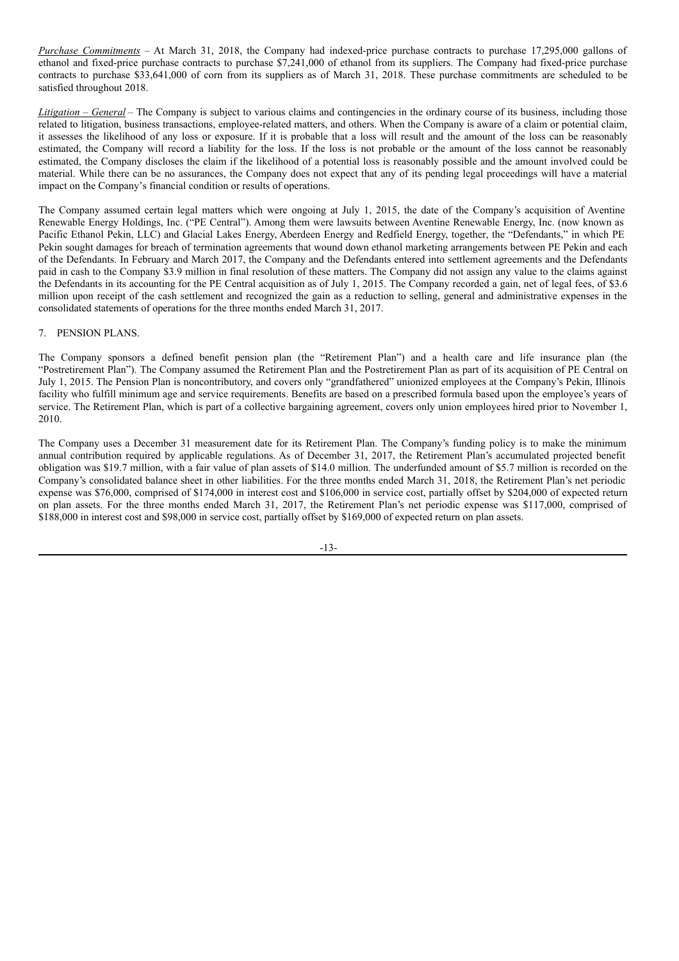*Purchase Commitments* – At March 31, 2018, the Company had indexed-price purchase contracts to purchase 17,295,000 gallons of ethanol and fixed-price purchase contracts to purchase \$7,241,000 of ethanol from its suppliers. The Company had fixed-price purchase contracts to purchase \$33,641,000 of corn from its suppliers as of March 31, 2018. These purchase commitments are scheduled to be satisfied throughout 2018.

*Litigation* – *General* – The Company is subject to various claims and contingencies in the ordinary course of its business, including those related to litigation, business transactions, employee-related matters, and others. When the Company is aware of a claim or potential claim, it assesses the likelihood of any loss or exposure. If it is probable that a loss will result and the amount of the loss can be reasonably estimated, the Company will record a liability for the loss. If the loss is not probable or the amount of the loss cannot be reasonably estimated, the Company discloses the claim if the likelihood of a potential loss is reasonably possible and the amount involved could be material. While there can be no assurances, the Company does not expect that any of its pending legal proceedings will have a material impact on the Company's financial condition or results of operations.

The Company assumed certain legal matters which were ongoing at July 1, 2015, the date of the Company's acquisition of Aventine Renewable Energy Holdings, Inc. ("PE Central"). Among them were lawsuits between Aventine Renewable Energy, Inc. (now known as Pacific Ethanol Pekin, LLC) and Glacial Lakes Energy, Aberdeen Energy and Redfield Energy, together, the "Defendants," in which PE Pekin sought damages for breach of termination agreements that wound down ethanol marketing arrangements between PE Pekin and each of the Defendants. In February and March 2017, the Company and the Defendants entered into settlement agreements and the Defendants paid in cash to the Company \$3.9 million in final resolution of these matters. The Company did not assign any value to the claims against the Defendants in its accounting for the PE Central acquisition as of July 1, 2015. The Company recorded a gain, net of legal fees, of \$3.6 million upon receipt of the cash settlement and recognized the gain as a reduction to selling, general and administrative expenses in the consolidated statements of operations for the three months ended March 31, 2017.

## 7. PENSION PLANS.

The Company sponsors a defined benefit pension plan (the "Retirement Plan") and a health care and life insurance plan (the "Postretirement Plan"). The Company assumed the Retirement Plan and the Postretirement Plan as part of its acquisition of PE Central on July 1, 2015. The Pension Plan is noncontributory, and covers only "grandfathered" unionized employees at the Company's Pekin, Illinois facility who fulfill minimum age and service requirements. Benefits are based on a prescribed formula based upon the employee's years of service. The Retirement Plan, which is part of a collective bargaining agreement, covers only union employees hired prior to November 1, 2010.

The Company uses a December 31 measurement date for its Retirement Plan. The Company's funding policy is to make the minimum annual contribution required by applicable regulations. As of December 31, 2017, the Retirement Plan's accumulated projected benefit obligation was \$19.7 million, with a fair value of plan assets of \$14.0 million. The underfunded amount of \$5.7 million is recorded on the Company's consolidated balance sheet in other liabilities. For the three months ended March 31, 2018, the Retirement Plan's net periodic expense was \$76,000, comprised of \$174,000 in interest cost and \$106,000 in service cost, partially offset by \$204,000 of expected return on plan assets. For the three months ended March 31, 2017, the Retirement Plan's net periodic expense was \$117,000, comprised of \$188,000 in interest cost and \$98,000 in service cost, partially offset by \$169,000 of expected return on plan assets.

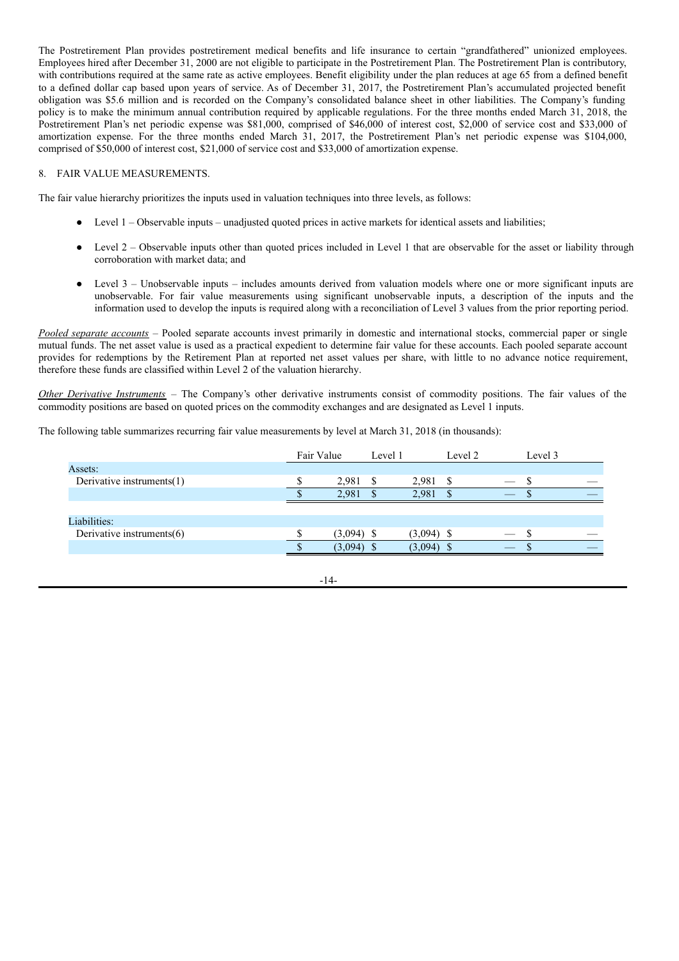The Postretirement Plan provides postretirement medical benefits and life insurance to certain "grandfathered" unionized employees. Employees hired after December 31, 2000 are not eligible to participate in the Postretirement Plan. The Postretirement Plan is contributory, with contributions required at the same rate as active employees. Benefit eligibility under the plan reduces at age 65 from a defined benefit to a defined dollar cap based upon years of service. As of December 31, 2017, the Postretirement Plan's accumulated projected benefit obligation was \$5.6 million and is recorded on the Company's consolidated balance sheet in other liabilities. The Company's funding policy is to make the minimum annual contribution required by applicable regulations. For the three months ended March 31, 2018, the Postretirement Plan's net periodic expense was \$81,000, comprised of \$46,000 of interest cost, \$2,000 of service cost and \$33,000 of amortization expense. For the three months ended March 31, 2017, the Postretirement Plan's net periodic expense was \$104,000, comprised of \$50,000 of interest cost, \$21,000 of service cost and \$33,000 of amortization expense.

## 8. FAIR VALUE MEASUREMENTS.

The fair value hierarchy prioritizes the inputs used in valuation techniques into three levels, as follows:

- Level 1 Observable inputs unadjusted quoted prices in active markets for identical assets and liabilities;
- Level  $2$  Observable inputs other than quoted prices included in Level 1 that are observable for the asset or liability through corroboration with market data; and
- Level 3 Unobservable inputs includes amounts derived from valuation models where one or more significant inputs are unobservable. For fair value measurements using significant unobservable inputs, a description of the inputs and the information used to develop the inputs is required along with a reconciliation of Level 3 values from the prior reporting period.

*Pooled separate accounts* – Pooled separate accounts invest primarily in domestic and international stocks, commercial paper or single mutual funds. The net asset value is used as a practical expedient to determine fair value for these accounts. Each pooled separate account provides for redemptions by the Retirement Plan at reported net asset values per share, with little to no advance notice requirement, therefore these funds are classified within Level 2 of the valuation hierarchy.

*Other Derivative Instruments* – The Company's other derivative instruments consist of commodity positions. The fair values of the commodity positions are based on quoted prices on the commodity exchanges and are designated as Level 1 inputs.

The following table summarizes recurring fair value measurements by level at March 31, 2018 (in thousands):

|                           | Fair Value |         | Level 1 |         | Level 2 | Level 3 |  |
|---------------------------|------------|---------|---------|---------|---------|---------|--|
| Assets:                   |            |         |         |         |         |         |  |
| Derivative instruments(1) |            | 2,981   | S       | 2,981   | -S      |         |  |
|                           |            | 2.981   |         | 2,981   |         |         |  |
|                           |            |         |         |         |         |         |  |
| Liabilities:              |            |         |         |         |         |         |  |
| Derivative instruments(6) |            | (3,094) |         | (3,094) |         |         |  |
|                           |            | (3.094) |         | (3.094) |         |         |  |
|                           |            |         |         |         |         |         |  |

-14-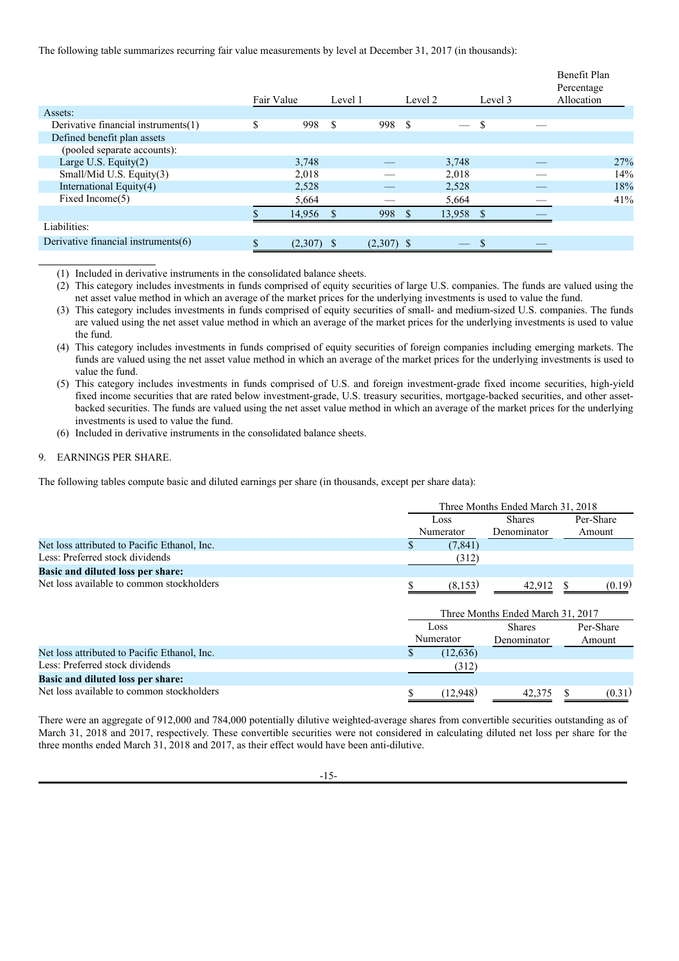The following table summarizes recurring fair value measurements by level at December 31, 2017 (in thousands):

|                                     | Fair Value | Level 1  |              | Level 2 |           | Level 3 | Benefit Plan<br>Percentage<br>Allocation |     |
|-------------------------------------|------------|----------|--------------|---------|-----------|---------|------------------------------------------|-----|
| Assets:                             |            |          |              |         |           |         |                                          |     |
| Derivative financial instruments(1) | \$<br>998  | S        | 998          | -S      |           | S.      |                                          |     |
| Defined benefit plan assets         |            |          |              |         |           |         |                                          |     |
| (pooled separate accounts):         |            |          |              |         |           |         |                                          |     |
| Large U.S. Equity $(2)$             | 3,748      |          |              |         | 3,748     |         |                                          | 27% |
| Small/Mid U.S. Equity(3)            | 2,018      |          |              |         | 2,018     |         |                                          | 14% |
| International Equity(4)             | 2,528      |          |              |         | 2,528     |         |                                          | 18% |
| Fixed Income(5)                     | 5,664      |          |              |         | 5,664     |         |                                          | 41% |
|                                     | 14.956     |          | 998          |         | 13,958 \$ |         |                                          |     |
| Liabilities:                        |            |          |              |         |           |         |                                          |     |
| Derivative financial instruments(6) | (2,307)    | <b>S</b> | $(2,307)$ \$ |         |           |         |                                          |     |

(1) Included in derivative instruments in the consolidated balance sheets.

(2) This category includes investments in funds comprised of equity securities of large U.S. companies. The funds are valued using the net asset value method in which an average of the market prices for the underlying investments is used to value the fund.

(3) This category includes investments in funds comprised of equity securities of small- and medium-sized U.S. companies. The funds are valued using the net asset value method in which an average of the market prices for the underlying investments is used to value the fund.

(4) This category includes investments in funds comprised of equity securities of foreign companies including emerging markets. The funds are valued using the net asset value method in which an average of the market prices for the underlying investments is used to value the fund.

(5) This category includes investments in funds comprised of U.S. and foreign investment-grade fixed income securities, high-yield fixed income securities that are rated below investment-grade, U.S. treasury securities, mortgage-backed securities, and other assetbacked securities. The funds are valued using the net asset value method in which an average of the market prices for the underlying investments is used to value the fund.

(6) Included in derivative instruments in the consolidated balance sheets.

## 9. EARNINGS PER SHARE.

The following tables compute basic and diluted earnings per share (in thousands, except per share data):

|                                              |           | Three Months Ended March 31, 2018 |              |  |  |  |
|----------------------------------------------|-----------|-----------------------------------|--------------|--|--|--|
|                                              | Loss      | <b>Shares</b>                     | Per-Share    |  |  |  |
|                                              | Numerator | Denominator                       | Amount       |  |  |  |
| Net loss attributed to Pacific Ethanol, Inc. | (7, 841)  |                                   |              |  |  |  |
| Less: Preferred stock dividends              | (312)     |                                   |              |  |  |  |
| <b>Basic and diluted loss per share:</b>     |           |                                   |              |  |  |  |
| Net loss available to common stockholders    | (8,153)   | 42.912                            | (0.19)<br>S. |  |  |  |
|                                              |           | Three Months Ended March 31, 2017 |              |  |  |  |
|                                              | Loss      | <b>Shares</b>                     | Per-Share    |  |  |  |
|                                              | Numerator | Denominator                       | Amount       |  |  |  |
| Net loss attributed to Pacific Ethanol, Inc. | (12, 636) |                                   |              |  |  |  |
| Less: Preferred stock dividends              | (312)     |                                   |              |  |  |  |
| <b>Basic and diluted loss per share:</b>     |           |                                   |              |  |  |  |
| Net loss available to common stockholders    | (12,948)  | 42,375                            | (0.31)       |  |  |  |

There were an aggregate of 912,000 and 784,000 potentially dilutive weighted-average shares from convertible securities outstanding as of March 31, 2018 and 2017, respectively. These convertible securities were not considered in calculating diluted net loss per share for the three months ended March 31, 2018 and 2017, as their effect would have been anti-dilutive.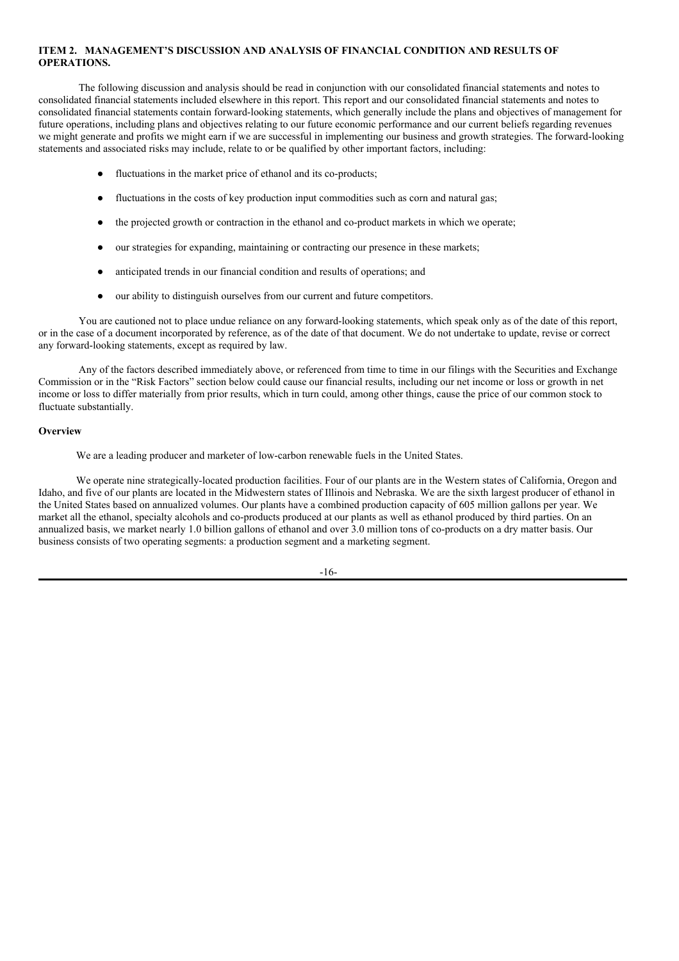## **ITEM 2. MANAGEMENT'S DISCUSSION AND ANALYSIS OF FINANCIAL CONDITION AND RESULTS OF OPERATIONS.**

The following discussion and analysis should be read in conjunction with our consolidated financial statements and notes to consolidated financial statements included elsewhere in this report. This report and our consolidated financial statements and notes to consolidated financial statements contain forward-looking statements, which generally include the plans and objectives of management for future operations, including plans and objectives relating to our future economic performance and our current beliefs regarding revenues we might generate and profits we might earn if we are successful in implementing our business and growth strategies. The forward-looking statements and associated risks may include, relate to or be qualified by other important factors, including:

- fluctuations in the market price of ethanol and its co-products;
- fluctuations in the costs of key production input commodities such as corn and natural gas;
- the projected growth or contraction in the ethanol and co-product markets in which we operate;
- our strategies for expanding, maintaining or contracting our presence in these markets;
- anticipated trends in our financial condition and results of operations; and
- our ability to distinguish ourselves from our current and future competitors.

You are cautioned not to place undue reliance on any forward-looking statements, which speak only as of the date of this report, or in the case of a document incorporated by reference, as of the date of that document. We do not undertake to update, revise or correct any forward-looking statements, except as required by law.

Any of the factors described immediately above, or referenced from time to time in our filings with the Securities and Exchange Commission or in the "Risk Factors" section below could cause our financial results, including our net income or loss or growth in net income or loss to differ materially from prior results, which in turn could, among other things, cause the price of our common stock to fluctuate substantially.

## **Overview**

We are a leading producer and marketer of low-carbon renewable fuels in the United States.

We operate nine strategically-located production facilities. Four of our plants are in the Western states of California, Oregon and Idaho, and five of our plants are located in the Midwestern states of Illinois and Nebraska. We are the sixth largest producer of ethanol in the United States based on annualized volumes. Our plants have a combined production capacity of 605 million gallons per year. We market all the ethanol, specialty alcohols and co-products produced at our plants as well as ethanol produced by third parties. On an annualized basis, we market nearly 1.0 billion gallons of ethanol and over 3.0 million tons of co-products on a dry matter basis. Our business consists of two operating segments: a production segment and a marketing segment.

$$
-16-
$$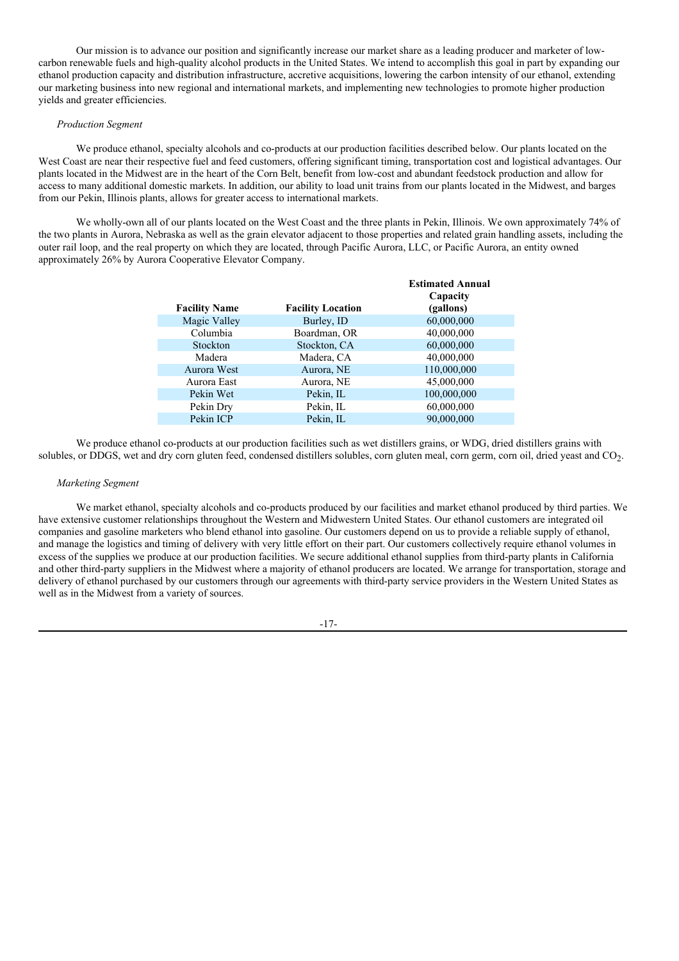Our mission is to advance our position and significantly increase our market share as a leading producer and marketer of lowcarbon renewable fuels and high-quality alcohol products in the United States. We intend to accomplish this goal in part by expanding our ethanol production capacity and distribution infrastructure, accretive acquisitions, lowering the carbon intensity of our ethanol, extending our marketing business into new regional and international markets, and implementing new technologies to promote higher production yields and greater efficiencies.

#### *Production Segment*

We produce ethanol, specialty alcohols and co-products at our production facilities described below. Our plants located on the West Coast are near their respective fuel and feed customers, offering significant timing, transportation cost and logistical advantages. Our plants located in the Midwest are in the heart of the Corn Belt, benefit from low-cost and abundant feedstock production and allow for access to many additional domestic markets. In addition, our ability to load unit trains from our plants located in the Midwest, and barges from our Pekin, Illinois plants, allows for greater access to international markets.

We wholly-own all of our plants located on the West Coast and the three plants in Pekin, Illinois. We own approximately 74% of the two plants in Aurora, Nebraska as well as the grain elevator adjacent to those properties and related grain handling assets, including the outer rail loop, and the real property on which they are located, through Pacific Aurora, LLC, or Pacific Aurora, an entity owned approximately 26% by Aurora Cooperative Elevator Company.

|                      |                          | <b>Estimated Annual</b><br>Capacity |
|----------------------|--------------------------|-------------------------------------|
| <b>Facility Name</b> | <b>Facility Location</b> | (gallons)                           |
| Magic Valley         | Burley, ID               | 60,000,000                          |
| Columbia             | Boardman, OR             | 40,000,000                          |
| <b>Stockton</b>      | Stockton, CA             | 60,000,000                          |
| Madera               | Madera, CA               | 40,000,000                          |
| Aurora West          | Aurora, NE               | 110,000,000                         |
| Aurora East          | Aurora, NE               | 45,000,000                          |
| Pekin Wet            | Pekin, IL                | 100,000,000                         |
| Pekin Dry            | Pekin, IL                | 60,000,000                          |
| Pekin ICP            | Pekin, IL                | 90,000,000                          |
|                      |                          |                                     |

We produce ethanol co-products at our production facilities such as wet distillers grains, or WDG, dried distillers grains with solubles, or DDGS, wet and dry corn gluten feed, condensed distillers solubles, corn gluten meal, corn germ, corn oil, dried yeast and CO<sub>2</sub>.

#### *Marketing Segment*

We market ethanol, specialty alcohols and co-products produced by our facilities and market ethanol produced by third parties. We have extensive customer relationships throughout the Western and Midwestern United States. Our ethanol customers are integrated oil companies and gasoline marketers who blend ethanol into gasoline. Our customers depend on us to provide a reliable supply of ethanol, and manage the logistics and timing of delivery with very little effort on their part. Our customers collectively require ethanol volumes in excess of the supplies we produce at our production facilities. We secure additional ethanol supplies from third-party plants in California and other third-party suppliers in the Midwest where a majority of ethanol producers are located. We arrange for transportation, storage and delivery of ethanol purchased by our customers through our agreements with third-party service providers in the Western United States as well as in the Midwest from a variety of sources.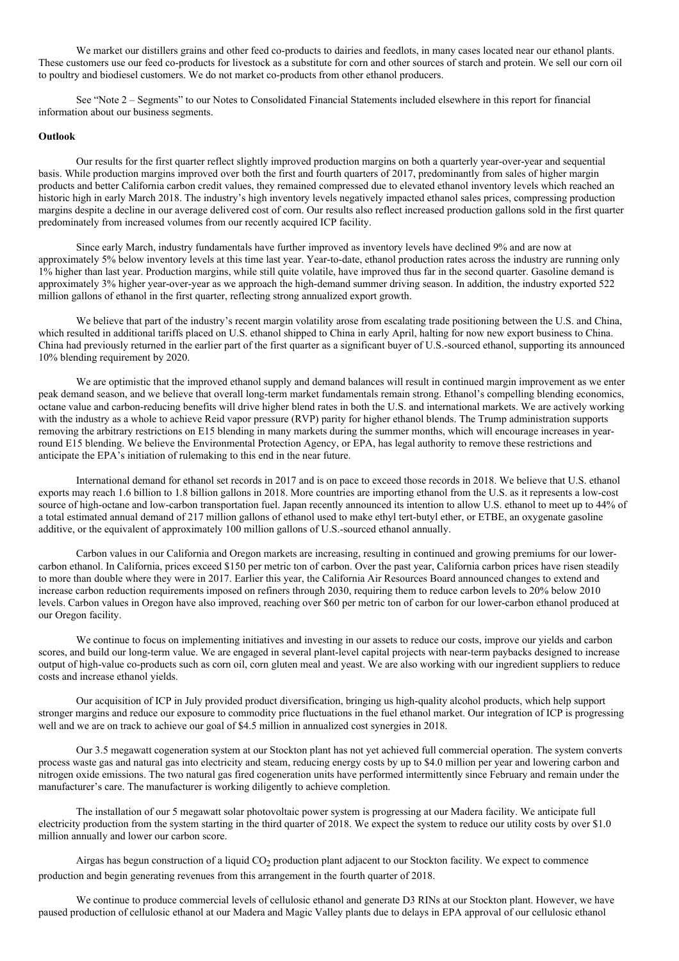We market our distillers grains and other feed co-products to dairies and feedlots, in many cases located near our ethanol plants. These customers use our feed co-products for livestock as a substitute for corn and other sources of starch and protein. We sell our corn oil to poultry and biodiesel customers. We do not market co-products from other ethanol producers.

See "Note 2 – Segments" to our Notes to Consolidated Financial Statements included elsewhere in this report for financial information about our business segments.

#### **Outlook**

Our results for the first quarter reflect slightly improved production margins on both a quarterly year-over-year and sequential basis. While production margins improved over both the first and fourth quarters of 2017, predominantly from sales of higher margin products and better California carbon credit values, they remained compressed due to elevated ethanol inventory levels which reached an historic high in early March 2018. The industry's high inventory levels negatively impacted ethanol sales prices, compressing production margins despite a decline in our average delivered cost of corn. Our results also reflect increased production gallons sold in the first quarter predominately from increased volumes from our recently acquired ICP facility.

Since early March, industry fundamentals have further improved as inventory levels have declined 9% and are now at approximately 5% below inventory levels at this time last year. Year-to-date, ethanol production rates across the industry are running only 1% higher than last year. Production margins, while still quite volatile, have improved thus far in the second quarter. Gasoline demand is approximately 3% higher year-over-year as we approach the high-demand summer driving season. In addition, the industry exported 522 million gallons of ethanol in the first quarter, reflecting strong annualized export growth.

We believe that part of the industry's recent margin volatility arose from escalating trade positioning between the U.S. and China, which resulted in additional tariffs placed on U.S. ethanol shipped to China in early April, halting for now new export business to China. China had previously returned in the earlier part of the first quarter as a significant buyer of U.S.-sourced ethanol, supporting its announced 10% blending requirement by 2020.

We are optimistic that the improved ethanol supply and demand balances will result in continued margin improvement as we enter peak demand season, and we believe that overall long-term market fundamentals remain strong. Ethanol's compelling blending economics, octane value and carbon-reducing benefits will drive higher blend rates in both the U.S. and international markets. We are actively working with the industry as a whole to achieve Reid vapor pressure (RVP) parity for higher ethanol blends. The Trump administration supports removing the arbitrary restrictions on E15 blending in many markets during the summer months, which will encourage increases in yearround E15 blending. We believe the Environmental Protection Agency, or EPA, has legal authority to remove these restrictions and anticipate the EPA's initiation of rulemaking to this end in the near future.

International demand for ethanol set records in 2017 and is on pace to exceed those records in 2018. We believe that U.S. ethanol exports may reach 1.6 billion to 1.8 billion gallons in 2018. More countries are importing ethanol from the U.S. as it represents a low-cost source of high-octane and low-carbon transportation fuel. Japan recently announced its intention to allow U.S. ethanol to meet up to 44% of a total estimated annual demand of 217 million gallons of ethanol used to make ethyl tert-butyl ether, or ETBE, an oxygenate gasoline additive, or the equivalent of approximately 100 million gallons of U.S.-sourced ethanol annually.

Carbon values in our California and Oregon markets are increasing, resulting in continued and growing premiums for our lowercarbon ethanol. In California, prices exceed \$150 per metric ton of carbon. Over the past year, California carbon prices have risen steadily to more than double where they were in 2017. Earlier this year, the California Air Resources Board announced changes to extend and increase carbon reduction requirements imposed on refiners through 2030, requiring them to reduce carbon levels to 20% below 2010 levels. Carbon values in Oregon have also improved, reaching over \$60 per metric ton of carbon for our lower-carbon ethanol produced at our Oregon facility.

We continue to focus on implementing initiatives and investing in our assets to reduce our costs, improve our yields and carbon scores, and build our long-term value. We are engaged in several plant-level capital projects with near-term paybacks designed to increase output of high-value co-products such as corn oil, corn gluten meal and yeast. We are also working with our ingredient suppliers to reduce costs and increase ethanol yields.

Our acquisition of ICP in July provided product diversification, bringing us high-quality alcohol products, which help support stronger margins and reduce our exposure to commodity price fluctuations in the fuel ethanol market. Our integration of ICP is progressing well and we are on track to achieve our goal of \$4.5 million in annualized cost synergies in 2018.

Our 3.5 megawatt cogeneration system at our Stockton plant has not yet achieved full commercial operation. The system converts process waste gas and natural gas into electricity and steam, reducing energy costs by up to \$4.0 million per year and lowering carbon and nitrogen oxide emissions. The two natural gas fired cogeneration units have performed intermittently since February and remain under the manufacturer's care. The manufacturer is working diligently to achieve completion.

The installation of our 5 megawatt solar photovoltaic power system is progressing at our Madera facility. We anticipate full electricity production from the system starting in the third quarter of 2018. We expect the system to reduce our utility costs by over \$1.0 million annually and lower our carbon score.

Airgas has begun construction of a liquid  $CO<sub>2</sub>$  production plant adjacent to our Stockton facility. We expect to commence production and begin generating revenues from this arrangement in the fourth quarter of 2018.

We continue to produce commercial levels of cellulosic ethanol and generate D3 RINs at our Stockton plant. However, we have paused production of cellulosic ethanol at our Madera and Magic Valley plants due to delays in EPA approval of our cellulosic ethanol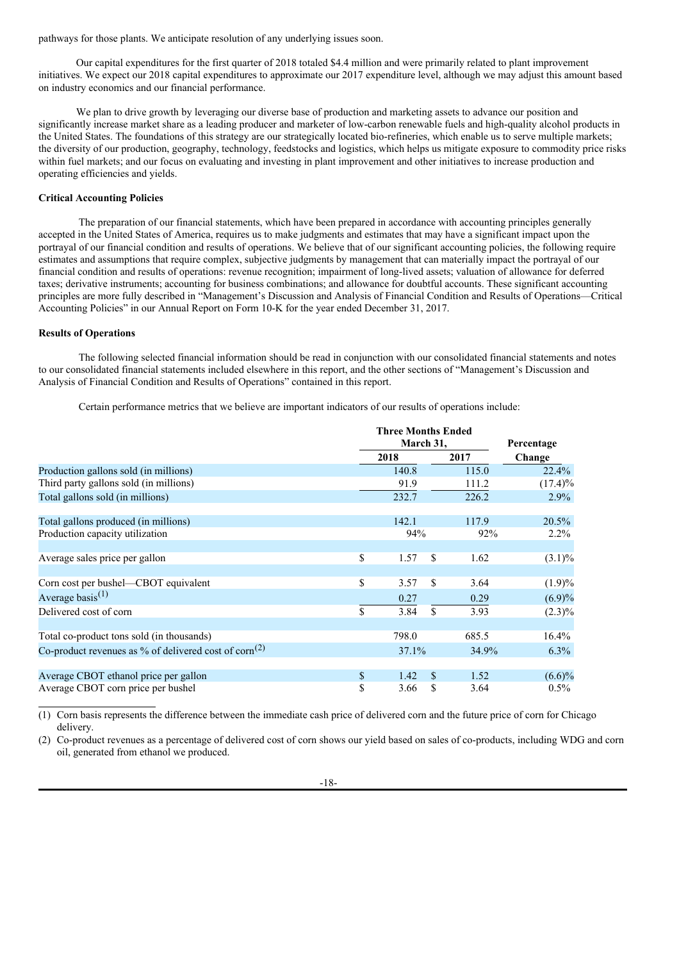pathways for those plants. We anticipate resolution of any underlying issues soon.

Our capital expenditures for the first quarter of 2018 totaled \$4.4 million and were primarily related to plant improvement initiatives. We expect our 2018 capital expenditures to approximate our 2017 expenditure level, although we may adjust this amount based on industry economics and our financial performance.

We plan to drive growth by leveraging our diverse base of production and marketing assets to advance our position and significantly increase market share as a leading producer and marketer of low-carbon renewable fuels and high-quality alcohol products in the United States. The foundations of this strategy are our strategically located bio-refineries, which enable us to serve multiple markets; the diversity of our production, geography, technology, feedstocks and logistics, which helps us mitigate exposure to commodity price risks within fuel markets; and our focus on evaluating and investing in plant improvement and other initiatives to increase production and operating efficiencies and yields.

## **Critical Accounting Policies**

The preparation of our financial statements, which have been prepared in accordance with accounting principles generally accepted in the United States of America, requires us to make judgments and estimates that may have a significant impact upon the portrayal of our financial condition and results of operations. We believe that of our significant accounting policies, the following require estimates and assumptions that require complex, subjective judgments by management that can materially impact the portrayal of our financial condition and results of operations: revenue recognition; impairment of long-lived assets; valuation of allowance for deferred taxes; derivative instruments; accounting for business combinations; and allowance for doubtful accounts. These significant accounting principles are more fully described in "Management's Discussion and Analysis of Financial Condition and Results of Operations—Critical Accounting Policies" in our Annual Report on Form 10-K for the year ended December 31, 2017.

#### **Results of Operations**

The following selected financial information should be read in conjunction with our consolidated financial statements and notes to our consolidated financial statements included elsewhere in this report, and the other sections of "Management's Discussion and Analysis of Financial Condition and Results of Operations" contained in this report.

Certain performance metrics that we believe are important indicators of our results of operations include:

|                                                                   | <b>Three Months Ended</b><br>March 31, | Percentage |       |            |
|-------------------------------------------------------------------|----------------------------------------|------------|-------|------------|
|                                                                   | 2018                                   |            | 2017  | Change     |
| Production gallons sold (in millions)                             | 140.8                                  |            | 115.0 | 22.4%      |
| Third party gallons sold (in millions)                            | 91.9                                   |            | 111.2 | $(17.4)\%$ |
| Total gallons sold (in millions)                                  | 232.7                                  |            | 226.2 | 2.9%       |
| Total gallons produced (in millions)                              | 142.1                                  |            | 117.9 | 20.5%      |
| Production capacity utilization                                   | 94%                                    |            | 92%   | $2.2\%$    |
| Average sales price per gallon                                    | \$<br>1.57                             | S          | 1.62  | $(3.1)\%$  |
| Corn cost per bushel—CBOT equivalent                              | \$<br>3.57                             | \$         | 3.64  | (1.9)%     |
| Average basis <sup>(1)</sup>                                      | 0.27                                   |            | 0.29  | $(6.9)\%$  |
| Delivered cost of corn                                            | \$<br>3.84                             | S.         | 3.93  | $(2.3)\%$  |
| Total co-product tons sold (in thousands)                         | 798.0                                  |            | 685.5 | 16.4%      |
| Co-product revenues as % of delivered cost of corn <sup>(2)</sup> | 37.1%                                  |            | 34.9% | $6.3\%$    |
| Average CBOT ethanol price per gallon                             | \$<br>1.42                             | \$         | 1.52  | $(6.6)\%$  |
| Average CBOT corn price per bushel                                | \$<br>3.66                             | \$         | 3.64  | $0.5\%$    |

(1) Corn basis represents the difference between the immediate cash price of delivered corn and the future price of corn for Chicago delivery.

(2) Co-product revenues as a percentage of delivered cost of corn shows our yield based on sales of co-products, including WDG and corn oil, generated from ethanol we produced.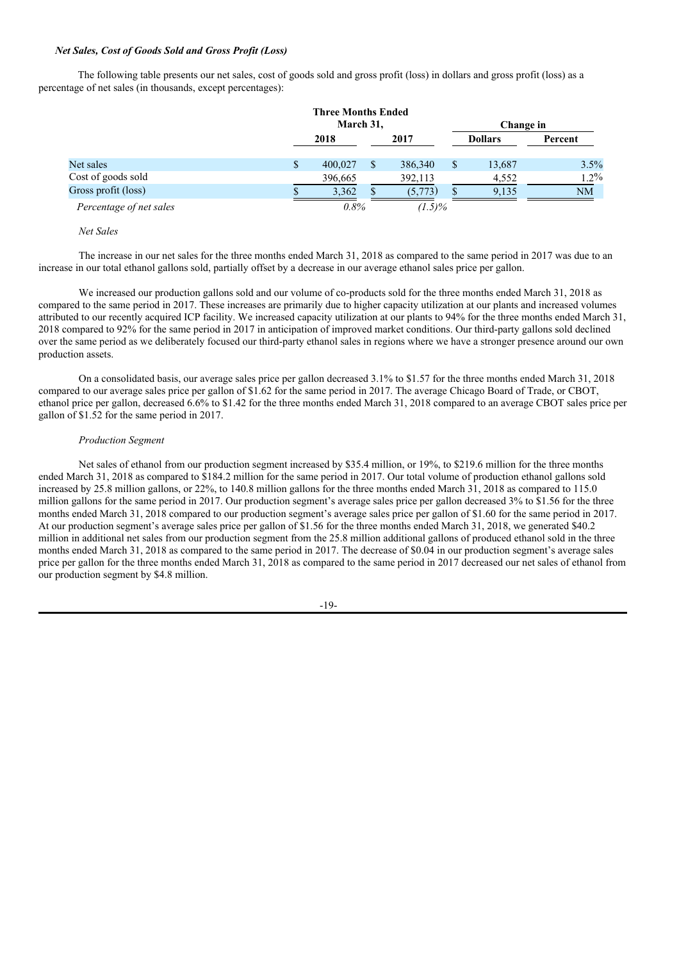#### *Net Sales, Cost of Goods Sold and Gross Profit (Loss)*

The following table presents our net sales, cost of goods sold and gross profit (loss) in dollars and gross profit (loss) as a percentage of net sales (in thousands, except percentages):

|                         |    | <b>Three Months Ended</b> |   |           |     |                |         |  |
|-------------------------|----|---------------------------|---|-----------|-----|----------------|---------|--|
|                         |    | March 31,                 |   |           |     | Change in      |         |  |
|                         |    | 2018                      |   | 2017      |     | <b>Dollars</b> | Percent |  |
|                         |    |                           |   |           |     |                |         |  |
| Net sales               | S. | 400,027                   | S | 386,340   | S   | 13,687         | 3.5%    |  |
| Cost of goods sold      |    | 396,665                   |   | 392,113   |     | 4,552          | $1.2\%$ |  |
| Gross profit (loss)     |    | 3,362                     |   | (5.773)   | Эħ. | 9,135          | NM      |  |
| Percentage of net sales |    | 0.8%                      |   | $(1.5)\%$ |     |                |         |  |

*Net Sales*

The increase in our net sales for the three months ended March 31, 2018 as compared to the same period in 2017 was due to an increase in our total ethanol gallons sold, partially offset by a decrease in our average ethanol sales price per gallon.

We increased our production gallons sold and our volume of co-products sold for the three months ended March 31, 2018 as compared to the same period in 2017. These increases are primarily due to higher capacity utilization at our plants and increased volumes attributed to our recently acquired ICP facility. We increased capacity utilization at our plants to 94% for the three months ended March 31, 2018 compared to 92% for the same period in 2017 in anticipation of improved market conditions. Our third-party gallons sold declined over the same period as we deliberately focused our third-party ethanol sales in regions where we have a stronger presence around our own production assets.

On a consolidated basis, our average sales price per gallon decreased 3.1% to \$1.57 for the three months ended March 31, 2018 compared to our average sales price per gallon of \$1.62 for the same period in 2017. The average Chicago Board of Trade, or CBOT, ethanol price per gallon, decreased 6.6% to \$1.42 for the three months ended March 31, 2018 compared to an average CBOT sales price per gallon of \$1.52 for the same period in 2017.

#### *Production Segment*

Net sales of ethanol from our production segment increased by \$35.4 million, or 19%, to \$219.6 million for the three months ended March 31, 2018 as compared to \$184.2 million for the same period in 2017. Our total volume of production ethanol gallons sold increased by 25.8 million gallons, or 22%, to 140.8 million gallons for the three months ended March 31, 2018 as compared to 115.0 million gallons for the same period in 2017. Our production segment's average sales price per gallon decreased 3% to \$1.56 for the three months ended March 31, 2018 compared to our production segment's average sales price per gallon of \$1.60 for the same period in 2017. At our production segment's average sales price per gallon of \$1.56 for the three months ended March 31, 2018, we generated \$40.2 million in additional net sales from our production segment from the 25.8 million additional gallons of produced ethanol sold in the three months ended March 31, 2018 as compared to the same period in 2017. The decrease of \$0.04 in our production segment's average sales price per gallon for the three months ended March 31, 2018 as compared to the same period in 2017 decreased our net sales of ethanol from our production segment by \$4.8 million.

$$
-19-
$$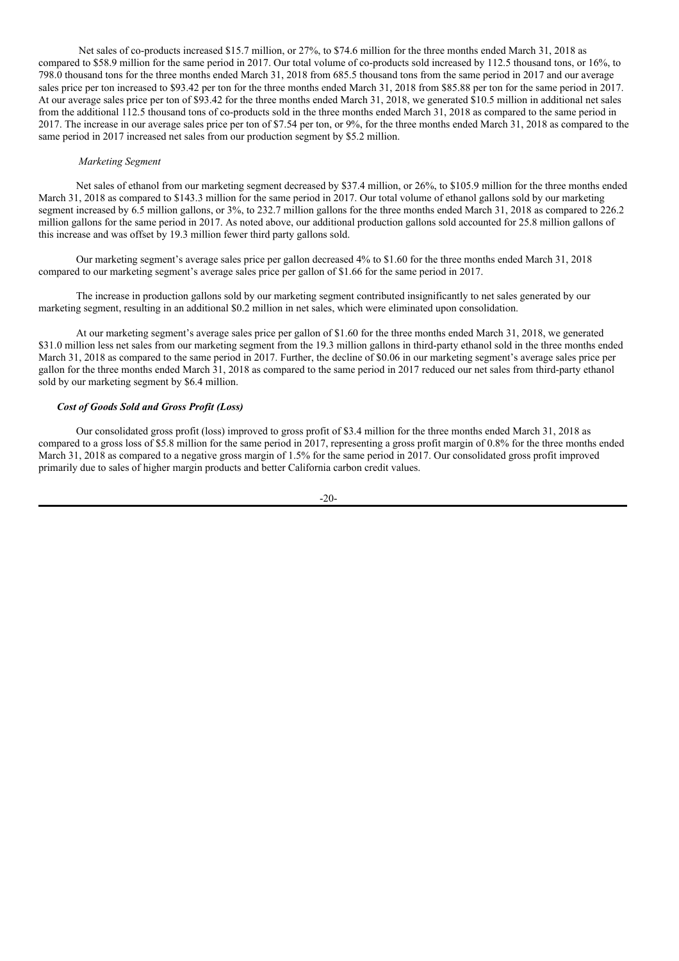Net sales of co-products increased \$15.7 million, or 27%, to \$74.6 million for the three months ended March 31, 2018 as compared to \$58.9 million for the same period in 2017. Our total volume of co-products sold increased by 112.5 thousand tons, or 16%, to 798.0 thousand tons for the three months ended March 31, 2018 from 685.5 thousand tons from the same period in 2017 and our average sales price per ton increased to \$93.42 per ton for the three months ended March 31, 2018 from \$85.88 per ton for the same period in 2017. At our average sales price per ton of \$93.42 for the three months ended March 31, 2018, we generated \$10.5 million in additional net sales from the additional 112.5 thousand tons of co-products sold in the three months ended March 31, 2018 as compared to the same period in 2017. The increase in our average sales price per ton of \$7.54 per ton, or 9%, for the three months ended March 31, 2018 as compared to the same period in 2017 increased net sales from our production segment by \$5.2 million.

#### *Marketing Segment*

Net sales of ethanol from our marketing segment decreased by \$37.4 million, or 26%, to \$105.9 million for the three months ended March 31, 2018 as compared to \$143.3 million for the same period in 2017. Our total volume of ethanol gallons sold by our marketing segment increased by 6.5 million gallons, or 3%, to 232.7 million gallons for the three months ended March 31, 2018 as compared to 226.2 million gallons for the same period in 2017. As noted above, our additional production gallons sold accounted for 25.8 million gallons of this increase and was offset by 19.3 million fewer third party gallons sold.

Our marketing segment's average sales price per gallon decreased 4% to \$1.60 for the three months ended March 31, 2018 compared to our marketing segment's average sales price per gallon of \$1.66 for the same period in 2017.

The increase in production gallons sold by our marketing segment contributed insignificantly to net sales generated by our marketing segment, resulting in an additional \$0.2 million in net sales, which were eliminated upon consolidation.

At our marketing segment's average sales price per gallon of \$1.60 for the three months ended March 31, 2018, we generated \$31.0 million less net sales from our marketing segment from the 19.3 million gallons in third-party ethanol sold in the three months ended March 31, 2018 as compared to the same period in 2017. Further, the decline of \$0.06 in our marketing segment's average sales price per gallon for the three months ended March 31, 2018 as compared to the same period in 2017 reduced our net sales from third-party ethanol sold by our marketing segment by \$6.4 million.

#### *Cost of Goods Sold and Gross Profit (Loss)*

Our consolidated gross profit (loss) improved to gross profit of \$3.4 million for the three months ended March 31, 2018 as compared to a gross loss of \$5.8 million for the same period in 2017, representing a gross profit margin of 0.8% for the three months ended March 31, 2018 as compared to a negative gross margin of 1.5% for the same period in 2017. Our consolidated gross profit improved primarily due to sales of higher margin products and better California carbon credit values.

-20-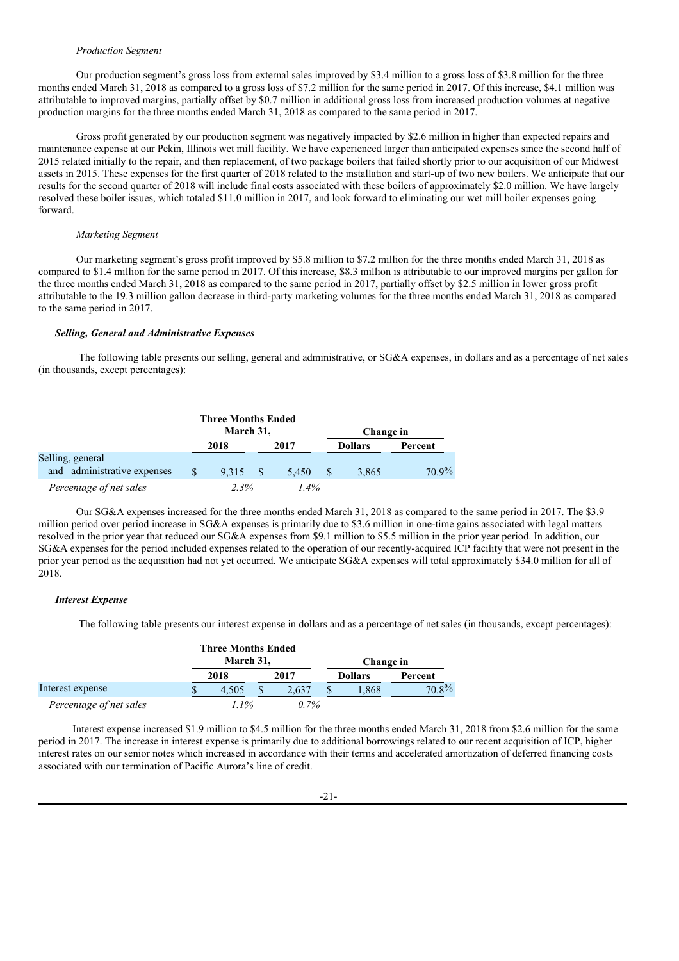#### *Production Segment*

Our production segment's gross loss from external sales improved by \$3.4 million to a gross loss of \$3.8 million for the three months ended March 31, 2018 as compared to a gross loss of \$7.2 million for the same period in 2017. Of this increase, \$4.1 million was attributable to improved margins, partially offset by \$0.7 million in additional gross loss from increased production volumes at negative production margins for the three months ended March 31, 2018 as compared to the same period in 2017.

Gross profit generated by our production segment was negatively impacted by \$2.6 million in higher than expected repairs and maintenance expense at our Pekin, Illinois wet mill facility. We have experienced larger than anticipated expenses since the second half of 2015 related initially to the repair, and then replacement, of two package boilers that failed shortly prior to our acquisition of our Midwest assets in 2015. These expenses for the first quarter of 2018 related to the installation and start-up of two new boilers. We anticipate that our results for the second quarter of 2018 will include final costs associated with these boilers of approximately \$2.0 million. We have largely resolved these boiler issues, which totaled \$11.0 million in 2017, and look forward to eliminating our wet mill boiler expenses going forward.

#### *Marketing Segment*

Our marketing segment's gross profit improved by \$5.8 million to \$7.2 million for the three months ended March 31, 2018 as compared to \$1.4 million for the same period in 2017. Of this increase, \$8.3 million is attributable to our improved margins per gallon for the three months ended March 31, 2018 as compared to the same period in 2017, partially offset by \$2.5 million in lower gross profit attributable to the 19.3 million gallon decrease in third-party marketing volumes for the three months ended March 31, 2018 as compared to the same period in 2017.

## *Selling, General and Administrative Expenses*

The following table presents our selling, general and administrative, or SG&A expenses, in dollars and as a percentage of net sales (in thousands, except percentages):

|                             | <b>Three Months Ended</b> |         |   |                |          |
|-----------------------------|---------------------------|---------|---|----------------|----------|
|                             | March 31,                 |         |   | Change in      |          |
|                             | 2018                      | 2017    |   | <b>Dollars</b> | Percent  |
| Selling, general            |                           |         |   |                |          |
| and administrative expenses | \$<br>9.315               | 5.450   | S | 3.865          | $70.9\%$ |
| Percentage of net sales     | 2.3%                      | $1.4\%$ |   |                |          |

Our SG&A expenses increased for the three months ended March 31, 2018 as compared to the same period in 2017. The \$3.9 million period over period increase in SG&A expenses is primarily due to \$3.6 million in one-time gains associated with legal matters resolved in the prior year that reduced our SG&A expenses from \$9.1 million to \$5.5 million in the prior year period. In addition, our SG&A expenses for the period included expenses related to the operation of our recently-acquired ICP facility that were not present in the prior year period as the acquisition had not yet occurred. We anticipate SG&A expenses will total approximately \$34.0 million for all of 2018.

#### *Interest Expense*

The following table presents our interest expense in dollars and as a percentage of net sales (in thousands, except percentages):

|                         | <b>Three Months Ended</b><br>March 31, |   |         |   | Change in      |          |
|-------------------------|----------------------------------------|---|---------|---|----------------|----------|
|                         | 2018                                   |   | 2017    |   | <b>Dollars</b> | Percent  |
| Interest expense        | 4.505                                  | Ф | 2,637   | S | 1.868          | $70.8\%$ |
| Percentage of net sales | $1\%$                                  |   | $0.7\%$ |   |                |          |

Interest expense increased \$1.9 million to \$4.5 million for the three months ended March 31, 2018 from \$2.6 million for the same period in 2017. The increase in interest expense is primarily due to additional borrowings related to our recent acquisition of ICP, higher interest rates on our senior notes which increased in accordance with their terms and accelerated amortization of deferred financing costs associated with our termination of Pacific Aurora's line of credit.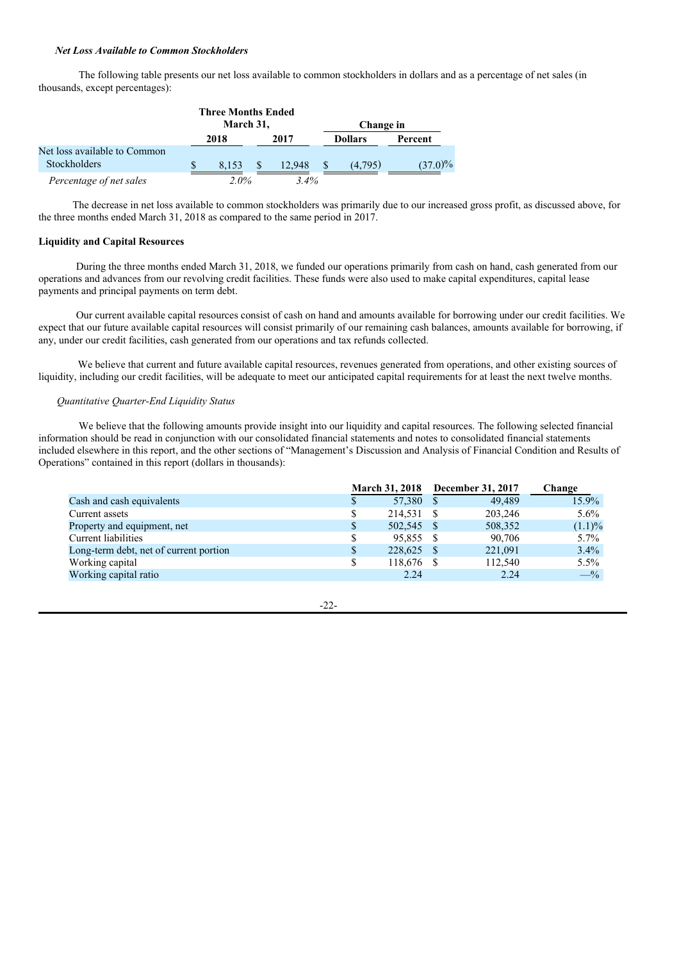#### *Net Loss Available to Common Stockholders*

The following table presents our net loss available to common stockholders in dollars and as a percentage of net sales (in thousands, except percentages):

|                              | <b>Three Months Ended</b><br>March 31, | Change in |  |                |            |
|------------------------------|----------------------------------------|-----------|--|----------------|------------|
|                              | 2018                                   | 2017      |  | <b>Dollars</b> | Percent    |
| Net loss available to Common |                                        |           |  |                |            |
| <b>Stockholders</b>          | 8.153                                  | 12.948    |  | (4.795)        | $(37.0)\%$ |
| Percentage of net sales      | $2.0\%$                                | $3.4\%$   |  |                |            |

The decrease in net loss available to common stockholders was primarily due to our increased gross profit, as discussed above, for the three months ended March 31, 2018 as compared to the same period in 2017.

#### **Liquidity and Capital Resources**

During the three months ended March 31, 2018, we funded our operations primarily from cash on hand, cash generated from our operations and advances from our revolving credit facilities. These funds were also used to make capital expenditures, capital lease payments and principal payments on term debt.

Our current available capital resources consist of cash on hand and amounts available for borrowing under our credit facilities. We expect that our future available capital resources will consist primarily of our remaining cash balances, amounts available for borrowing, if any, under our credit facilities, cash generated from our operations and tax refunds collected.

We believe that current and future available capital resources, revenues generated from operations, and other existing sources of liquidity, including our credit facilities, will be adequate to meet our anticipated capital requirements for at least the next twelve months.

#### *Quantitative Quarter-End Liquidity Status*

We believe that the following amounts provide insight into our liquidity and capital resources. The following selected financial information should be read in conjunction with our consolidated financial statements and notes to consolidated financial statements included elsewhere in this report, and the other sections of "Management's Discussion and Analysis of Financial Condition and Results of Operations" contained in this report (dollars in thousands):

|                                        |    |            | March 31, 2018 December 31, 2017 | Change    |
|----------------------------------------|----|------------|----------------------------------|-----------|
| Cash and cash equivalents              | S. | 57,380     | 49.489                           | 15.9%     |
| Current assets                         | S. | 214,531    | 203,246                          | $5.6\%$   |
| Property and equipment, net            | \$ | 502,545 \$ | 508,352                          | $(1.1)\%$ |
| Current liabilities                    | \$ | 95,855     | 90,706                           | $5.7\%$   |
| Long-term debt, net of current portion | S. | 228,625    | 221,091                          | $3.4\%$   |
| Working capital                        | \$ | 118.676    | 112,540                          | $5.5\%$   |
| Working capital ratio                  |    | 2.24       | 2.24                             | $-$ %     |

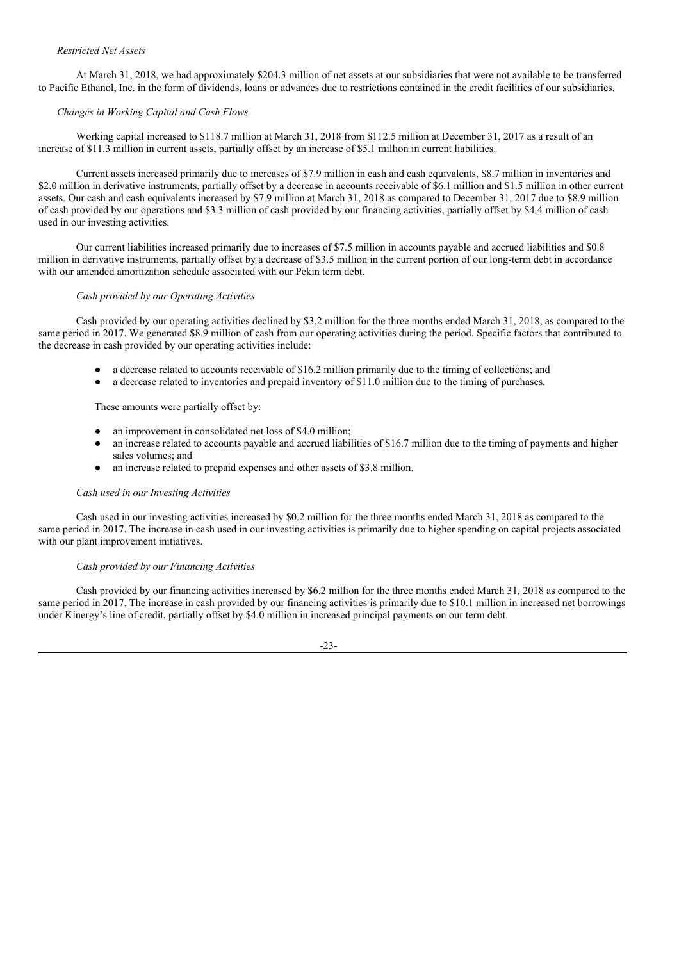#### *Restricted Net Assets*

At March 31, 2018, we had approximately \$204.3 million of net assets at our subsidiaries that were not available to be transferred to Pacific Ethanol, Inc. in the form of dividends, loans or advances due to restrictions contained in the credit facilities of our subsidiaries.

## *Changes in Working Capital and Cash Flows*

Working capital increased to \$118.7 million at March 31, 2018 from \$112.5 million at December 31, 2017 as a result of an increase of \$11.3 million in current assets, partially offset by an increase of \$5.1 million in current liabilities.

Current assets increased primarily due to increases of \$7.9 million in cash and cash equivalents, \$8.7 million in inventories and \$2.0 million in derivative instruments, partially offset by a decrease in accounts receivable of \$6.1 million and \$1.5 million in other current assets. Our cash and cash equivalents increased by \$7.9 million at March 31, 2018 as compared to December 31, 2017 due to \$8.9 million of cash provided by our operations and \$3.3 million of cash provided by our financing activities, partially offset by \$4.4 million of cash used in our investing activities.

Our current liabilities increased primarily due to increases of \$7.5 million in accounts payable and accrued liabilities and \$0.8 million in derivative instruments, partially offset by a decrease of \$3.5 million in the current portion of our long-term debt in accordance with our amended amortization schedule associated with our Pekin term debt.

#### *Cash provided by our Operating Activities*

Cash provided by our operating activities declined by \$3.2 million for the three months ended March 31, 2018, as compared to the same period in 2017. We generated \$8.9 million of cash from our operating activities during the period. Specific factors that contributed to the decrease in cash provided by our operating activities include:

- a decrease related to accounts receivable of \$16.2 million primarily due to the timing of collections; and
- a decrease related to inventories and prepaid inventory of \$11.0 million due to the timing of purchases.

These amounts were partially offset by:

- an improvement in consolidated net loss of \$4.0 million;
- an increase related to accounts payable and accrued liabilities of \$16.7 million due to the timing of payments and higher sales volumes; and
- an increase related to prepaid expenses and other assets of \$3.8 million.

#### *Cash used in our Investing Activities*

Cash used in our investing activities increased by \$0.2 million for the three months ended March 31, 2018 as compared to the same period in 2017. The increase in cash used in our investing activities is primarily due to higher spending on capital projects associated with our plant improvement initiatives.

#### *Cash provided by our Financing Activities*

Cash provided by our financing activities increased by \$6.2 million for the three months ended March 31, 2018 as compared to the same period in 2017. The increase in cash provided by our financing activities is primarily due to \$10.1 million in increased net borrowings under Kinergy's line of credit, partially offset by \$4.0 million in increased principal payments on our term debt.

-23-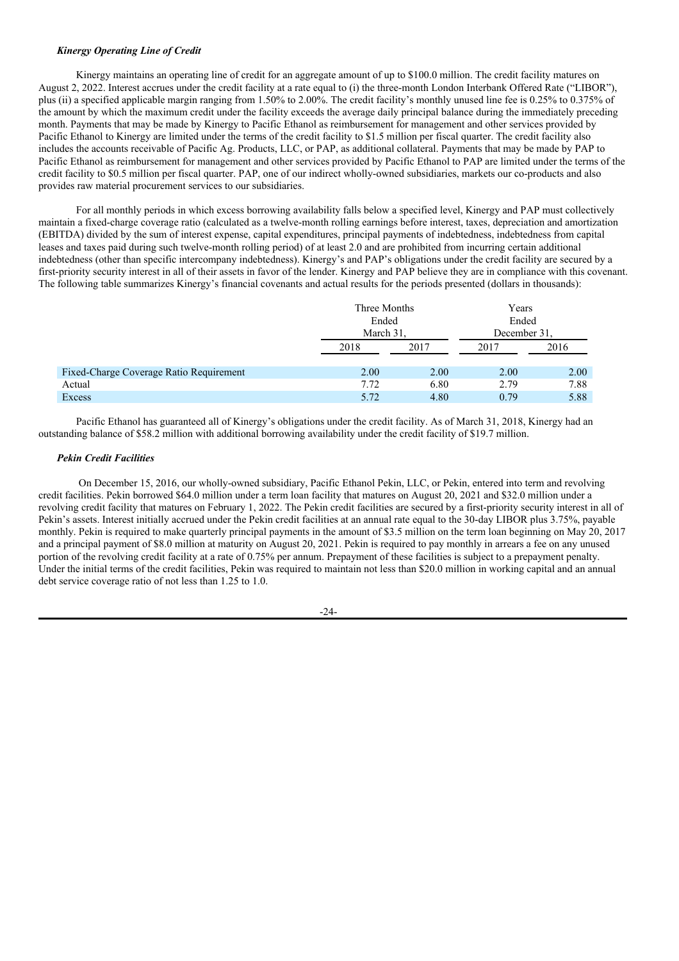#### *Kinergy Operating Line of Credit*

Kinergy maintains an operating line of credit for an aggregate amount of up to \$100.0 million. The credit facility matures on August 2, 2022. Interest accrues under the credit facility at a rate equal to (i) the three-month London Interbank Offered Rate ("LIBOR"), plus (ii) a specified applicable margin ranging from 1.50% to 2.00%. The credit facility's monthly unused line fee is 0.25% to 0.375% of the amount by which the maximum credit under the facility exceeds the average daily principal balance during the immediately preceding month. Payments that may be made by Kinergy to Pacific Ethanol as reimbursement for management and other services provided by Pacific Ethanol to Kinergy are limited under the terms of the credit facility to \$1.5 million per fiscal quarter. The credit facility also includes the accounts receivable of Pacific Ag. Products, LLC, or PAP, as additional collateral. Payments that may be made by PAP to Pacific Ethanol as reimbursement for management and other services provided by Pacific Ethanol to PAP are limited under the terms of the credit facility to \$0.5 million per fiscal quarter. PAP, one of our indirect wholly-owned subsidiaries, markets our co-products and also provides raw material procurement services to our subsidiaries.

For all monthly periods in which excess borrowing availability falls below a specified level, Kinergy and PAP must collectively maintain a fixed-charge coverage ratio (calculated as a twelve-month rolling earnings before interest, taxes, depreciation and amortization (EBITDA) divided by the sum of interest expense, capital expenditures, principal payments of indebtedness, indebtedness from capital leases and taxes paid during such twelve-month rolling period) of at least 2.0 and are prohibited from incurring certain additional indebtedness (other than specific intercompany indebtedness). Kinergy's and PAP's obligations under the credit facility are secured by a first-priority security interest in all of their assets in favor of the lender. Kinergy and PAP believe they are in compliance with this covenant. The following table summarizes Kinergy's financial covenants and actual results for the periods presented (dollars in thousands):

|                                         | Three Months |      | Years        |      |  |
|-----------------------------------------|--------------|------|--------------|------|--|
|                                         | Ended        |      | Ended        |      |  |
|                                         | March 31,    |      | December 31. |      |  |
|                                         | 2018<br>2017 |      | 2017         | 2016 |  |
|                                         |              |      |              |      |  |
| Fixed-Charge Coverage Ratio Requirement | 2.00         | 2.00 | 2.00         | 2.00 |  |
| Actual                                  | 7.72         | 6.80 | 2.79         | 7.88 |  |
| Excess                                  | 5.72         | 4.80 | 0.79         | 5.88 |  |

Pacific Ethanol has guaranteed all of Kinergy's obligations under the credit facility. As of March 31, 2018, Kinergy had an outstanding balance of \$58.2 million with additional borrowing availability under the credit facility of \$19.7 million.

#### *Pekin Credit Facilities*

On December 15, 2016, our wholly-owned subsidiary, Pacific Ethanol Pekin, LLC, or Pekin, entered into term and revolving credit facilities. Pekin borrowed \$64.0 million under a term loan facility that matures on August 20, 2021 and \$32.0 million under a revolving credit facility that matures on February 1, 2022. The Pekin credit facilities are secured by a first-priority security interest in all of Pekin's assets. Interest initially accrued under the Pekin credit facilities at an annual rate equal to the 30-day LIBOR plus 3.75%, payable monthly. Pekin is required to make quarterly principal payments in the amount of \$3.5 million on the term loan beginning on May 20, 2017 and a principal payment of \$8.0 million at maturity on August 20, 2021. Pekin is required to pay monthly in arrears a fee on any unused portion of the revolving credit facility at a rate of 0.75% per annum. Prepayment of these facilities is subject to a prepayment penalty. Under the initial terms of the credit facilities, Pekin was required to maintain not less than \$20.0 million in working capital and an annual debt service coverage ratio of not less than 1.25 to 1.0.

-24-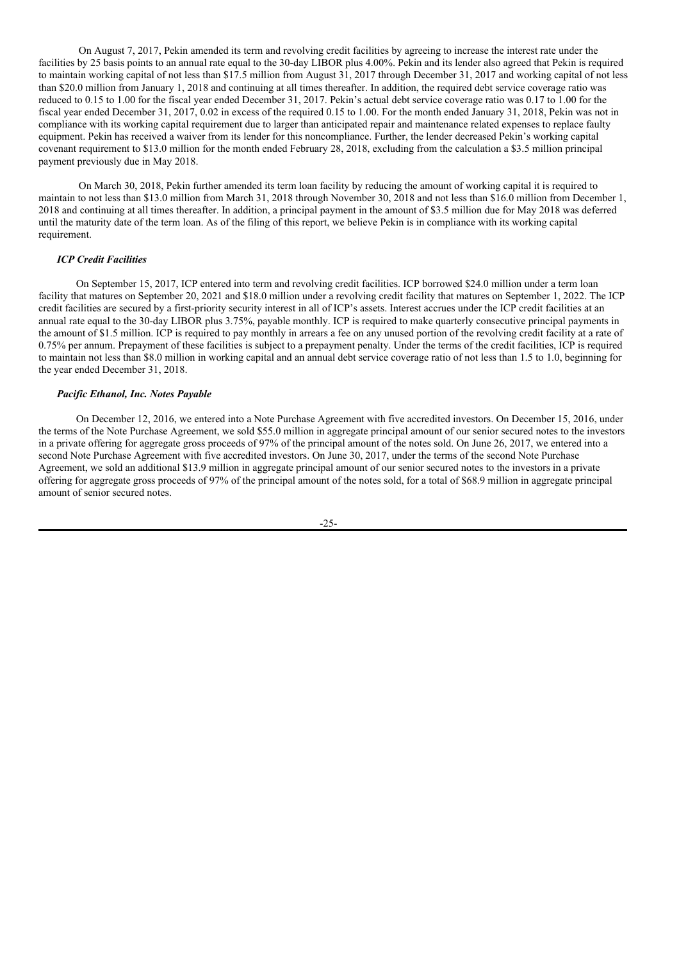On August 7, 2017, Pekin amended its term and revolving credit facilities by agreeing to increase the interest rate under the facilities by 25 basis points to an annual rate equal to the 30-day LIBOR plus 4.00%. Pekin and its lender also agreed that Pekin is required to maintain working capital of not less than \$17.5 million from August 31, 2017 through December 31, 2017 and working capital of not less than \$20.0 million from January 1, 2018 and continuing at all times thereafter. In addition, the required debt service coverage ratio was reduced to 0.15 to 1.00 for the fiscal year ended December 31, 2017. Pekin's actual debt service coverage ratio was 0.17 to 1.00 for the fiscal year ended December 31, 2017, 0.02 in excess of the required 0.15 to 1.00. For the month ended January 31, 2018, Pekin was not in compliance with its working capital requirement due to larger than anticipated repair and maintenance related expenses to replace faulty equipment. Pekin has received a waiver from its lender for this noncompliance. Further, the lender decreased Pekin's working capital covenant requirement to \$13.0 million for the month ended February 28, 2018, excluding from the calculation a \$3.5 million principal payment previously due in May 2018.

On March 30, 2018, Pekin further amended its term loan facility by reducing the amount of working capital it is required to maintain to not less than \$13.0 million from March 31, 2018 through November 30, 2018 and not less than \$16.0 million from December 1, 2018 and continuing at all times thereafter. In addition, a principal payment in the amount of \$3.5 million due for May 2018 was deferred until the maturity date of the term loan. As of the filing of this report, we believe Pekin is in compliance with its working capital requirement.

#### *ICP Credit Facilities*

On September 15, 2017, ICP entered into term and revolving credit facilities. ICP borrowed \$24.0 million under a term loan facility that matures on September 20, 2021 and \$18.0 million under a revolving credit facility that matures on September 1, 2022. The ICP credit facilities are secured by a first-priority security interest in all of ICP's assets. Interest accrues under the ICP credit facilities at an annual rate equal to the 30-day LIBOR plus 3.75%, payable monthly. ICP is required to make quarterly consecutive principal payments in the amount of \$1.5 million. ICP is required to pay monthly in arrears a fee on any unused portion of the revolving credit facility at a rate of 0.75% per annum. Prepayment of these facilities is subject to a prepayment penalty. Under the terms of the credit facilities, ICP is required to maintain not less than \$8.0 million in working capital and an annual debt service coverage ratio of not less than 1.5 to 1.0, beginning for the year ended December 31, 2018.

## *Pacific Ethanol, Inc. Notes Payable*

On December 12, 2016, we entered into a Note Purchase Agreement with five accredited investors. On December 15, 2016, under the terms of the Note Purchase Agreement, we sold \$55.0 million in aggregate principal amount of our senior secured notes to the investors in a private offering for aggregate gross proceeds of 97% of the principal amount of the notes sold. On June 26, 2017, we entered into a second Note Purchase Agreement with five accredited investors. On June 30, 2017, under the terms of the second Note Purchase Agreement, we sold an additional \$13.9 million in aggregate principal amount of our senior secured notes to the investors in a private offering for aggregate gross proceeds of 97% of the principal amount of the notes sold, for a total of \$68.9 million in aggregate principal amount of senior secured notes.

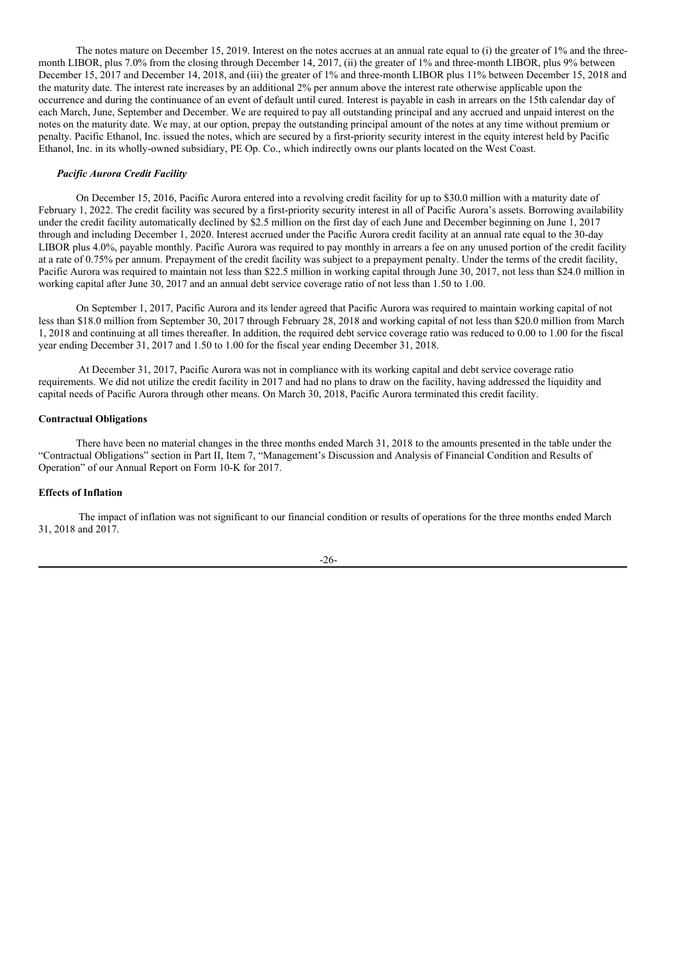The notes mature on December 15, 2019. Interest on the notes accrues at an annual rate equal to (i) the greater of 1% and the threemonth LIBOR, plus 7.0% from the closing through December 14, 2017, (ii) the greater of 1% and three-month LIBOR, plus 9% between December 15, 2017 and December 14, 2018, and (iii) the greater of 1% and three-month LIBOR plus 11% between December 15, 2018 and the maturity date. The interest rate increases by an additional 2% per annum above the interest rate otherwise applicable upon the occurrence and during the continuance of an event of default until cured. Interest is payable in cash in arrears on the 15th calendar day of each March, June, September and December. We are required to pay all outstanding principal and any accrued and unpaid interest on the notes on the maturity date. We may, at our option, prepay the outstanding principal amount of the notes at any time without premium or penalty. Pacific Ethanol, Inc. issued the notes, which are secured by a first-priority security interest in the equity interest held by Pacific Ethanol, Inc. in its wholly-owned subsidiary, PE Op. Co., which indirectly owns our plants located on the West Coast.

#### *Pacific Aurora Credit Facility*

On December 15, 2016, Pacific Aurora entered into a revolving credit facility for up to \$30.0 million with a maturity date of February 1, 2022. The credit facility was secured by a first-priority security interest in all of Pacific Aurora's assets. Borrowing availability under the credit facility automatically declined by \$2.5 million on the first day of each June and December beginning on June 1, 2017 through and including December 1, 2020. Interest accrued under the Pacific Aurora credit facility at an annual rate equal to the 30-day LIBOR plus 4.0%, payable monthly. Pacific Aurora was required to pay monthly in arrears a fee on any unused portion of the credit facility at a rate of 0.75% per annum. Prepayment of the credit facility was subject to a prepayment penalty. Under the terms of the credit facility, Pacific Aurora was required to maintain not less than \$22.5 million in working capital through June 30, 2017, not less than \$24.0 million in working capital after June 30, 2017 and an annual debt service coverage ratio of not less than 1.50 to 1.00.

On September 1, 2017, Pacific Aurora and its lender agreed that Pacific Aurora was required to maintain working capital of not less than \$18.0 million from September 30, 2017 through February 28, 2018 and working capital of not less than \$20.0 million from March 1, 2018 and continuing at all times thereafter. In addition, the required debt service coverage ratio was reduced to 0.00 to 1.00 for the fiscal year ending December 31, 2017 and 1.50 to 1.00 for the fiscal year ending December 31, 2018.

At December 31, 2017, Pacific Aurora was not in compliance with its working capital and debt service coverage ratio requirements. We did not utilize the credit facility in 2017 and had no plans to draw on the facility, having addressed the liquidity and capital needs of Pacific Aurora through other means. On March 30, 2018, Pacific Aurora terminated this credit facility.

## **Contractual Obligations**

There have been no material changes in the three months ended March 31, 2018 to the amounts presented in the table under the "Contractual Obligations" section in Part II, Item 7, "Management's Discussion and Analysis of Financial Condition and Results of Operation" of our Annual Report on Form 10-K for 2017.

#### **Effects of Inflation**

The impact of inflation was not significant to our financial condition or results of operations for the three months ended March 31, 2018 and 2017.

-26-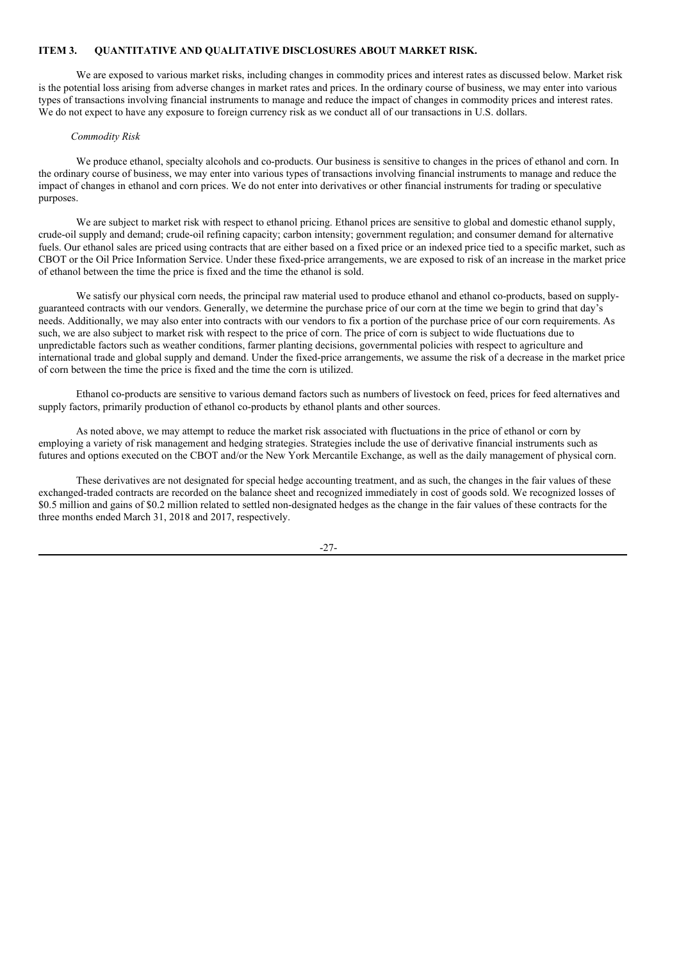## **ITEM 3. QUANTITATIVE AND QUALITATIVE DISCLOSURES ABOUT MARKET RISK.**

We are exposed to various market risks, including changes in commodity prices and interest rates as discussed below. Market risk is the potential loss arising from adverse changes in market rates and prices. In the ordinary course of business, we may enter into various types of transactions involving financial instruments to manage and reduce the impact of changes in commodity prices and interest rates. We do not expect to have any exposure to foreign currency risk as we conduct all of our transactions in U.S. dollars.

#### *Commodity Risk*

We produce ethanol, specialty alcohols and co-products. Our business is sensitive to changes in the prices of ethanol and corn. In the ordinary course of business, we may enter into various types of transactions involving financial instruments to manage and reduce the impact of changes in ethanol and corn prices. We do not enter into derivatives or other financial instruments for trading or speculative purposes.

We are subject to market risk with respect to ethanol pricing. Ethanol prices are sensitive to global and domestic ethanol supply, crude-oil supply and demand; crude-oil refining capacity; carbon intensity; government regulation; and consumer demand for alternative fuels. Our ethanol sales are priced using contracts that are either based on a fixed price or an indexed price tied to a specific market, such as CBOT or the Oil Price Information Service. Under these fixed-price arrangements, we are exposed to risk of an increase in the market price of ethanol between the time the price is fixed and the time the ethanol is sold.

We satisfy our physical corn needs, the principal raw material used to produce ethanol and ethanol co-products, based on supplyguaranteed contracts with our vendors. Generally, we determine the purchase price of our corn at the time we begin to grind that day's needs. Additionally, we may also enter into contracts with our vendors to fix a portion of the purchase price of our corn requirements. As such, we are also subject to market risk with respect to the price of corn. The price of corn is subject to wide fluctuations due to unpredictable factors such as weather conditions, farmer planting decisions, governmental policies with respect to agriculture and international trade and global supply and demand. Under the fixed-price arrangements, we assume the risk of a decrease in the market price of corn between the time the price is fixed and the time the corn is utilized.

Ethanol co-products are sensitive to various demand factors such as numbers of livestock on feed, prices for feed alternatives and supply factors, primarily production of ethanol co-products by ethanol plants and other sources.

As noted above, we may attempt to reduce the market risk associated with fluctuations in the price of ethanol or corn by employing a variety of risk management and hedging strategies. Strategies include the use of derivative financial instruments such as futures and options executed on the CBOT and/or the New York Mercantile Exchange, as well as the daily management of physical corn.

These derivatives are not designated for special hedge accounting treatment, and as such, the changes in the fair values of these exchanged-traded contracts are recorded on the balance sheet and recognized immediately in cost of goods sold. We recognized losses of \$0.5 million and gains of \$0.2 million related to settled non-designated hedges as the change in the fair values of these contracts for the three months ended March 31, 2018 and 2017, respectively.

-27-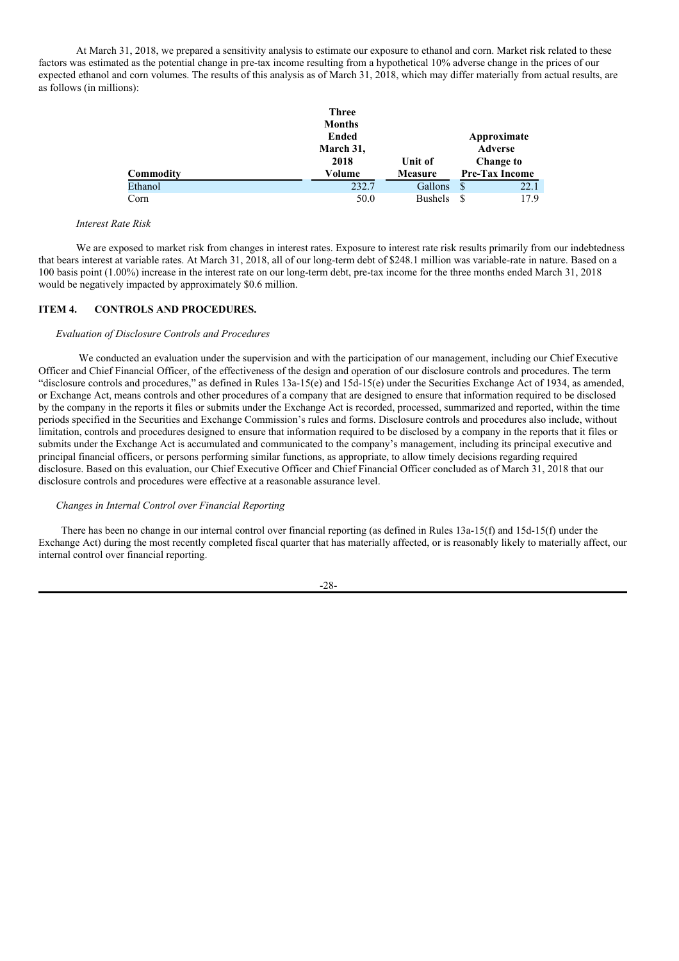At March 31, 2018, we prepared a sensitivity analysis to estimate our exposure to ethanol and corn. Market risk related to these factors was estimated as the potential change in pre-tax income resulting from a hypothetical 10% adverse change in the prices of our expected ethanol and corn volumes. The results of this analysis as of March 31, 2018, which may differ materially from actual results, are as follows (in millions):

|           | <b>Three</b>  |                |                       |
|-----------|---------------|----------------|-----------------------|
|           | <b>Months</b> |                |                       |
|           | Ended         |                | Approximate           |
|           | March 31,     |                | Adverse               |
|           | 2018          | Unit of        | Change to             |
| Commodity | Volume        | <b>Measure</b> | <b>Pre-Tax Income</b> |
| Ethanol   | 232.7         | Gallons        | 22.1<br>S             |
| Corn      | 50.0          | <b>Bushels</b> | 17.9<br>S             |

#### *Interest Rate Risk*

We are exposed to market risk from changes in interest rates. Exposure to interest rate risk results primarily from our indebtedness that bears interest at variable rates. At March 31, 2018, all of our long-term debt of \$248.1 million was variable-rate in nature. Based on a 100 basis point (1.00%) increase in the interest rate on our long-term debt, pre-tax income for the three months ended March 31, 2018 would be negatively impacted by approximately \$0.6 million.

#### **ITEM 4. CONTROLS AND PROCEDURES.**

#### *Evaluation of Disclosure Controls and Procedures*

We conducted an evaluation under the supervision and with the participation of our management, including our Chief Executive Officer and Chief Financial Officer, of the effectiveness of the design and operation of our disclosure controls and procedures. The term "disclosure controls and procedures," as defined in Rules  $13a-15(e)$  and  $15d-15(e)$  under the Securities Exchange Act of 1934, as amended, or Exchange Act, means controls and other procedures of a company that are designed to ensure that information required to be disclosed by the company in the reports it files or submits under the Exchange Act is recorded, processed, summarized and reported, within the time periods specified in the Securities and Exchange Commission's rules and forms. Disclosure controls and procedures also include, without limitation, controls and procedures designed to ensure that information required to be disclosed by a company in the reports that it files or submits under the Exchange Act is accumulated and communicated to the company's management, including its principal executive and principal financial officers, or persons performing similar functions, as appropriate, to allow timely decisions regarding required disclosure. Based on this evaluation, our Chief Executive Officer and Chief Financial Officer concluded as of March 31, 2018 that our disclosure controls and procedures were effective at a reasonable assurance level.

#### *Changes in Internal Control over Financial Reporting*

There has been no change in our internal control over financial reporting (as defined in Rules 13a-15(f) and 15d-15(f) under the Exchange Act) during the most recently completed fiscal quarter that has materially affected, or is reasonably likely to materially affect, our internal control over financial reporting.

#### -28-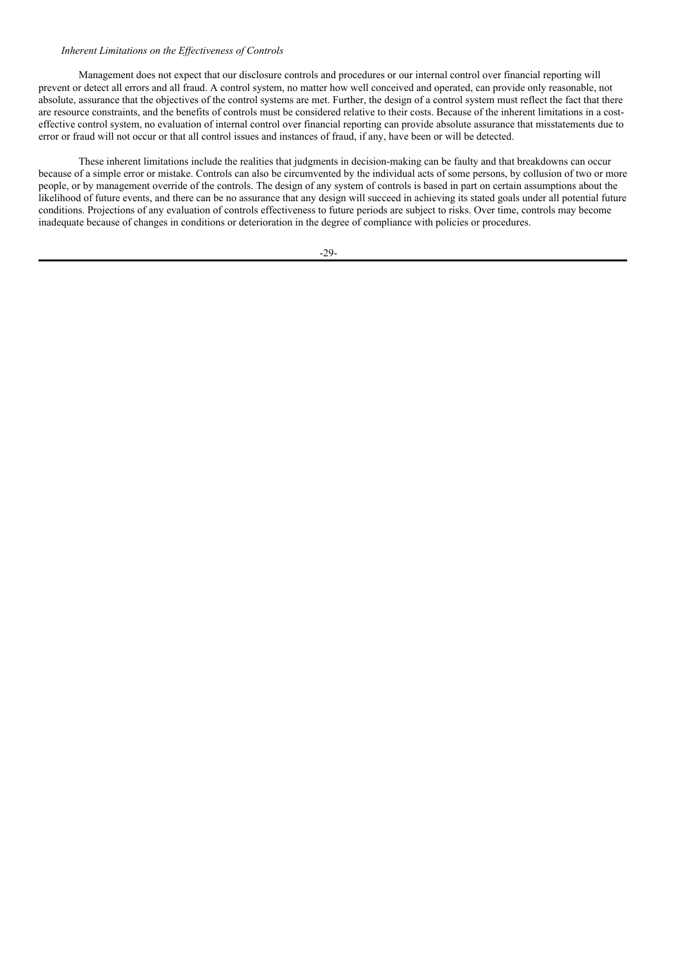#### *Inherent Limitations on the Ef ectiveness of Controls*

Management does not expect that our disclosure controls and procedures or our internal control over financial reporting will prevent or detect all errors and all fraud. A control system, no matter how well conceived and operated, can provide only reasonable, not absolute, assurance that the objectives of the control systems are met. Further, the design of a control system must reflect the fact that there are resource constraints, and the benefits of controls must be considered relative to their costs. Because of the inherent limitations in a costeffective control system, no evaluation of internal control over financial reporting can provide absolute assurance that misstatements due to error or fraud will not occur or that all control issues and instances of fraud, if any, have been or will be detected.

These inherent limitations include the realities that judgments in decision-making can be faulty and that breakdowns can occur because of a simple error or mistake. Controls can also be circumvented by the individual acts of some persons, by collusion of two or more people, or by management override of the controls. The design of any system of controls is based in part on certain assumptions about the likelihood of future events, and there can be no assurance that any design will succeed in achieving its stated goals under all potential future conditions. Projections of any evaluation of controls effectiveness to future periods are subject to risks. Over time, controls may become inadequate because of changes in conditions or deterioration in the degree of compliance with policies or procedures.

-29-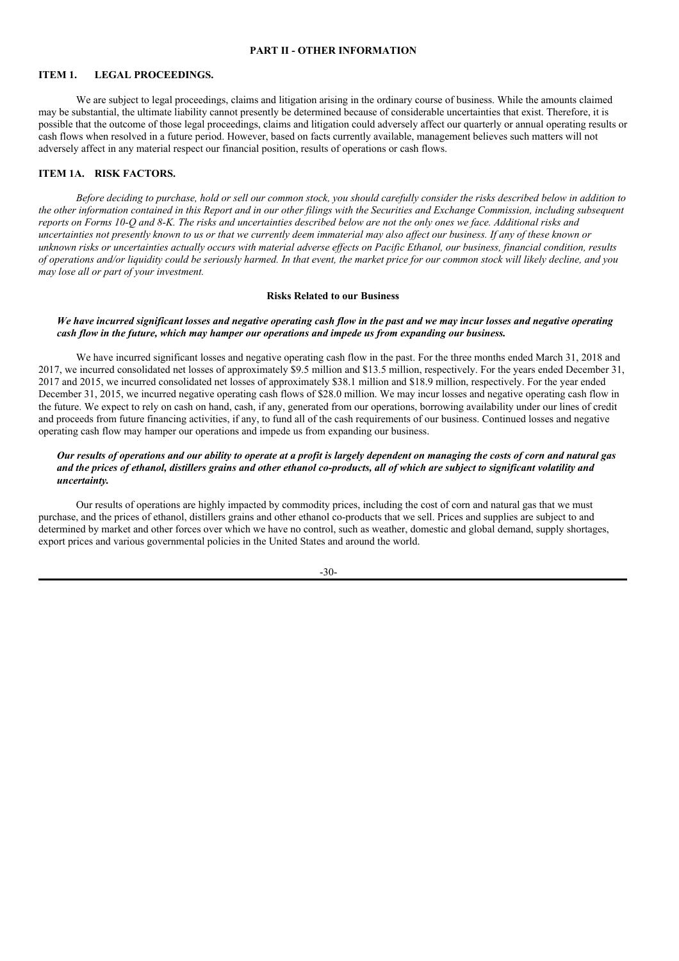#### **PART II - OTHER INFORMATION**

## **ITEM 1. LEGAL PROCEEDINGS.**

We are subject to legal proceedings, claims and litigation arising in the ordinary course of business. While the amounts claimed may be substantial, the ultimate liability cannot presently be determined because of considerable uncertainties that exist. Therefore, it is possible that the outcome of those legal proceedings, claims and litigation could adversely affect our quarterly or annual operating results or cash flows when resolved in a future period. However, based on facts currently available, management believes such matters will not adversely affect in any material respect our financial position, results of operations or cash flows.

## **ITEM 1A. RISK FACTORS.**

Before deciding to purchase, hold or sell our common stock, you should carefully consider the risks described below in addition to the other information contained in this Report and in our other filings with the Securities and Exchange Commission, including subsequent reports on Forms 10-O and 8-K. The risks and uncertainties described below are not the only ones we face. Additional risks and uncertainties not presently known to us or that we currently deem immaterial may also affect our business. If any of these known or unknown risks or uncertainties actually occurs with material adverse effects on Pacific Ethanol, our business, financial condition, results of operations and/or liquidity could be seriously harmed. In that event, the market price for our common stock will likely decline, and you *may lose all or part of your investment.*

#### **Risks Related to our Business**

#### We have incurred significant losses and negative operating cash flow in the past and we may incur losses and negative operating *cash flow in the future, which may hamper our operations and impede us from expanding our business.*

We have incurred significant losses and negative operating cash flow in the past. For the three months ended March 31, 2018 and 2017, we incurred consolidated net losses of approximately \$9.5 million and \$13.5 million, respectively. For the years ended December 31, 2017 and 2015, we incurred consolidated net losses of approximately \$38.1 million and \$18.9 million, respectively. For the year ended December 31, 2015, we incurred negative operating cash flows of \$28.0 million. We may incur losses and negative operating cash flow in the future. We expect to rely on cash on hand, cash, if any, generated from our operations, borrowing availability under our lines of credit and proceeds from future financing activities, if any, to fund all of the cash requirements of our business. Continued losses and negative operating cash flow may hamper our operations and impede us from expanding our business.

## Our results of operations and our ability to operate at a profit is largely dependent on managing the costs of corn and natural gas and the prices of ethanol, distillers grains and other ethanol co-products, all of which are subject to significant volatility and *uncertainty.*

Our results of operations are highly impacted by commodity prices, including the cost of corn and natural gas that we must purchase, and the prices of ethanol, distillers grains and other ethanol co-products that we sell. Prices and supplies are subject to and determined by market and other forces over which we have no control, such as weather, domestic and global demand, supply shortages, export prices and various governmental policies in the United States and around the world.

 $-30-$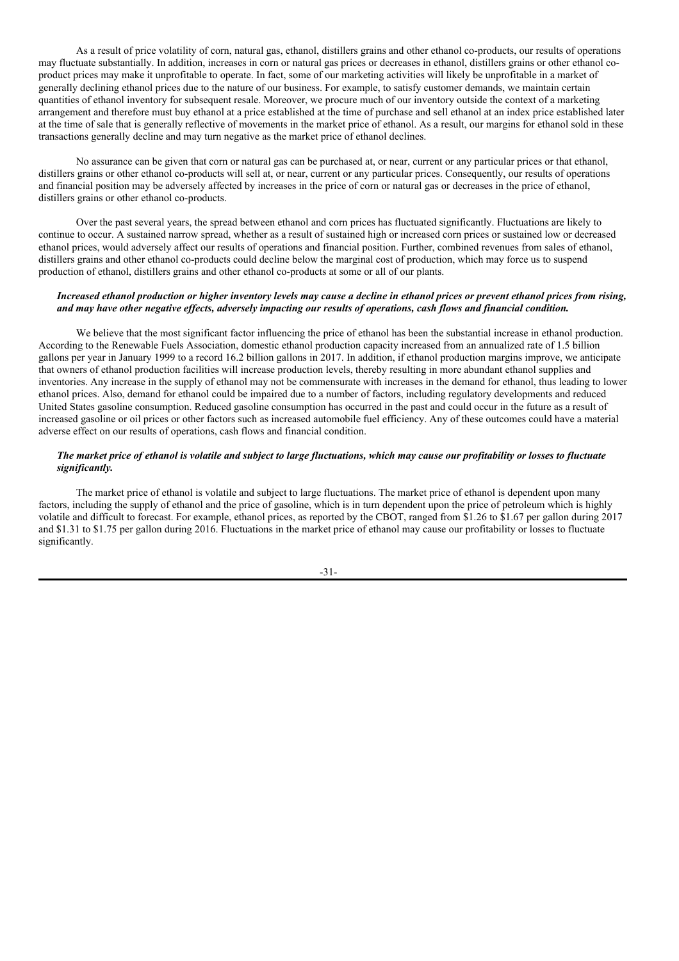As a result of price volatility of corn, natural gas, ethanol, distillers grains and other ethanol co-products, our results of operations may fluctuate substantially. In addition, increases in corn or natural gas prices or decreases in ethanol, distillers grains or other ethanol coproduct prices may make it unprofitable to operate. In fact, some of our marketing activities will likely be unprofitable in a market of generally declining ethanol prices due to the nature of our business. For example, to satisfy customer demands, we maintain certain quantities of ethanol inventory for subsequent resale. Moreover, we procure much of our inventory outside the context of a marketing arrangement and therefore must buy ethanol at a price established at the time of purchase and sell ethanol at an index price established later at the time of sale that is generally reflective of movements in the market price of ethanol. As a result, our margins for ethanol sold in these transactions generally decline and may turn negative as the market price of ethanol declines.

No assurance can be given that corn or natural gas can be purchased at, or near, current or any particular prices or that ethanol, distillers grains or other ethanol co-products will sell at, or near, current or any particular prices. Consequently, our results of operations and financial position may be adversely affected by increases in the price of corn or natural gas or decreases in the price of ethanol, distillers grains or other ethanol co-products.

Over the past several years, the spread between ethanol and corn prices has fluctuated significantly. Fluctuations are likely to continue to occur. A sustained narrow spread, whether as a result of sustained high or increased corn prices or sustained low or decreased ethanol prices, would adversely affect our results of operations and financial position. Further, combined revenues from sales of ethanol, distillers grains and other ethanol co-products could decline below the marginal cost of production, which may force us to suspend production of ethanol, distillers grains and other ethanol co-products at some or all of our plants.

## Increased ethanol production or higher inventory levels may cause a decline in ethanol prices or prevent ethanol prices from rising, and may have other negative effects, adversely impacting our results of operations, cash flows and financial condition.

We believe that the most significant factor influencing the price of ethanol has been the substantial increase in ethanol production. According to the Renewable Fuels Association, domestic ethanol production capacity increased from an annualized rate of 1.5 billion gallons per year in January 1999 to a record 16.2 billion gallons in 2017. In addition, if ethanol production margins improve, we anticipate that owners of ethanol production facilities will increase production levels, thereby resulting in more abundant ethanol supplies and inventories. Any increase in the supply of ethanol may not be commensurate with increases in the demand for ethanol, thus leading to lower ethanol prices. Also, demand for ethanol could be impaired due to a number of factors, including regulatory developments and reduced United States gasoline consumption. Reduced gasoline consumption has occurred in the past and could occur in the future as a result of increased gasoline or oil prices or other factors such as increased automobile fuel efficiency. Any of these outcomes could have a material adverse effect on our results of operations, cash flows and financial condition.

## The market price of ethanol is volatile and subject to large fluctuations, which may cause our profitability or losses to fluctuate *significantly.*

The market price of ethanol is volatile and subject to large fluctuations. The market price of ethanol is dependent upon many factors, including the supply of ethanol and the price of gasoline, which is in turn dependent upon the price of petroleum which is highly volatile and difficult to forecast. For example, ethanol prices, as reported by the CBOT, ranged from \$1.26 to \$1.67 per gallon during 2017 and \$1.31 to \$1.75 per gallon during 2016. Fluctuations in the market price of ethanol may cause our profitability or losses to fluctuate significantly.

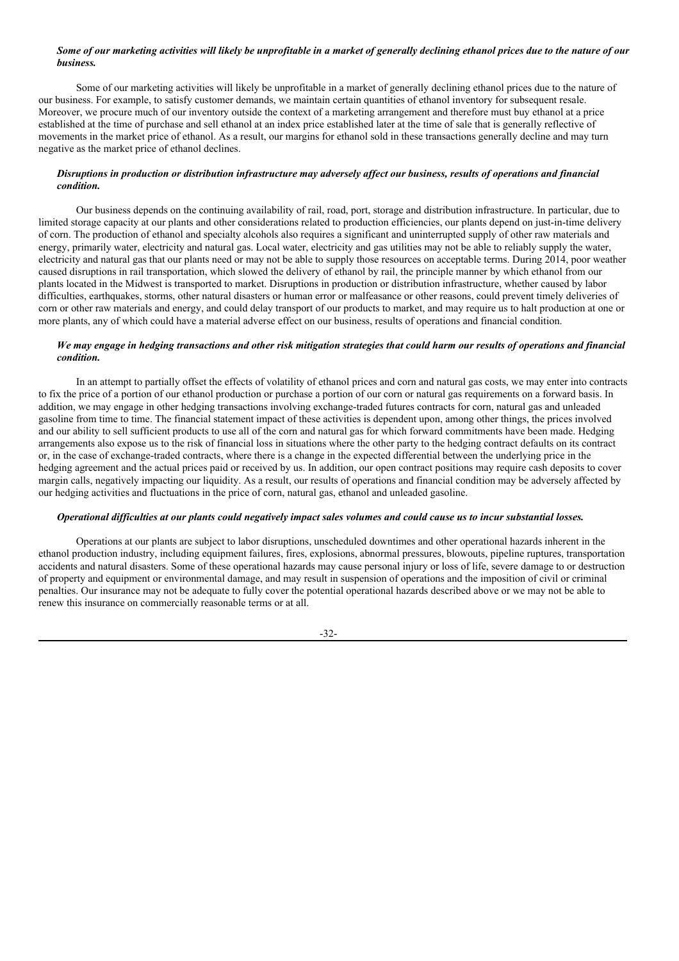## Some of our marketing activities will likely be unprofitable in a market of generally declining ethanol prices due to the nature of our *business.*

Some of our marketing activities will likely be unprofitable in a market of generally declining ethanol prices due to the nature of our business. For example, to satisfy customer demands, we maintain certain quantities of ethanol inventory for subsequent resale. Moreover, we procure much of our inventory outside the context of a marketing arrangement and therefore must buy ethanol at a price established at the time of purchase and sell ethanol at an index price established later at the time of sale that is generally reflective of movements in the market price of ethanol. As a result, our margins for ethanol sold in these transactions generally decline and may turn negative as the market price of ethanol declines.

## Disruptions in production or distribution infrastructure may adversely affect our business, results of operations and financial *condition.*

Our business depends on the continuing availability of rail, road, port, storage and distribution infrastructure. In particular, due to limited storage capacity at our plants and other considerations related to production efficiencies, our plants depend on just-in-time delivery of corn. The production of ethanol and specialty alcohols also requires a significant and uninterrupted supply of other raw materials and energy, primarily water, electricity and natural gas. Local water, electricity and gas utilities may not be able to reliably supply the water, electricity and natural gas that our plants need or may not be able to supply those resources on acceptable terms. During 2014, poor weather caused disruptions in rail transportation, which slowed the delivery of ethanol by rail, the principle manner by which ethanol from our plants located in the Midwest is transported to market. Disruptions in production or distribution infrastructure, whether caused by labor difficulties, earthquakes, storms, other natural disasters or human error or malfeasance or other reasons, could prevent timely deliveries of corn or other raw materials and energy, and could delay transport of our products to market, and may require us to halt production at one or more plants, any of which could have a material adverse effect on our business, results of operations and financial condition.

## We may engage in hedging transactions and other risk mitigation strategies that could harm our results of operations and financial *condition.*

In an attempt to partially offset the effects of volatility of ethanol prices and corn and natural gas costs, we may enter into contracts to fix the price of a portion of our ethanol production or purchase a portion of our corn or natural gas requirements on a forward basis. In addition, we may engage in other hedging transactions involving exchange-traded futures contracts for corn, natural gas and unleaded gasoline from time to time. The financial statement impact of these activities is dependent upon, among other things, the prices involved and our ability to sell sufficient products to use all of the corn and natural gas for which forward commitments have been made. Hedging arrangements also expose us to the risk of financial loss in situations where the other party to the hedging contract defaults on its contract or, in the case of exchange-traded contracts, where there is a change in the expected differential between the underlying price in the hedging agreement and the actual prices paid or received by us. In addition, our open contract positions may require cash deposits to cover margin calls, negatively impacting our liquidity. As a result, our results of operations and financial condition may be adversely affected by our hedging activities and fluctuations in the price of corn, natural gas, ethanol and unleaded gasoline.

# Operational difficulties at our plants could negatively impact sales volumes and could cause us to incur substantial losses.

Operations at our plants are subject to labor disruptions, unscheduled downtimes and other operational hazards inherent in the ethanol production industry, including equipment failures, fires, explosions, abnormal pressures, blowouts, pipeline ruptures, transportation accidents and natural disasters. Some of these operational hazards may cause personal injury or loss of life, severe damage to or destruction of property and equipment or environmental damage, and may result in suspension of operations and the imposition of civil or criminal penalties. Our insurance may not be adequate to fully cover the potential operational hazards described above or we may not be able to renew this insurance on commercially reasonable terms or at all.

#### -32-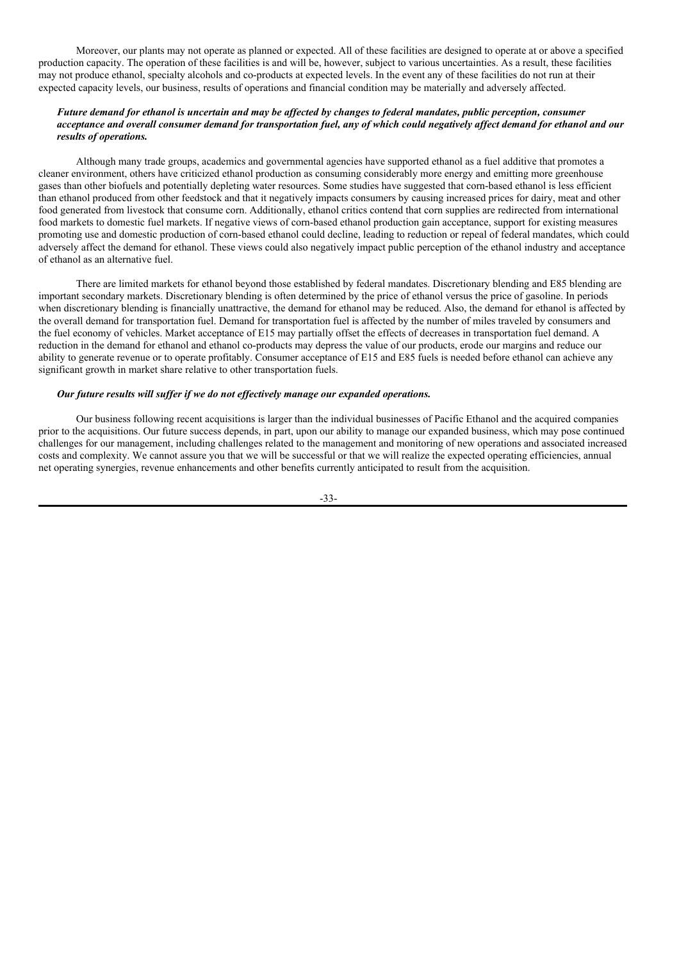Moreover, our plants may not operate as planned or expected. All of these facilities are designed to operate at or above a specified production capacity. The operation of these facilities is and will be, however, subject to various uncertainties. As a result, these facilities may not produce ethanol, specialty alcohols and co-products at expected levels. In the event any of these facilities do not run at their expected capacity levels, our business, results of operations and financial condition may be materially and adversely affected.

#### Future demand for ethanol is uncertain and may be affected by changes to federal mandates, public perception, consumer acceptance and overall consumer demand for transportation fuel, any of which could negatively affect demand for ethanol and our *results of operations.*

Although many trade groups, academics and governmental agencies have supported ethanol as a fuel additive that promotes a cleaner environment, others have criticized ethanol production as consuming considerably more energy and emitting more greenhouse gases than other biofuels and potentially depleting water resources. Some studies have suggested that corn-based ethanol is less efficient than ethanol produced from other feedstock and that it negatively impacts consumers by causing increased prices for dairy, meat and other food generated from livestock that consume corn. Additionally, ethanol critics contend that corn supplies are redirected from international food markets to domestic fuel markets. If negative views of corn-based ethanol production gain acceptance, support for existing measures promoting use and domestic production of corn-based ethanol could decline, leading to reduction or repeal of federal mandates, which could adversely affect the demand for ethanol. These views could also negatively impact public perception of the ethanol industry and acceptance of ethanol as an alternative fuel.

There are limited markets for ethanol beyond those established by federal mandates. Discretionary blending and E85 blending are important secondary markets. Discretionary blending is often determined by the price of ethanol versus the price of gasoline. In periods when discretionary blending is financially unattractive, the demand for ethanol may be reduced. Also, the demand for ethanol is affected by the overall demand for transportation fuel. Demand for transportation fuel is affected by the number of miles traveled by consumers and the fuel economy of vehicles. Market acceptance of E15 may partially offset the effects of decreases in transportation fuel demand. A reduction in the demand for ethanol and ethanol co-products may depress the value of our products, erode our margins and reduce our ability to generate revenue or to operate profitably. Consumer acceptance of E15 and E85 fuels is needed before ethanol can achieve any significant growth in market share relative to other transportation fuels.

## *Our future results will suf er if we do not ef ectively manage our expanded operations.*

Our business following recent acquisitions is larger than the individual businesses of Pacific Ethanol and the acquired companies prior to the acquisitions. Our future success depends, in part, upon our ability to manage our expanded business, which may pose continued challenges for our management, including challenges related to the management and monitoring of new operations and associated increased costs and complexity. We cannot assure you that we will be successful or that we will realize the expected operating efficiencies, annual net operating synergies, revenue enhancements and other benefits currently anticipated to result from the acquisition.

-33-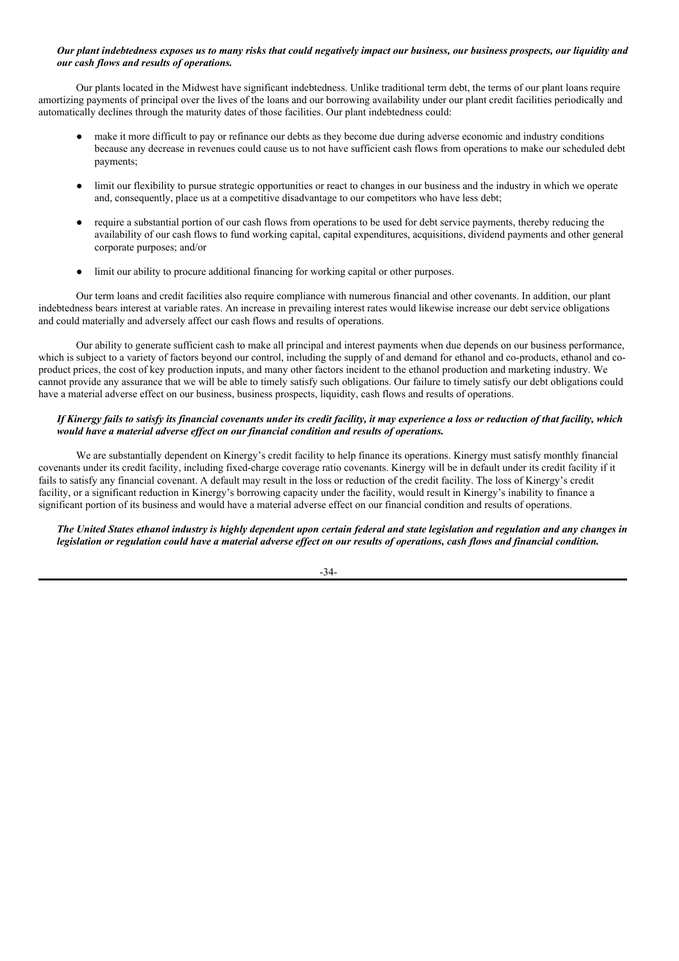## Our plant indebtedness exposes us to many risks that could negatively impact our business, our business prospects, our liquidity and *our cash flows and results of operations.*

Our plants located in the Midwest have significant indebtedness. Unlike traditional term debt, the terms of our plant loans require amortizing payments of principal over the lives of the loans and our borrowing availability under our plant credit facilities periodically and automatically declines through the maturity dates of those facilities. Our plant indebtedness could:

- make it more difficult to pay or refinance our debts as they become due during adverse economic and industry conditions because any decrease in revenues could cause us to not have sufficient cash flows from operations to make our scheduled debt payments;
- limit our flexibility to pursue strategic opportunities or react to changes in our business and the industry in which we operate and, consequently, place us at a competitive disadvantage to our competitors who have less debt;
- require a substantial portion of our cash flows from operations to be used for debt service payments, thereby reducing the availability of our cash flows to fund working capital, capital expenditures, acquisitions, dividend payments and other general corporate purposes; and/or
- limit our ability to procure additional financing for working capital or other purposes.

Our term loans and credit facilities also require compliance with numerous financial and other covenants. In addition, our plant indebtedness bears interest at variable rates. An increase in prevailing interest rates would likewise increase our debt service obligations and could materially and adversely affect our cash flows and results of operations.

Our ability to generate sufficient cash to make all principal and interest payments when due depends on our business performance, which is subject to a variety of factors beyond our control, including the supply of and demand for ethanol and co-products, ethanol and coproduct prices, the cost of key production inputs, and many other factors incident to the ethanol production and marketing industry. We cannot provide any assurance that we will be able to timely satisfy such obligations. Our failure to timely satisfy our debt obligations could have a material adverse effect on our business, business prospects, liquidity, cash flows and results of operations.

## If Kinergy fails to satisfy its financial covenants under its credit facility, it may experience a loss or reduction of that facility, which *would have a material adverse ef ect on our financial condition and results of operations.*

We are substantially dependent on Kinergy's credit facility to help finance its operations. Kinergy must satisfy monthly financial covenants under its credit facility, including fixed-charge coverage ratio covenants. Kinergy will be in default under its credit facility if it fails to satisfy any financial covenant. A default may result in the loss or reduction of the credit facility. The loss of Kinergy's credit facility, or a significant reduction in Kinergy's borrowing capacity under the facility, would result in Kinergy's inability to finance a significant portion of its business and would have a material adverse effect on our financial condition and results of operations.

## The United States ethanol industry is highly dependent upon certain federal and state legislation and regulation and any changes in legislation or regulation could have a material adverse effect on our results of operations, cash flows and financial condition.

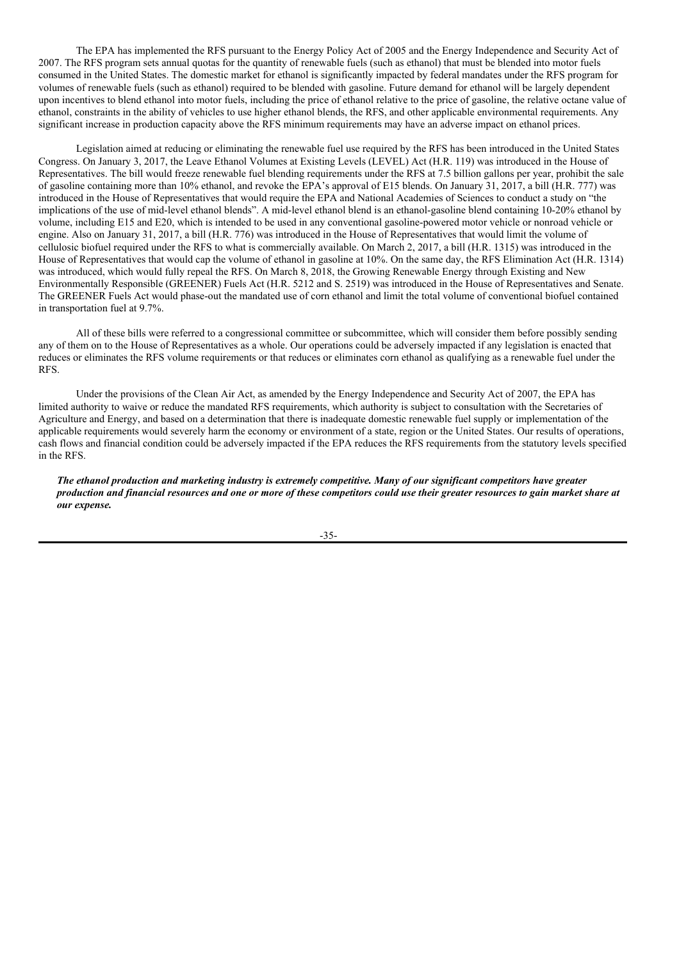The EPA has implemented the RFS pursuant to the Energy Policy Act of 2005 and the Energy Independence and Security Act of 2007. The RFS program sets annual quotas for the quantity of renewable fuels (such as ethanol) that must be blended into motor fuels consumed in the United States. The domestic market for ethanol is significantly impacted by federal mandates under the RFS program for volumes of renewable fuels (such as ethanol) required to be blended with gasoline. Future demand for ethanol will be largely dependent upon incentives to blend ethanol into motor fuels, including the price of ethanol relative to the price of gasoline, the relative octane value of ethanol, constraints in the ability of vehicles to use higher ethanol blends, the RFS, and other applicable environmental requirements. Any significant increase in production capacity above the RFS minimum requirements may have an adverse impact on ethanol prices.

Legislation aimed at reducing or eliminating the renewable fuel use required by the RFS has been introduced in the United States Congress. On January 3, 2017, the Leave Ethanol Volumes at Existing Levels (LEVEL) Act (H.R. 119) was introduced in the House of Representatives. The bill would freeze renewable fuel blending requirements under the RFS at 7.5 billion gallons per year, prohibit the sale of gasoline containing more than 10% ethanol, and revoke the EPA's approval of E15 blends. On January 31, 2017, a bill (H.R. 777) was introduced in the House of Representatives that would require the EPA and National Academies of Sciences to conduct a study on "the implications of the use of mid-level ethanol blends". A mid-level ethanol blend is an ethanol-gasoline blend containing 10-20% ethanol by volume, including E15 and E20, which is intended to be used in any conventional gasoline-powered motor vehicle or nonroad vehicle or engine. Also on January 31, 2017, a bill (H.R. 776) was introduced in the House of Representatives that would limit the volume of cellulosic biofuel required under the RFS to what is commercially available. On March 2, 2017, a bill (H.R. 1315) was introduced in the House of Representatives that would cap the volume of ethanol in gasoline at 10%. On the same day, the RFS Elimination Act (H.R. 1314) was introduced, which would fully repeal the RFS. On March 8, 2018, the Growing Renewable Energy through Existing and New Environmentally Responsible (GREENER) Fuels Act (H.R. 5212 and S. 2519) was introduced in the House of Representatives and Senate. The GREENER Fuels Act would phase-out the mandated use of corn ethanol and limit the total volume of conventional biofuel contained in transportation fuel at 9.7%.

All of these bills were referred to a congressional committee or subcommittee, which will consider them before possibly sending any of them on to the House of Representatives as a whole. Our operations could be adversely impacted if any legislation is enacted that reduces or eliminates the RFS volume requirements or that reduces or eliminates corn ethanol as qualifying as a renewable fuel under the RFS.

Under the provisions of the Clean Air Act, as amended by the Energy Independence and Security Act of 2007, the EPA has limited authority to waive or reduce the mandated RFS requirements, which authority is subject to consultation with the Secretaries of Agriculture and Energy, and based on a determination that there is inadequate domestic renewable fuel supply or implementation of the applicable requirements would severely harm the economy or environment of a state, region or the United States. Our results of operations, cash flows and financial condition could be adversely impacted if the EPA reduces the RFS requirements from the statutory levels specified in the RFS.

The ethanol production and marketing industry is extremely competitive. Many of our significant competitors have greater production and financial resources and one or more of these competitors could use their greater resources to gain market share at *our expense.*

-35-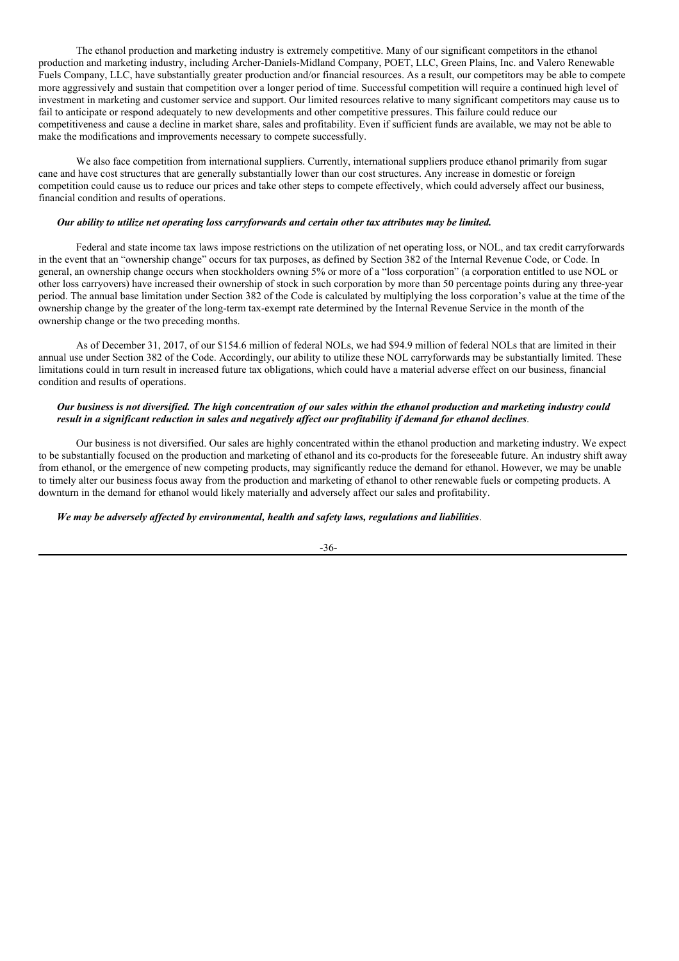The ethanol production and marketing industry is extremely competitive. Many of our significant competitors in the ethanol production and marketing industry, including Archer-Daniels-Midland Company, POET, LLC, Green Plains, Inc. and Valero Renewable Fuels Company, LLC, have substantially greater production and/or financial resources. As a result, our competitors may be able to compete more aggressively and sustain that competition over a longer period of time. Successful competition will require a continued high level of investment in marketing and customer service and support. Our limited resources relative to many significant competitors may cause us to fail to anticipate or respond adequately to new developments and other competitive pressures. This failure could reduce our competitiveness and cause a decline in market share, sales and profitability. Even if sufficient funds are available, we may not be able to make the modifications and improvements necessary to compete successfully.

We also face competition from international suppliers. Currently, international suppliers produce ethanol primarily from sugar cane and have cost structures that are generally substantially lower than our cost structures. Any increase in domestic or foreign competition could cause us to reduce our prices and take other steps to compete effectively, which could adversely affect our business, financial condition and results of operations.

#### *Our ability to utilize net operating loss carryforwards and certain other tax attributes may be limited.*

Federal and state income tax laws impose restrictions on the utilization of net operating loss, or NOL, and tax credit carryforwards in the event that an "ownership change" occurs for tax purposes, as defined by Section 382 of the Internal Revenue Code, or Code. In general, an ownership change occurs when stockholders owning 5% or more of a "loss corporation" (a corporation entitled to use NOL or other loss carryovers) have increased their ownership of stock in such corporation by more than 50 percentage points during any three-year period. The annual base limitation under Section 382 of the Code is calculated by multiplying the loss corporation's value at the time of the ownership change by the greater of the long-term tax-exempt rate determined by the Internal Revenue Service in the month of the ownership change or the two preceding months.

As of December 31, 2017, of our \$154.6 million of federal NOLs, we had \$94.9 million of federal NOLs that are limited in their annual use under Section 382 of the Code. Accordingly, our ability to utilize these NOL carryforwards may be substantially limited. These limitations could in turn result in increased future tax obligations, which could have a material adverse effect on our business, financial condition and results of operations.

## Our business is not diversified. The high concentration of our sales within the ethanol production and marketing industry could result in a significant reduction in sales and negatively affect our profitability if demand for ethanol declines.

Our business is not diversified. Our sales are highly concentrated within the ethanol production and marketing industry. We expect to be substantially focused on the production and marketing of ethanol and its co-products for the foreseeable future. An industry shift away from ethanol, or the emergence of new competing products, may significantly reduce the demand for ethanol. However, we may be unable to timely alter our business focus away from the production and marketing of ethanol to other renewable fuels or competing products. A downturn in the demand for ethanol would likely materially and adversely affect our sales and profitability.

## *We may be adversely af ected by environmental, health and safety laws, regulations and liabilities*.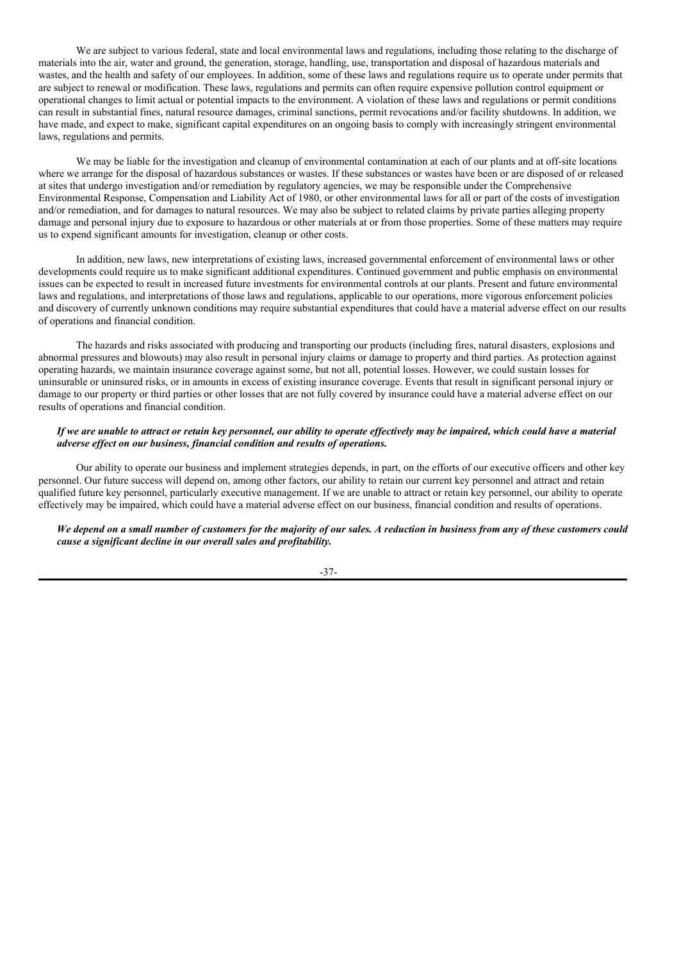We are subject to various federal, state and local environmental laws and regulations, including those relating to the discharge of materials into the air, water and ground, the generation, storage, handling, use, transportation and disposal of hazardous materials and wastes, and the health and safety of our employees. In addition, some of these laws and regulations require us to operate under permits that are subject to renewal or modification. These laws, regulations and permits can often require expensive pollution control equipment or operational changes to limit actual or potential impacts to the environment. A violation of these laws and regulations or permit conditions can result in substantial fines, natural resource damages, criminal sanctions, permit revocations and/or facility shutdowns. In addition, we have made, and expect to make, significant capital expenditures on an ongoing basis to comply with increasingly stringent environmental laws, regulations and permits.

We may be liable for the investigation and cleanup of environmental contamination at each of our plants and at off-site locations where we arrange for the disposal of hazardous substances or wastes. If these substances or wastes have been or are disposed of or released at sites that undergo investigation and/or remediation by regulatory agencies, we may be responsible under the Comprehensive Environmental Response, Compensation and Liability Act of 1980, or other environmental laws for all or part of the costs of investigation and/or remediation, and for damages to natural resources. We may also be subject to related claims by private parties alleging property damage and personal injury due to exposure to hazardous or other materials at or from those properties. Some of these matters may require us to expend significant amounts for investigation, cleanup or other costs.

In addition, new laws, new interpretations of existing laws, increased governmental enforcement of environmental laws or other developments could require us to make significant additional expenditures. Continued government and public emphasis on environmental issues can be expected to result in increased future investments for environmental controls at our plants. Present and future environmental laws and regulations, and interpretations of those laws and regulations, applicable to our operations, more vigorous enforcement policies and discovery of currently unknown conditions may require substantial expenditures that could have a material adverse effect on our results of operations and financial condition.

The hazards and risks associated with producing and transporting our products (including fires, natural disasters, explosions and abnormal pressures and blowouts) may also result in personal injury claims or damage to property and third parties. As protection against operating hazards, we maintain insurance coverage against some, but not all, potential losses. However, we could sustain losses for uninsurable or uninsured risks, or in amounts in excess of existing insurance coverage. Events that result in significant personal injury or damage to our property or third parties or other losses that are not fully covered by insurance could have a material adverse effect on our results of operations and financial condition.

#### If we are unable to attract or retain key personnel, our ability to operate effectively may be impaired, which could have a material *adverse ef ect on our business, financial condition and results of operations.*

Our ability to operate our business and implement strategies depends, in part, on the efforts of our executive officers and other key personnel. Our future success will depend on, among other factors, our ability to retain our current key personnel and attract and retain qualified future key personnel, particularly executive management. If we are unable to attract or retain key personnel, our ability to operate effectively may be impaired, which could have a material adverse effect on our business, financial condition and results of operations.

## We depend on a small number of customers for the majority of our sales. A reduction in business from any of these customers could *cause a significant decline in our overall sales and profitability.*

-37-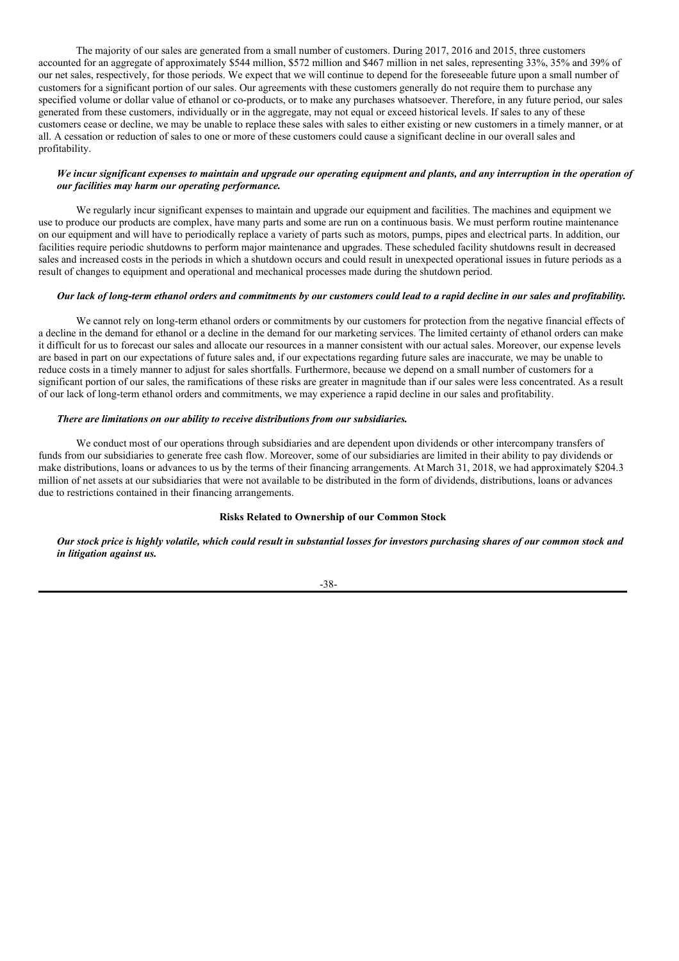The majority of our sales are generated from a small number of customers. During 2017, 2016 and 2015, three customers accounted for an aggregate of approximately \$544 million, \$572 million and \$467 million in net sales, representing 33%, 35% and 39% of our net sales, respectively, for those periods. We expect that we will continue to depend for the foreseeable future upon a small number of customers for a significant portion of our sales. Our agreements with these customers generally do not require them to purchase any specified volume or dollar value of ethanol or co-products, or to make any purchases whatsoever. Therefore, in any future period, our sales generated from these customers, individually or in the aggregate, may not equal or exceed historical levels. If sales to any of these customers cease or decline, we may be unable to replace these sales with sales to either existing or new customers in a timely manner, or at all. A cessation or reduction of sales to one or more of these customers could cause a significant decline in our overall sales and profitability.

#### We incur significant expenses to maintain and upgrade our operating equipment and plants, and any interruption in the operation of *our facilities may harm our operating performance.*

We regularly incur significant expenses to maintain and upgrade our equipment and facilities. The machines and equipment we use to produce our products are complex, have many parts and some are run on a continuous basis. We must perform routine maintenance on our equipment and will have to periodically replace a variety of parts such as motors, pumps, pipes and electrical parts. In addition, our facilities require periodic shutdowns to perform major maintenance and upgrades. These scheduled facility shutdowns result in decreased sales and increased costs in the periods in which a shutdown occurs and could result in unexpected operational issues in future periods as a result of changes to equipment and operational and mechanical processes made during the shutdown period.

#### Our lack of long-term ethanol orders and commitments by our customers could lead to a rapid decline in our sales and profitability.

We cannot rely on long-term ethanol orders or commitments by our customers for protection from the negative financial effects of a decline in the demand for ethanol or a decline in the demand for our marketing services. The limited certainty of ethanol orders can make it difficult for us to forecast our sales and allocate our resources in a manner consistent with our actual sales. Moreover, our expense levels are based in part on our expectations of future sales and, if our expectations regarding future sales are inaccurate, we may be unable to reduce costs in a timely manner to adjust for sales shortfalls. Furthermore, because we depend on a small number of customers for a significant portion of our sales, the ramifications of these risks are greater in magnitude than if our sales were less concentrated. As a result of our lack of long-term ethanol orders and commitments, we may experience a rapid decline in our sales and profitability.

#### *There are limitations on our ability to receive distributions from our subsidiaries.*

We conduct most of our operations through subsidiaries and are dependent upon dividends or other intercompany transfers of funds from our subsidiaries to generate free cash flow. Moreover, some of our subsidiaries are limited in their ability to pay dividends or make distributions, loans or advances to us by the terms of their financing arrangements. At March 31, 2018, we had approximately \$204.3 million of net assets at our subsidiaries that were not available to be distributed in the form of dividends, distributions, loans or advances due to restrictions contained in their financing arrangements.

## **Risks Related to Ownership of our Common Stock**

Our stock price is highly volatile, which could result in substantial losses for investors purchasing shares of our common stock and *in litigation against us.*

-38-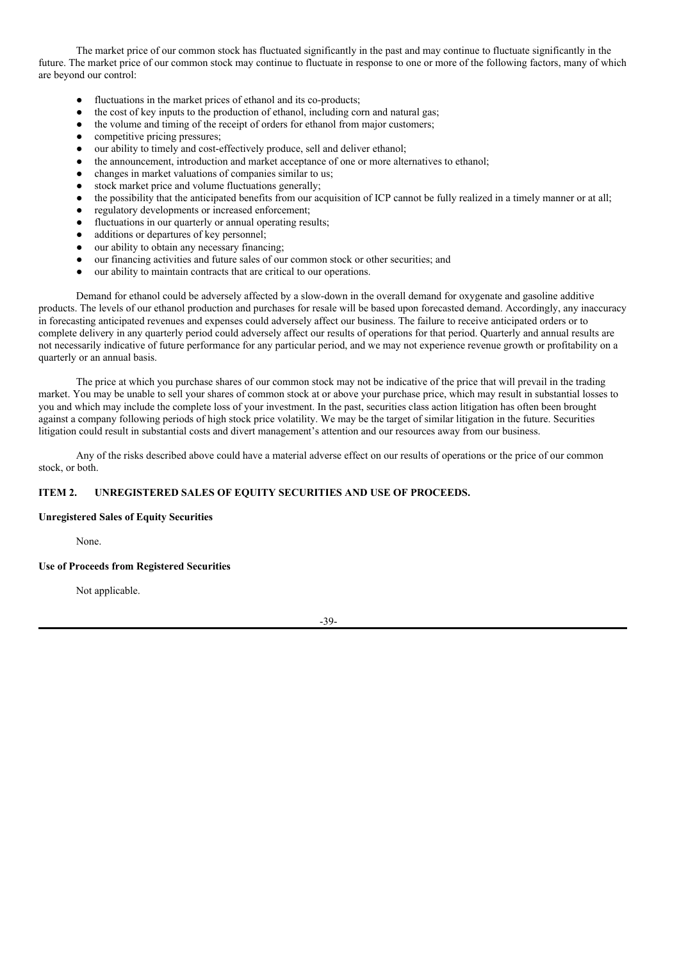The market price of our common stock has fluctuated significantly in the past and may continue to fluctuate significantly in the future. The market price of our common stock may continue to fluctuate in response to one or more of the following factors, many of which are beyond our control:

- fluctuations in the market prices of ethanol and its co-products;
- the cost of key inputs to the production of ethanol, including corn and natural gas;
- the volume and timing of the receipt of orders for ethanol from major customers;
- competitive pricing pressures;
- our ability to timely and cost-effectively produce, sell and deliver ethanol;
- the announcement, introduction and market acceptance of one or more alternatives to ethanol;
- changes in market valuations of companies similar to us:
- stock market price and volume fluctuations generally;
- the possibility that the anticipated benefits from our acquisition of ICP cannot be fully realized in a timely manner or at all;
- regulatory developments or increased enforcement;
- fluctuations in our quarterly or annual operating results;
- additions or departures of key personnel:
- our ability to obtain any necessary financing:
- our financing activities and future sales of our common stock or other securities; and
- our ability to maintain contracts that are critical to our operations.

Demand for ethanol could be adversely affected by a slow-down in the overall demand for oxygenate and gasoline additive products. The levels of our ethanol production and purchases for resale will be based upon forecasted demand. Accordingly, any inaccuracy in forecasting anticipated revenues and expenses could adversely affect our business. The failure to receive anticipated orders or to complete delivery in any quarterly period could adversely affect our results of operations for that period. Quarterly and annual results are not necessarily indicative of future performance for any particular period, and we may not experience revenue growth or profitability on a quarterly or an annual basis.

The price at which you purchase shares of our common stock may not be indicative of the price that will prevail in the trading market. You may be unable to sell your shares of common stock at or above your purchase price, which may result in substantial losses to you and which may include the complete loss of your investment. In the past, securities class action litigation has often been brought against a company following periods of high stock price volatility. We may be the target of similar litigation in the future. Securities litigation could result in substantial costs and divert management's attention and our resources away from our business.

Any of the risks described above could have a material adverse effect on our results of operations or the price of our common stock, or both.

# **ITEM 2. UNREGISTERED SALES OF EQUITY SECURITIES AND USE OF PROCEEDS.**

## **Unregistered Sales of Equity Securities**

None.

**Use of Proceeds from Registered Securities**

Not applicable.

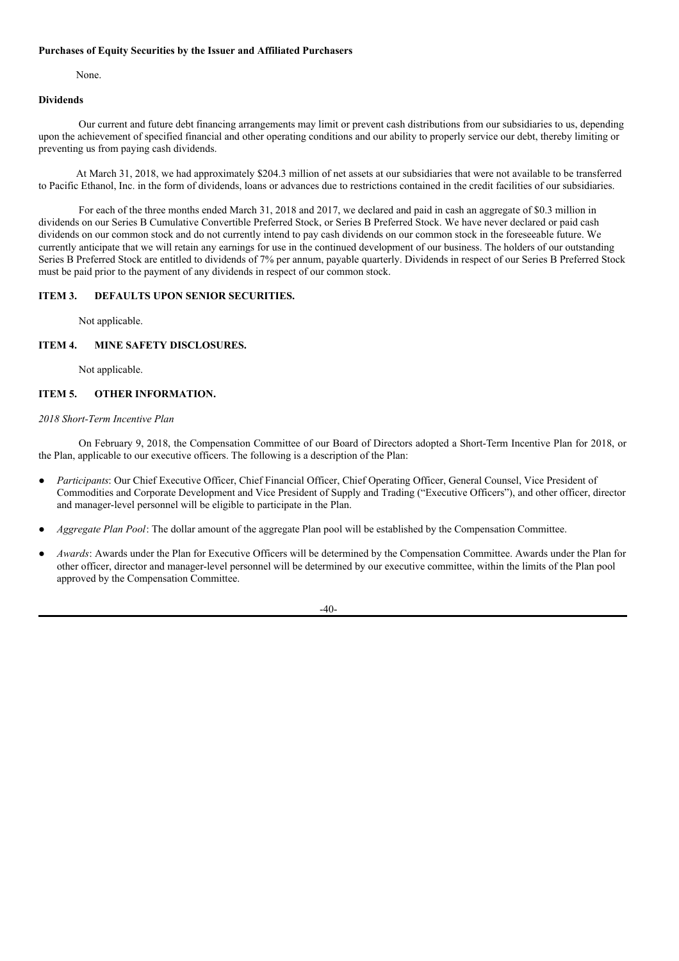#### **Purchases of Equity Securities by the Issuer and Affiliated Purchasers**

None.

### **Dividends**

Our current and future debt financing arrangements may limit or prevent cash distributions from our subsidiaries to us, depending upon the achievement of specified financial and other operating conditions and our ability to properly service our debt, thereby limiting or preventing us from paying cash dividends.

At March 31, 2018, we had approximately \$204.3 million of net assets at our subsidiaries that were not available to be transferred to Pacific Ethanol, Inc. in the form of dividends, loans or advances due to restrictions contained in the credit facilities of our subsidiaries.

For each of the three months ended March 31, 2018 and 2017, we declared and paid in cash an aggregate of \$0.3 million in dividends on our Series B Cumulative Convertible Preferred Stock, or Series B Preferred Stock. We have never declared or paid cash dividends on our common stock and do not currently intend to pay cash dividends on our common stock in the foreseeable future. We currently anticipate that we will retain any earnings for use in the continued development of our business. The holders of our outstanding Series B Preferred Stock are entitled to dividends of 7% per annum, payable quarterly. Dividends in respect of our Series B Preferred Stock must be paid prior to the payment of any dividends in respect of our common stock.

## **ITEM 3. DEFAULTS UPON SENIOR SECURITIES.**

Not applicable.

## **ITEM 4. MINE SAFETY DISCLOSURES.**

Not applicable.

# **ITEM 5. OTHER INFORMATION.**

#### *2018 Short-Term Incentive Plan*

On February 9, 2018, the Compensation Committee of our Board of Directors adopted a Short-Term Incentive Plan for 2018, or the Plan, applicable to our executive officers. The following is a description of the Plan:

- *Participants*: Our Chief Executive Officer, Chief Financial Officer, Chief Operating Officer, General Counsel, Vice President of Commodities and Corporate Development and Vice President of Supply and Trading ("Executive Officers"), and other officer, director and manager-level personnel will be eligible to participate in the Plan.
- *Aggregate Plan Pool*: The dollar amount of the aggregate Plan pool will be established by the Compensation Committee.
- *Awards*: Awards under the Plan for Executive Officers will be determined by the Compensation Committee. Awards under the Plan for other officer, director and manager-level personnel will be determined by our executive committee, within the limits of the Plan pool approved by the Compensation Committee.

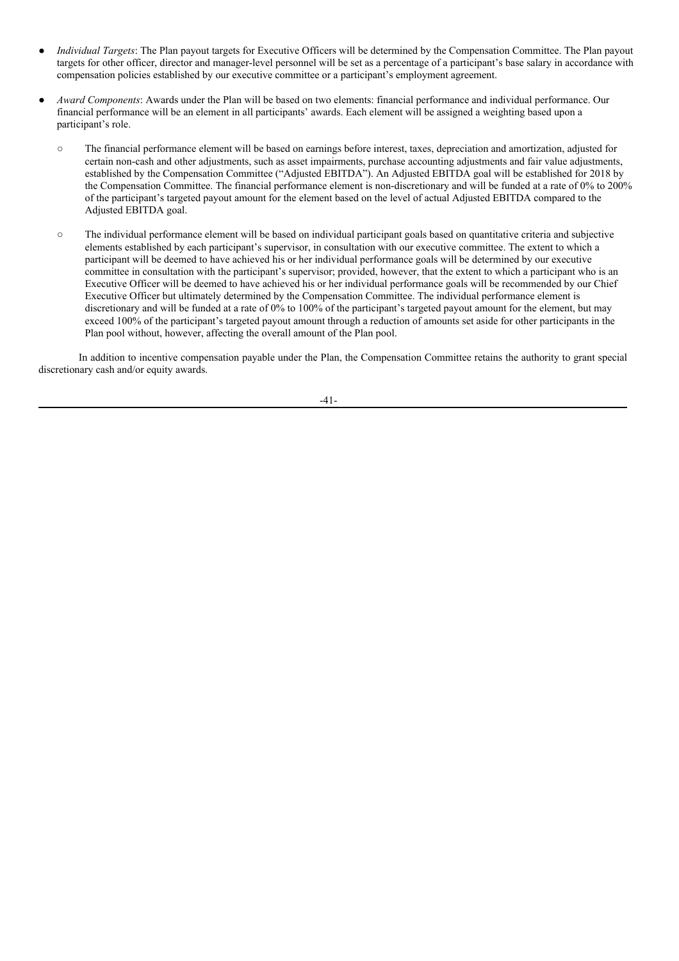- *Individual Targets*: The Plan payout targets for Executive Officers will be determined by the Compensation Committee. The Plan payout targets for other officer, director and manager-level personnel will be set as a percentage of a participant's base salary in accordance with compensation policies established by our executive committee or a participant's employment agreement.
- *Award Components*: Awards under the Plan will be based on two elements: financial performance and individual performance. Our financial performance will be an element in all participants' awards. Each element will be assigned a weighting based upon a participant's role.
	- The financial performance element will be based on earnings before interest, taxes, depreciation and amortization, adjusted for certain non-cash and other adjustments, such as asset impairments, purchase accounting adjustments and fair value adjustments, established by the Compensation Committee ("Adjusted EBITDA"). An Adjusted EBITDA goal will be established for 2018 by the Compensation Committee. The financial performance element is non-discretionary and will be funded at a rate of 0% to 200% of the participant's targeted payout amount for the element based on the level of actual Adjusted EBITDA compared to the Adjusted EBITDA goal.
	- The individual performance element will be based on individual participant goals based on quantitative criteria and subjective elements established by each participant's supervisor, in consultation with our executive committee. The extent to which a participant will be deemed to have achieved his or her individual performance goals will be determined by our executive committee in consultation with the participant's supervisor; provided, however, that the extent to which a participant who is an Executive Officer will be deemed to have achieved his or her individual performance goals will be recommended by our Chief Executive Officer but ultimately determined by the Compensation Committee. The individual performance element is discretionary and will be funded at a rate of 0% to 100% of the participant's targeted payout amount for the element, but may exceed 100% of the participant's targeted payout amount through a reduction of amounts set aside for other participants in the Plan pool without, however, affecting the overall amount of the Plan pool.

In addition to incentive compensation payable under the Plan, the Compensation Committee retains the authority to grant special discretionary cash and/or equity awards.

-41-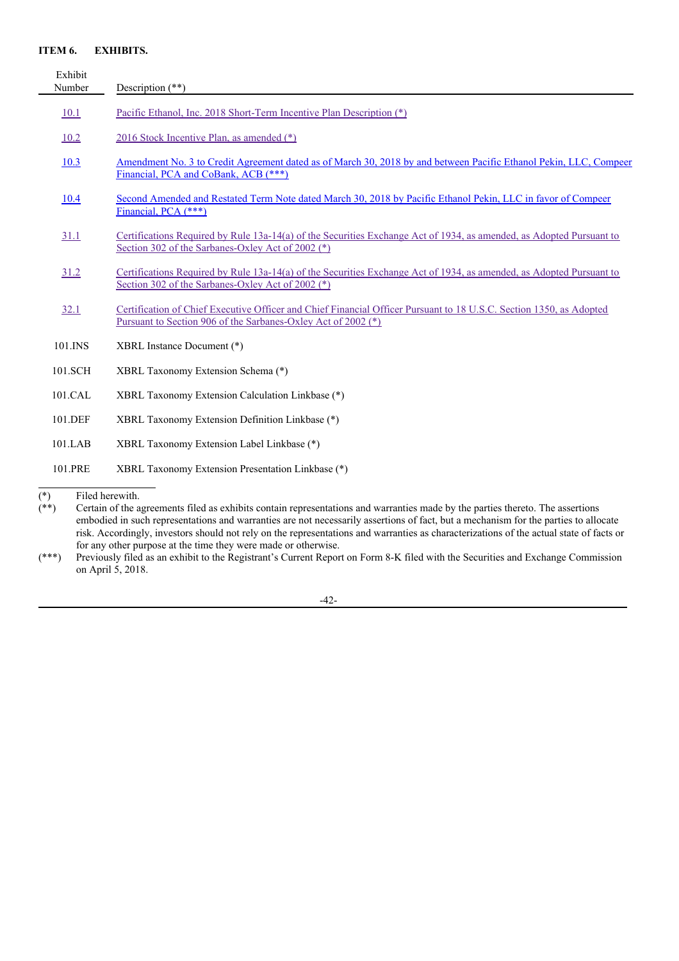## **ITEM 6. EXHIBITS.**

| Exhibit<br>Number | Description $(**)$                                                                                                                                                                   |
|-------------------|--------------------------------------------------------------------------------------------------------------------------------------------------------------------------------------|
| <u>10.1</u>       | Pacific Ethanol, Inc. 2018 Short-Term Incentive Plan Description (*)                                                                                                                 |
| 10.2              | 2016 Stock Incentive Plan, as amended (*)                                                                                                                                            |
| 10.3              | Amendment No. 3 to Credit Agreement dated as of March 30, 2018 by and between Pacific Ethanol Pekin, LLC, Compeer<br>Financial, PCA and CoBank, ACB (***)                            |
| 10.4              | Second Amended and Restated Term Note dated March 30, 2018 by Pacific Ethanol Pekin, LLC in favor of Compeer<br>Financial, PCA (***)                                                 |
| 31.1              | Certifications Required by Rule 13a-14(a) of the Securities Exchange Act of 1934, as amended, as Adopted Pursuant to<br>Section 302 of the Sarbanes-Oxley Act of 2002 (*)            |
| 31.2              | Certifications Required by Rule 13a-14(a) of the Securities Exchange Act of 1934, as amended, as Adopted Pursuant to<br>Section 302 of the Sarbanes-Oxley Act of 2002 (*)            |
| 32.1              | Certification of Chief Executive Officer and Chief Financial Officer Pursuant to 18 U.S.C. Section 1350, as Adopted<br>Pursuant to Section 906 of the Sarbanes-Oxley Act of 2002 (*) |
| 101.INS           | XBRL Instance Document (*)                                                                                                                                                           |
| 101.SCH           | XBRL Taxonomy Extension Schema (*)                                                                                                                                                   |
| 101.CAL           | XBRL Taxonomy Extension Calculation Linkbase (*)                                                                                                                                     |
| 101.DEF           | XBRL Taxonomy Extension Definition Linkbase (*)                                                                                                                                      |
| 101.LAB           | XBRL Taxonomy Extension Label Linkbase (*)                                                                                                                                           |
| 101.PRE           | XBRL Taxonomy Extension Presentation Linkbase (*)                                                                                                                                    |

<sup>(\*)</sup> Filed herewith.<br>  $(**)$  Certain of the a

-42-

Certain of the agreements filed as exhibits contain representations and warranties made by the parties thereto. The assertions embodied in such representations and warranties are not necessarily assertions of fact, but a mechanism for the parties to allocate risk. Accordingly, investors should not rely on the representations and warranties as characterizations of the actual state of facts or for any other purpose at the time they were made or otherwise.

<sup>(\*\*\*)</sup> Previously filed as an exhibit to the Registrant's Current Report on Form 8-K filed with the Securities and Exchange Commission on April 5, 2018.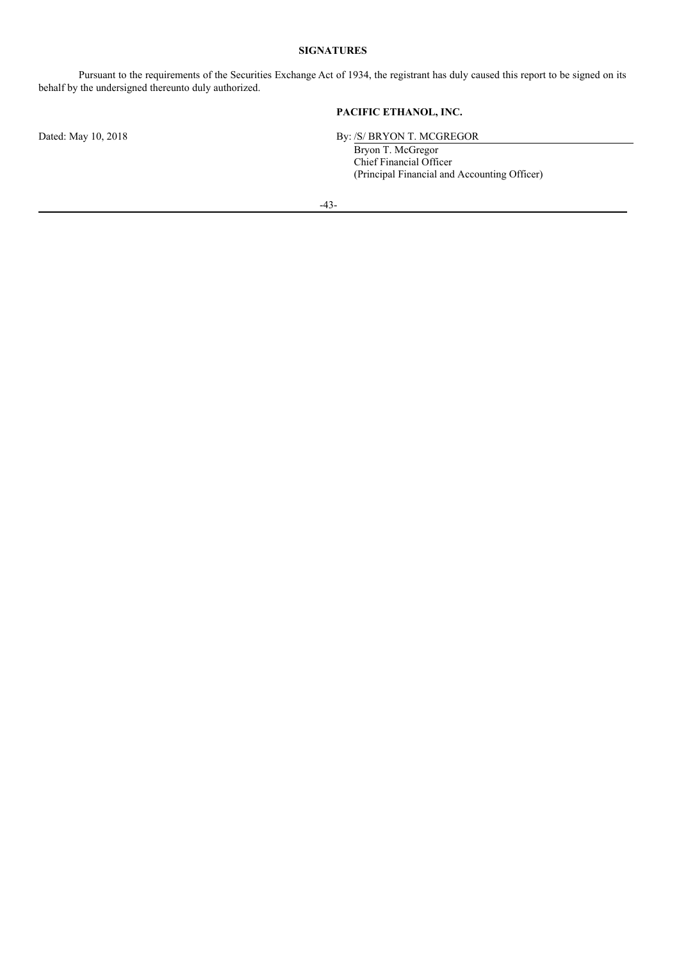## **SIGNATURES**

Pursuant to the requirements of the Securities Exchange Act of 1934, the registrant has duly caused this report to be signed on its behalf by the undersigned thereunto duly authorized.

# **PACIFIC ETHANOL, INC.**

Dated: May 10, 2018 By: /S/ BRYON T. MCGREGOR

Bryon T. McGregor Chief Financial Officer (Principal Financial and Accounting Officer)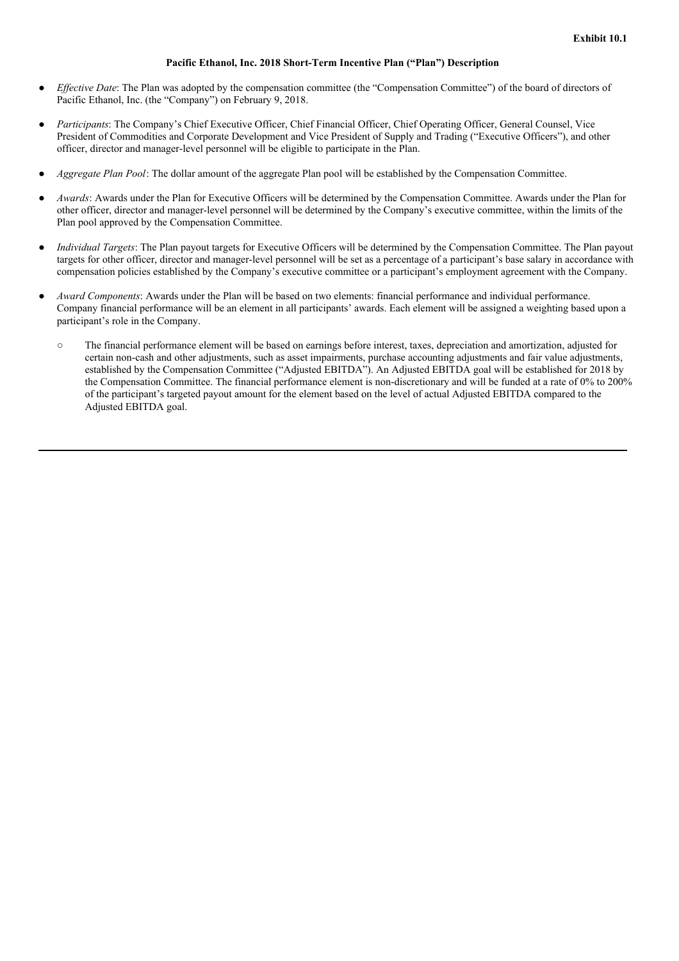#### **Pacific Ethanol, Inc. 2018 Short-Term Incentive Plan ("Plan") Description**

- *Effective Date*: The Plan was adopted by the compensation committee (the "Compensation Committee") of the board of directors of Pacific Ethanol, Inc. (the "Company") on February 9, 2018.
- *Participants*: The Company's Chief Executive Officer, Chief Financial Officer, Chief Operating Officer, General Counsel, Vice President of Commodities and Corporate Development and Vice President of Supply and Trading ("Executive Officers"), and other officer, director and manager-level personnel will be eligible to participate in the Plan.
- *Aggregate Plan Pool*: The dollar amount of the aggregate Plan pool will be established by the Compensation Committee.
- *Awards*: Awards under the Plan for Executive Officers will be determined by the Compensation Committee. Awards under the Plan for other officer, director and manager-level personnel will be determined by the Company's executive committee, within the limits of the Plan pool approved by the Compensation Committee.
- *Individual Targets*: The Plan payout targets for Executive Officers will be determined by the Compensation Committee. The Plan payout targets for other officer, director and manager-level personnel will be set as a percentage of a participant's base salary in accordance with compensation policies established by the Company's executive committee or a participant's employment agreement with the Company.
- *Award Components*: Awards under the Plan will be based on two elements: financial performance and individual performance. Company financial performance will be an element in all participants' awards. Each element will be assigned a weighting based upon a participant's role in the Company.
	- The financial performance element will be based on earnings before interest, taxes, depreciation and amortization, adjusted for certain non-cash and other adjustments, such as asset impairments, purchase accounting adjustments and fair value adjustments, established by the Compensation Committee ("Adjusted EBITDA"). An Adjusted EBITDA goal will be established for 2018 by the Compensation Committee. The financial performance element is non-discretionary and will be funded at a rate of 0% to 200% of the participant's targeted payout amount for the element based on the level of actual Adjusted EBITDA compared to the Adjusted EBITDA goal.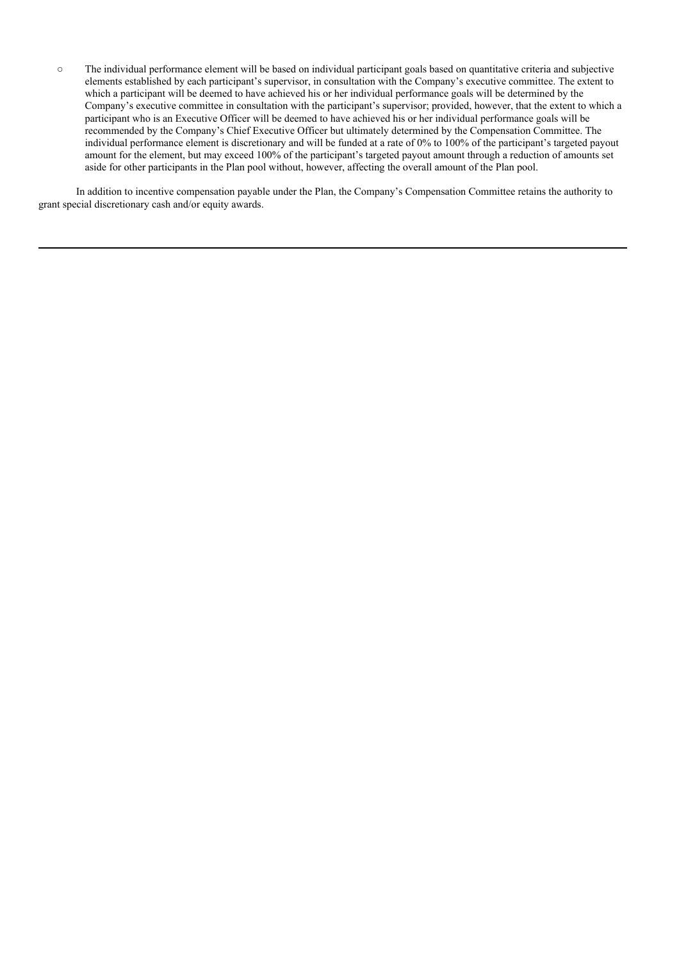○ The individual performance element will be based on individual participant goals based on quantitative criteria and subjective elements established by each participant's supervisor, in consultation with the Company's executive committee. The extent to which a participant will be deemed to have achieved his or her individual performance goals will be determined by the Company's executive committee in consultation with the participant's supervisor; provided, however, that the extent to which a participant who is an Executive Officer will be deemed to have achieved his or her individual performance goals will be recommended by the Company's Chief Executive Officer but ultimately determined by the Compensation Committee. The individual performance element is discretionary and will be funded at a rate of 0% to 100% of the participant's targeted payout amount for the element, but may exceed 100% of the participant's targeted payout amount through a reduction of amounts set aside for other participants in the Plan pool without, however, affecting the overall amount of the Plan pool.

In addition to incentive compensation payable under the Plan, the Company's Compensation Committee retains the authority to grant special discretionary cash and/or equity awards.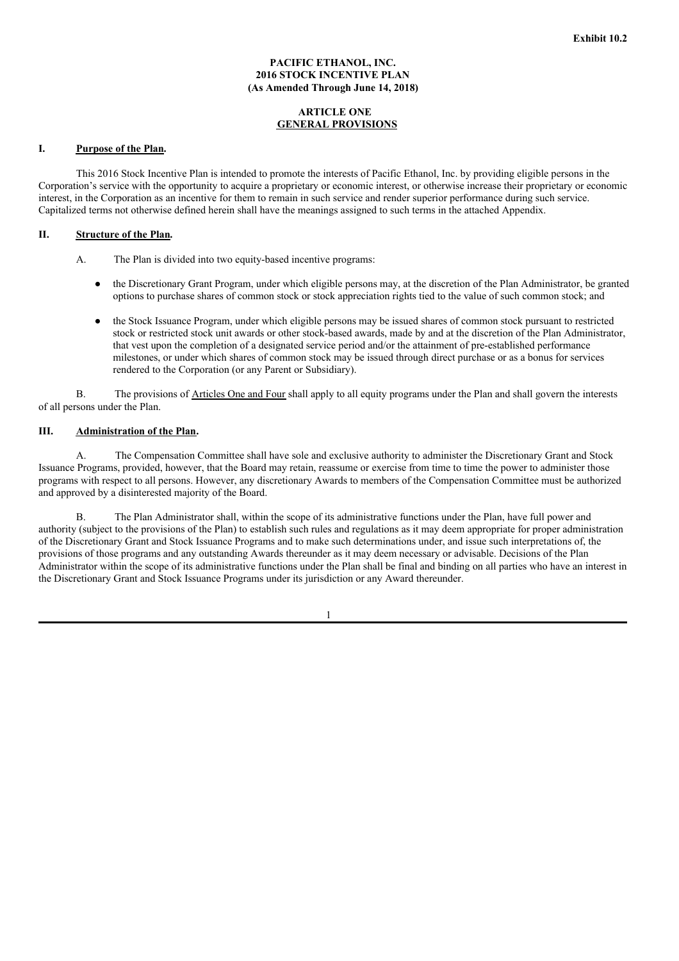#### **PACIFIC ETHANOL, INC. 2016 STOCK INCENTIVE PLAN (As Amended Through June 14, 2018)**

## **ARTICLE ONE GENERAL PROVISIONS**

# **I. Purpose of the Plan.**

This 2016 Stock Incentive Plan is intended to promote the interests of Pacific Ethanol, Inc. by providing eligible persons in the Corporation's service with the opportunity to acquire a proprietary or economic interest, or otherwise increase their proprietary or economic interest, in the Corporation as an incentive for them to remain in such service and render superior performance during such service. Capitalized terms not otherwise defined herein shall have the meanings assigned to such terms in the attached Appendix.

# **II. Structure of the Plan.**

- A. The Plan is divided into two equity-based incentive programs:
	- the Discretionary Grant Program, under which eligible persons may, at the discretion of the Plan Administrator, be granted options to purchase shares of common stock or stock appreciation rights tied to the value of such common stock; and
	- the Stock Issuance Program, under which eligible persons may be issued shares of common stock pursuant to restricted stock or restricted stock unit awards or other stock-based awards, made by and at the discretion of the Plan Administrator, that vest upon the completion of a designated service period and/or the attainment of pre-established performance milestones, or under which shares of common stock may be issued through direct purchase or as a bonus for services rendered to the Corporation (or any Parent or Subsidiary).

B. The provisions of Articles One and Four shall apply to all equity programs under the Plan and shall govern the interests of all persons under the Plan.

#### **III. Administration of the Plan.**

A. The Compensation Committee shall have sole and exclusive authority to administer the Discretionary Grant and Stock Issuance Programs, provided, however, that the Board may retain, reassume or exercise from time to time the power to administer those programs with respect to all persons. However, any discretionary Awards to members of the Compensation Committee must be authorized and approved by a disinterested majority of the Board.

B. The Plan Administrator shall, within the scope of its administrative functions under the Plan, have full power and authority (subject to the provisions of the Plan) to establish such rules and regulations as it may deem appropriate for proper administration of the Discretionary Grant and Stock Issuance Programs and to make such determinations under, and issue such interpretations of, the provisions of those programs and any outstanding Awards thereunder as it may deem necessary or advisable. Decisions of the Plan Administrator within the scope of its administrative functions under the Plan shall be final and binding on all parties who have an interest in the Discretionary Grant and Stock Issuance Programs under its jurisdiction or any Award thereunder.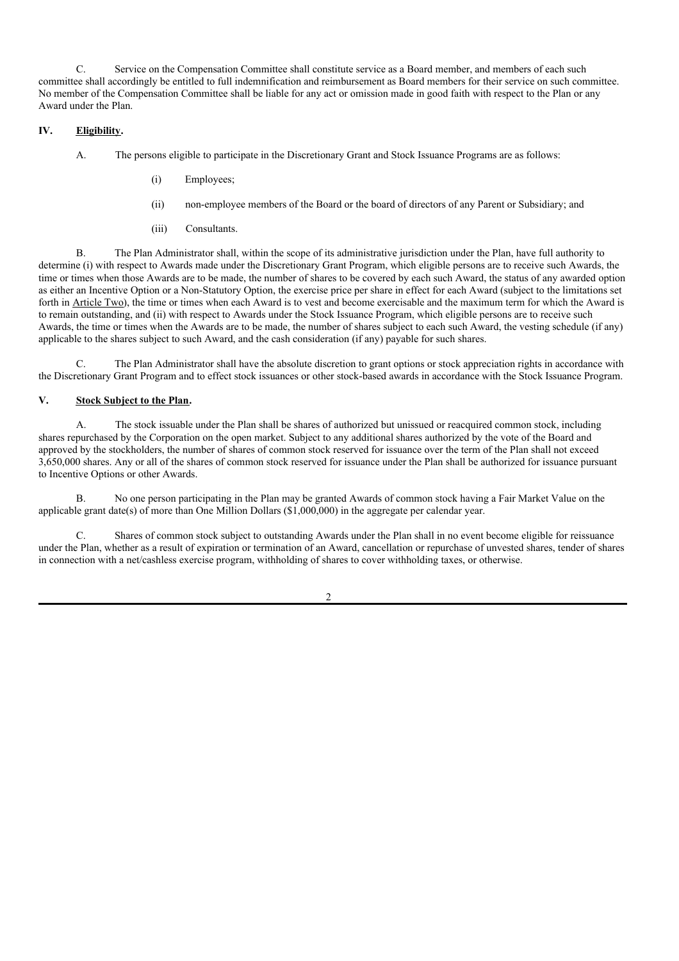C. Service on the Compensation Committee shall constitute service as a Board member, and members of each such committee shall accordingly be entitled to full indemnification and reimbursement as Board members for their service on such committee. No member of the Compensation Committee shall be liable for any act or omission made in good faith with respect to the Plan or any Award under the Plan.

## **IV. Eligibility.**

- A. The persons eligible to participate in the Discretionary Grant and Stock Issuance Programs are as follows:
	- (i) Employees;
	- (ii) non-employee members of the Board or the board of directors of any Parent or Subsidiary; and
	- (iii) Consultants.

B. The Plan Administrator shall, within the scope of its administrative jurisdiction under the Plan, have full authority to determine (i) with respect to Awards made under the Discretionary Grant Program, which eligible persons are to receive such Awards, the time or times when those Awards are to be made, the number of shares to be covered by each such Award, the status of any awarded option as either an Incentive Option or a Non-Statutory Option, the exercise price per share in effect for each Award (subject to the limitations set forth in Article Two), the time or times when each Award is to vest and become exercisable and the maximum term for which the Award is to remain outstanding, and (ii) with respect to Awards under the Stock Issuance Program, which eligible persons are to receive such Awards, the time or times when the Awards are to be made, the number of shares subject to each such Award, the vesting schedule (if any) applicable to the shares subject to such Award, and the cash consideration (if any) payable for such shares.

C. The Plan Administrator shall have the absolute discretion to grant options or stock appreciation rights in accordance with the Discretionary Grant Program and to effect stock issuances or other stock-based awards in accordance with the Stock Issuance Program.

## **V. Stock Subject to the Plan.**

A. The stock issuable under the Plan shall be shares of authorized but unissued or reacquired common stock, including shares repurchased by the Corporation on the open market. Subject to any additional shares authorized by the vote of the Board and approved by the stockholders, the number of shares of common stock reserved for issuance over the term of the Plan shall not exceed 3,650,000 shares. Any or all of the shares of common stock reserved for issuance under the Plan shall be authorized for issuance pursuant to Incentive Options or other Awards.

B. No one person participating in the Plan may be granted Awards of common stock having a Fair Market Value on the applicable grant date(s) of more than One Million Dollars (\$1,000,000) in the aggregate per calendar year.

C. Shares of common stock subject to outstanding Awards under the Plan shall in no event become eligible for reissuance under the Plan, whether as a result of expiration or termination of an Award, cancellation or repurchase of unvested shares, tender of shares in connection with a net/cashless exercise program, withholding of shares to cover withholding taxes, or otherwise.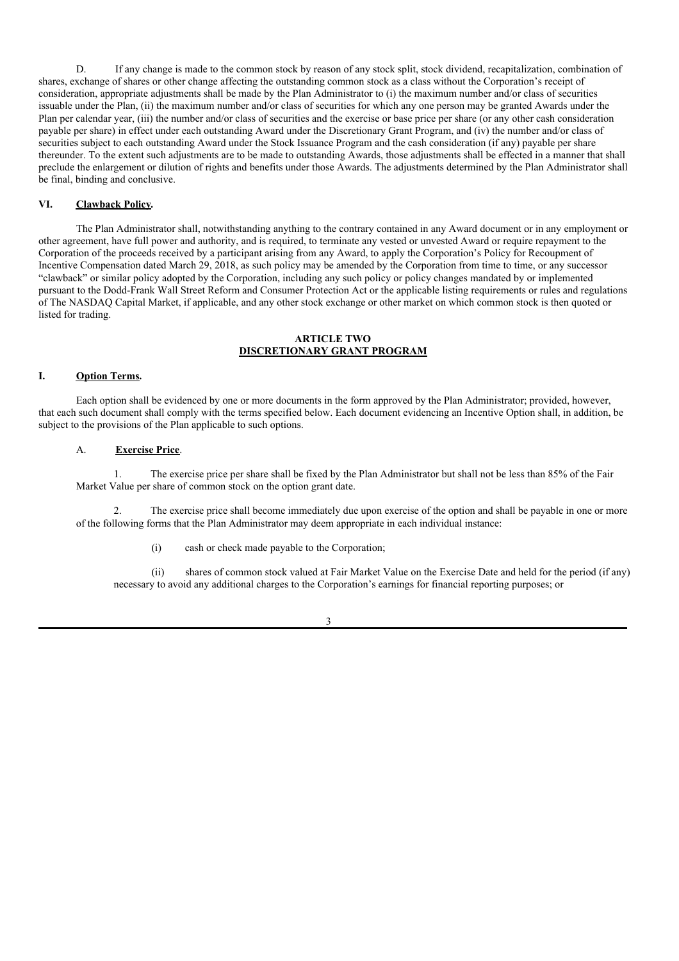D. If any change is made to the common stock by reason of any stock split, stock dividend, recapitalization, combination of shares, exchange of shares or other change affecting the outstanding common stock as a class without the Corporation's receipt of consideration, appropriate adjustments shall be made by the Plan Administrator to (i) the maximum number and/or class of securities issuable under the Plan, (ii) the maximum number and/or class of securities for which any one person may be granted Awards under the Plan per calendar year, (iii) the number and/or class of securities and the exercise or base price per share (or any other cash consideration payable per share) in effect under each outstanding Award under the Discretionary Grant Program, and (iv) the number and/or class of securities subject to each outstanding Award under the Stock Issuance Program and the cash consideration (if any) payable per share thereunder. To the extent such adjustments are to be made to outstanding Awards, those adjustments shall be effected in a manner that shall preclude the enlargement or dilution of rights and benefits under those Awards. The adjustments determined by the Plan Administrator shall be final, binding and conclusive.

## **VI. Clawback Policy.**

The Plan Administrator shall, notwithstanding anything to the contrary contained in any Award document or in any employment or other agreement, have full power and authority, and is required, to terminate any vested or unvested Award or require repayment to the Corporation of the proceeds received by a participant arising from any Award, to apply the Corporation's Policy for Recoupment of Incentive Compensation dated March 29, 2018, as such policy may be amended by the Corporation from time to time, or any successor "clawback" or similar policy adopted by the Corporation, including any such policy or policy changes mandated by or implemented pursuant to the Dodd-Frank Wall Street Reform and Consumer Protection Act or the applicable listing requirements or rules and regulations of The NASDAQ Capital Market, if applicable, and any other stock exchange or other market on which common stock is then quoted or listed for trading.

## **ARTICLE TWO DISCRETIONARY GRANT PROGRAM**

#### **I. Option Terms.**

Each option shall be evidenced by one or more documents in the form approved by the Plan Administrator; provided, however, that each such document shall comply with the terms specified below. Each document evidencing an Incentive Option shall, in addition, be subject to the provisions of the Plan applicable to such options.

## A. **Exercise Price**.

1. The exercise price per share shall be fixed by the Plan Administrator but shall not be less than 85% of the Fair Market Value per share of common stock on the option grant date.

The exercise price shall become immediately due upon exercise of the option and shall be payable in one or more of the following forms that the Plan Administrator may deem appropriate in each individual instance:

(i) cash or check made payable to the Corporation;

(ii) shares of common stock valued at Fair Market Value on the Exercise Date and held for the period (if any) necessary to avoid any additional charges to the Corporation's earnings for financial reporting purposes; or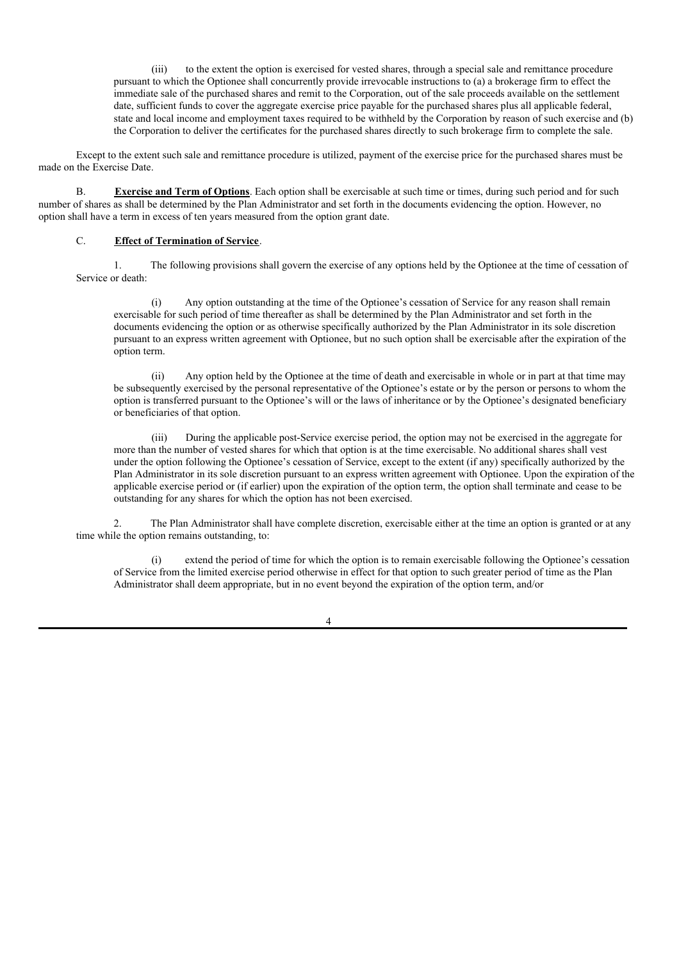(iii) to the extent the option is exercised for vested shares, through a special sale and remittance procedure pursuant to which the Optionee shall concurrently provide irrevocable instructions to (a) a brokerage firm to effect the immediate sale of the purchased shares and remit to the Corporation, out of the sale proceeds available on the settlement date, sufficient funds to cover the aggregate exercise price payable for the purchased shares plus all applicable federal, state and local income and employment taxes required to be withheld by the Corporation by reason of such exercise and (b) the Corporation to deliver the certificates for the purchased shares directly to such brokerage firm to complete the sale.

Except to the extent such sale and remittance procedure is utilized, payment of the exercise price for the purchased shares must be made on the Exercise Date.

B. **Exercise and Term of Options**. Each option shall be exercisable at such time or times, during such period and for such number of shares as shall be determined by the Plan Administrator and set forth in the documents evidencing the option. However, no option shall have a term in excess of ten years measured from the option grant date.

## C. **Effect of Termination of Service**.

1. The following provisions shall govern the exercise of any options held by the Optionee at the time of cessation of Service or death:

(i) Any option outstanding at the time of the Optionee's cessation of Service for any reason shall remain exercisable for such period of time thereafter as shall be determined by the Plan Administrator and set forth in the documents evidencing the option or as otherwise specifically authorized by the Plan Administrator in its sole discretion pursuant to an express written agreement with Optionee, but no such option shall be exercisable after the expiration of the option term.

(ii) Any option held by the Optionee at the time of death and exercisable in whole or in part at that time may be subsequently exercised by the personal representative of the Optionee's estate or by the person or persons to whom the option is transferred pursuant to the Optionee's will or the laws of inheritance or by the Optionee's designated beneficiary or beneficiaries of that option.

(iii) During the applicable post-Service exercise period, the option may not be exercised in the aggregate for more than the number of vested shares for which that option is at the time exercisable. No additional shares shall vest under the option following the Optionee's cessation of Service, except to the extent (if any) specifically authorized by the Plan Administrator in its sole discretion pursuant to an express written agreement with Optionee. Upon the expiration of the applicable exercise period or (if earlier) upon the expiration of the option term, the option shall terminate and cease to be outstanding for any shares for which the option has not been exercised.

2. The Plan Administrator shall have complete discretion, exercisable either at the time an option is granted or at any time while the option remains outstanding, to:

(i) extend the period of time for which the option is to remain exercisable following the Optionee's cessation of Service from the limited exercise period otherwise in effect for that option to such greater period of time as the Plan Administrator shall deem appropriate, but in no event beyond the expiration of the option term, and/or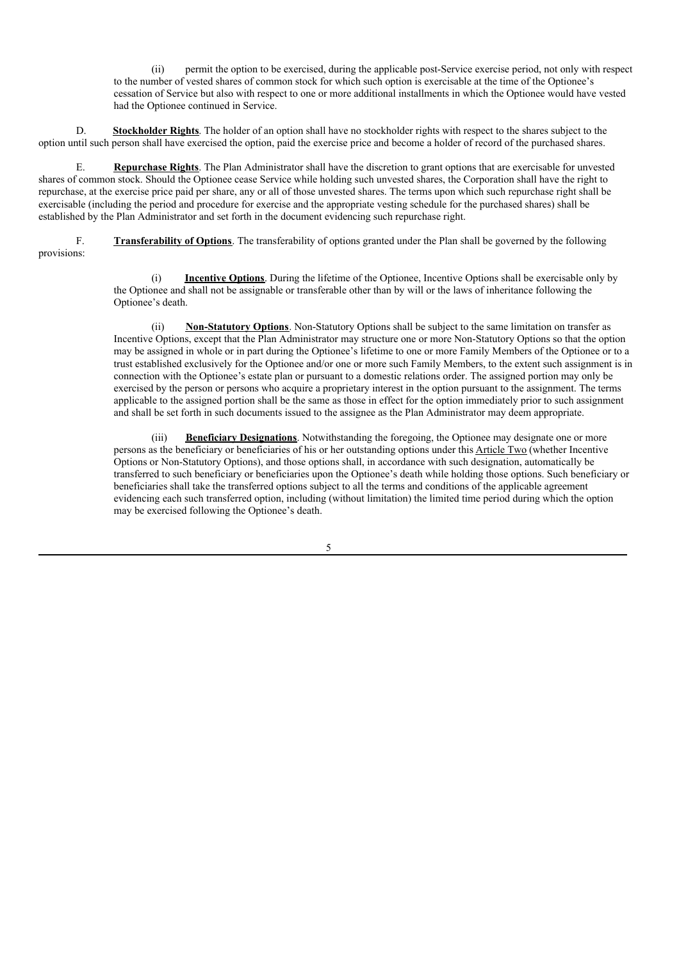(ii) permit the option to be exercised, during the applicable post-Service exercise period, not only with respect to the number of vested shares of common stock for which such option is exercisable at the time of the Optionee's cessation of Service but also with respect to one or more additional installments in which the Optionee would have vested had the Optionee continued in Service.

D. **Stockholder Rights**. The holder of an option shall have no stockholder rights with respect to the shares subject to the option until such person shall have exercised the option, paid the exercise price and become a holder of record of the purchased shares.

E. **Repurchase Rights**. The Plan Administrator shall have the discretion to grant options that are exercisable for unvested shares of common stock. Should the Optionee cease Service while holding such unvested shares, the Corporation shall have the right to repurchase, at the exercise price paid per share, any or all of those unvested shares. The terms upon which such repurchase right shall be exercisable (including the period and procedure for exercise and the appropriate vesting schedule for the purchased shares) shall be established by the Plan Administrator and set forth in the document evidencing such repurchase right.

F. **Transferability of Options**. The transferability of options granted under the Plan shall be governed by the following provisions:

> **Incentive Options**. During the lifetime of the Optionee, Incentive Options shall be exercisable only by the Optionee and shall not be assignable or transferable other than by will or the laws of inheritance following the Optionee's death.

(ii) **Non-Statutory Options**. Non-Statutory Options shall be subject to the same limitation on transfer as Incentive Options, except that the Plan Administrator may structure one or more Non-Statutory Options so that the option may be assigned in whole or in part during the Optionee's lifetime to one or more Family Members of the Optionee or to a trust established exclusively for the Optionee and/or one or more such Family Members, to the extent such assignment is in connection with the Optionee's estate plan or pursuant to a domestic relations order. The assigned portion may only be exercised by the person or persons who acquire a proprietary interest in the option pursuant to the assignment. The terms applicable to the assigned portion shall be the same as those in effect for the option immediately prior to such assignment and shall be set forth in such documents issued to the assignee as the Plan Administrator may deem appropriate.

(iii) **Beneficiary Designations**. Notwithstanding the foregoing, the Optionee may designate one or more persons as the beneficiary or beneficiaries of his or her outstanding options under this Article Two (whether Incentive Options or Non-Statutory Options), and those options shall, in accordance with such designation, automatically be transferred to such beneficiary or beneficiaries upon the Optionee's death while holding those options. Such beneficiary or beneficiaries shall take the transferred options subject to all the terms and conditions of the applicable agreement evidencing each such transferred option, including (without limitation) the limited time period during which the option may be exercised following the Optionee's death.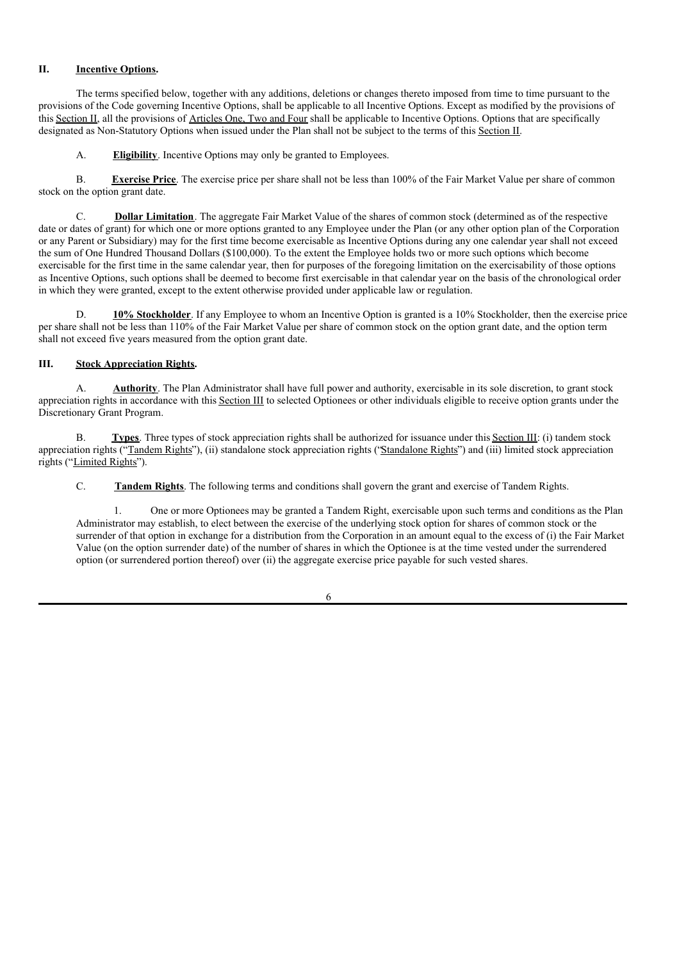## **II. Incentive Options.**

The terms specified below, together with any additions, deletions or changes thereto imposed from time to time pursuant to the provisions of the Code governing Incentive Options, shall be applicable to all Incentive Options. Except as modified by the provisions of this Section II, all the provisions of Articles One, Two and Four shall be applicable to Incentive Options. Options that are specifically designated as Non-Statutory Options when issued under the Plan shall not be subject to the terms of this Section II.

A. **Eligibility**. Incentive Options may only be granted to Employees.

B. **Exercise Price**. The exercise price per share shall not be less than 100% of the Fair Market Value per share of common stock on the option grant date.

C. **Dollar Limitation**. The aggregate Fair Market Value of the shares of common stock (determined as of the respective date or dates of grant) for which one or more options granted to any Employee under the Plan (or any other option plan of the Corporation or any Parent or Subsidiary) may for the first time become exercisable as Incentive Options during any one calendar year shall not exceed the sum of One Hundred Thousand Dollars (\$100,000). To the extent the Employee holds two or more such options which become exercisable for the first time in the same calendar year, then for purposes of the foregoing limitation on the exercisability of those options as Incentive Options, such options shall be deemed to become first exercisable in that calendar year on the basis of the chronological order in which they were granted, except to the extent otherwise provided under applicable law or regulation.

D. **10% Stockholder**. If any Employee to whom an Incentive Option is granted is a 10% Stockholder, then the exercise price per share shall not be less than 110% of the Fair Market Value per share of common stock on the option grant date, and the option term shall not exceed five years measured from the option grant date.

# **III. Stock Appreciation Rights.**

A. **Authority**. The Plan Administrator shall have full power and authority, exercisable in its sole discretion, to grant stock appreciation rights in accordance with this Section III to selected Optionees or other individuals eligible to receive option grants under the Discretionary Grant Program.

B. **Types**. Three types of stock appreciation rights shall be authorized for issuance under this Section III: (i) tandem stock appreciation rights ("Tandem Rights"), (ii) standalone stock appreciation rights ("Standalone Rights") and (iii) limited stock appreciation rights ("Limited Rights").

C. **Tandem Rights**. The following terms and conditions shall govern the grant and exercise of Tandem Rights.

1. One or more Optionees may be granted a Tandem Right, exercisable upon such terms and conditions as the Plan Administrator may establish, to elect between the exercise of the underlying stock option for shares of common stock or the surrender of that option in exchange for a distribution from the Corporation in an amount equal to the excess of (i) the Fair Market Value (on the option surrender date) of the number of shares in which the Optionee is at the time vested under the surrendered option (or surrendered portion thereof) over (ii) the aggregate exercise price payable for such vested shares.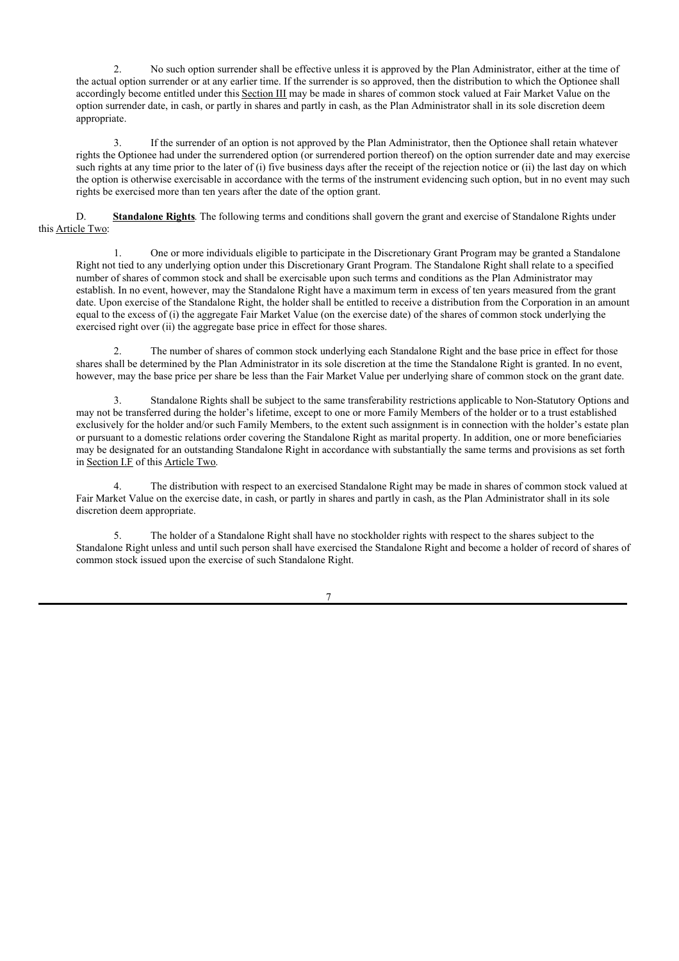2. No such option surrender shall be effective unless it is approved by the Plan Administrator, either at the time of the actual option surrender or at any earlier time. If the surrender is so approved, then the distribution to which the Optionee shall accordingly become entitled under this Section III may be made in shares of common stock valued at Fair Market Value on the option surrender date, in cash, or partly in shares and partly in cash, as the Plan Administrator shall in its sole discretion deem appropriate.

3. If the surrender of an option is not approved by the Plan Administrator, then the Optionee shall retain whatever rights the Optionee had under the surrendered option (or surrendered portion thereof) on the option surrender date and may exercise such rights at any time prior to the later of (i) five business days after the receipt of the rejection notice or (ii) the last day on which the option is otherwise exercisable in accordance with the terms of the instrument evidencing such option, but in no event may such rights be exercised more than ten years after the date of the option grant.

D. **Standalone Rights**. The following terms and conditions shall govern the grant and exercise of Standalone Rights under this Article Two:

1. One or more individuals eligible to participate in the Discretionary Grant Program may be granted a Standalone Right not tied to any underlying option under this Discretionary Grant Program. The Standalone Right shall relate to a specified number of shares of common stock and shall be exercisable upon such terms and conditions as the Plan Administrator may establish. In no event, however, may the Standalone Right have a maximum term in excess of ten years measured from the grant date. Upon exercise of the Standalone Right, the holder shall be entitled to receive a distribution from the Corporation in an amount equal to the excess of (i) the aggregate Fair Market Value (on the exercise date) of the shares of common stock underlying the exercised right over (ii) the aggregate base price in effect for those shares.

The number of shares of common stock underlying each Standalone Right and the base price in effect for those shares shall be determined by the Plan Administrator in its sole discretion at the time the Standalone Right is granted. In no event, however, may the base price per share be less than the Fair Market Value per underlying share of common stock on the grant date.

Standalone Rights shall be subject to the same transferability restrictions applicable to Non-Statutory Options and may not be transferred during the holder's lifetime, except to one or more Family Members of the holder or to a trust established exclusively for the holder and/or such Family Members, to the extent such assignment is in connection with the holder's estate plan or pursuant to a domestic relations order covering the Standalone Right as marital property. In addition, one or more beneficiaries may be designated for an outstanding Standalone Right in accordance with substantially the same terms and provisions as set forth in Section I.F of this Article Two.

The distribution with respect to an exercised Standalone Right may be made in shares of common stock valued at Fair Market Value on the exercise date, in cash, or partly in shares and partly in cash, as the Plan Administrator shall in its sole discretion deem appropriate.

5. The holder of a Standalone Right shall have no stockholder rights with respect to the shares subject to the Standalone Right unless and until such person shall have exercised the Standalone Right and become a holder of record of shares of common stock issued upon the exercise of such Standalone Right.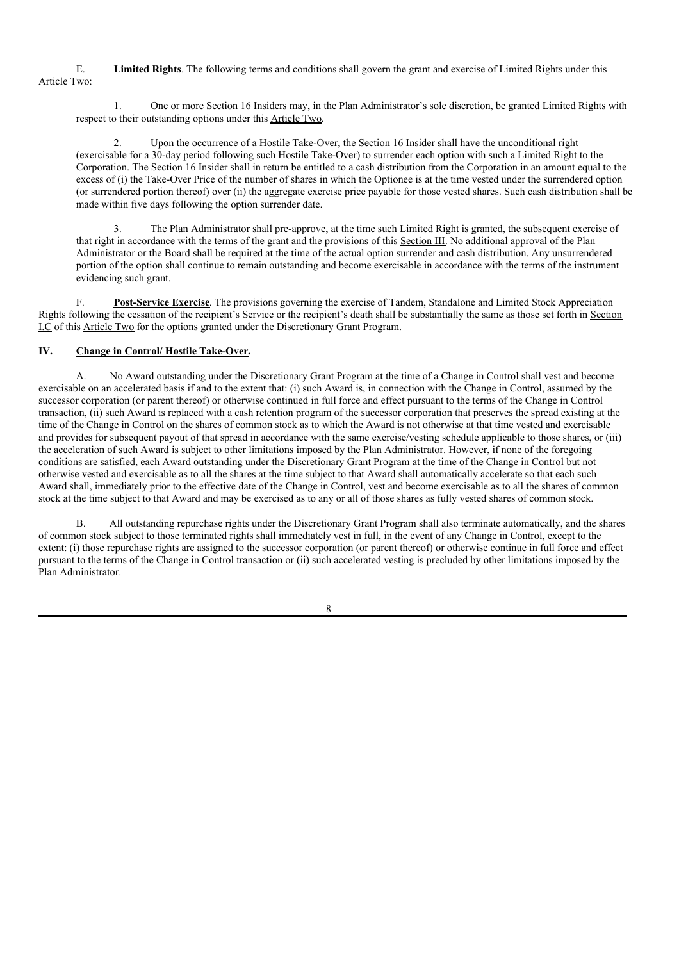# E. **Limited Rights**. The following terms and conditions shall govern the grant and exercise of Limited Rights under this Article Two:

1. One or more Section 16 Insiders may, in the Plan Administrator's sole discretion, be granted Limited Rights with respect to their outstanding options under this Article Two.

2. Upon the occurrence of a Hostile Take-Over, the Section 16 Insider shall have the unconditional right (exercisable for a 30-day period following such Hostile Take-Over) to surrender each option with such a Limited Right to the Corporation. The Section 16 Insider shall in return be entitled to a cash distribution from the Corporation in an amount equal to the excess of (i) the Take-Over Price of the number of shares in which the Optionee is at the time vested under the surrendered option (or surrendered portion thereof) over (ii) the aggregate exercise price payable for those vested shares. Such cash distribution shall be made within five days following the option surrender date.

3. The Plan Administrator shall pre-approve, at the time such Limited Right is granted, the subsequent exercise of that right in accordance with the terms of the grant and the provisions of this Section III. No additional approval of the Plan Administrator or the Board shall be required at the time of the actual option surrender and cash distribution. Any unsurrendered portion of the option shall continue to remain outstanding and become exercisable in accordance with the terms of the instrument evidencing such grant.

F. **Post-Service Exercise**. The provisions governing the exercise of Tandem, Standalone and Limited Stock Appreciation Rights following the cessation of the recipient's Service or the recipient's death shall be substantially the same as those set forth in Section I.C of this Article Two for the options granted under the Discretionary Grant Program.

# **IV. Change in Control/ Hostile Take-Over.**

A. No Award outstanding under the Discretionary Grant Program at the time of a Change in Control shall vest and become exercisable on an accelerated basis if and to the extent that: (i) such Award is, in connection with the Change in Control, assumed by the successor corporation (or parent thereof) or otherwise continued in full force and effect pursuant to the terms of the Change in Control transaction, (ii) such Award is replaced with a cash retention program of the successor corporation that preserves the spread existing at the time of the Change in Control on the shares of common stock as to which the Award is not otherwise at that time vested and exercisable and provides for subsequent payout of that spread in accordance with the same exercise/vesting schedule applicable to those shares, or (iii) the acceleration of such Award is subject to other limitations imposed by the Plan Administrator. However, if none of the foregoing conditions are satisfied, each Award outstanding under the Discretionary Grant Program at the time of the Change in Control but not otherwise vested and exercisable as to all the shares at the time subject to that Award shall automatically accelerate so that each such Award shall, immediately prior to the effective date of the Change in Control, vest and become exercisable as to all the shares of common stock at the time subject to that Award and may be exercised as to any or all of those shares as fully vested shares of common stock.

B. All outstanding repurchase rights under the Discretionary Grant Program shall also terminate automatically, and the shares of common stock subject to those terminated rights shall immediately vest in full, in the event of any Change in Control, except to the extent: (i) those repurchase rights are assigned to the successor corporation (or parent thereof) or otherwise continue in full force and effect pursuant to the terms of the Change in Control transaction or (ii) such accelerated vesting is precluded by other limitations imposed by the Plan Administrator.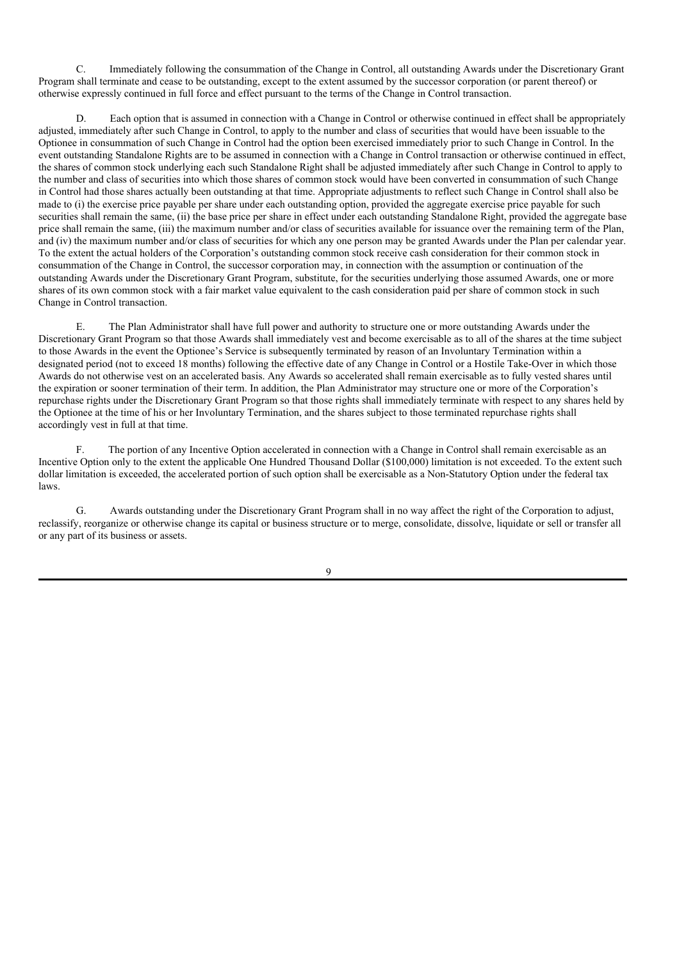C. Immediately following the consummation of the Change in Control, all outstanding Awards under the Discretionary Grant Program shall terminate and cease to be outstanding, except to the extent assumed by the successor corporation (or parent thereof) or otherwise expressly continued in full force and effect pursuant to the terms of the Change in Control transaction.

D. Each option that is assumed in connection with a Change in Control or otherwise continued in effect shall be appropriately adjusted, immediately after such Change in Control, to apply to the number and class of securities that would have been issuable to the Optionee in consummation of such Change in Control had the option been exercised immediately prior to such Change in Control. In the event outstanding Standalone Rights are to be assumed in connection with a Change in Control transaction or otherwise continued in effect, the shares of common stock underlying each such Standalone Right shall be adjusted immediately after such Change in Control to apply to the number and class of securities into which those shares of common stock would have been converted in consummation of such Change in Control had those shares actually been outstanding at that time. Appropriate adjustments to reflect such Change in Control shall also be made to (i) the exercise price payable per share under each outstanding option, provided the aggregate exercise price payable for such securities shall remain the same, (ii) the base price per share in effect under each outstanding Standalone Right, provided the aggregate base price shall remain the same, (iii) the maximum number and/or class of securities available for issuance over the remaining term of the Plan, and (iv) the maximum number and/or class of securities for which any one person may be granted Awards under the Plan per calendar year. To the extent the actual holders of the Corporation's outstanding common stock receive cash consideration for their common stock in consummation of the Change in Control, the successor corporation may, in connection with the assumption or continuation of the outstanding Awards under the Discretionary Grant Program, substitute, for the securities underlying those assumed Awards, one or more shares of its own common stock with a fair market value equivalent to the cash consideration paid per share of common stock in such Change in Control transaction.

The Plan Administrator shall have full power and authority to structure one or more outstanding Awards under the Discretionary Grant Program so that those Awards shall immediately vest and become exercisable as to all of the shares at the time subject to those Awards in the event the Optionee's Service is subsequently terminated by reason of an Involuntary Termination within a designated period (not to exceed 18 months) following the effective date of any Change in Control or a Hostile Take-Over in which those Awards do not otherwise vest on an accelerated basis. Any Awards so accelerated shall remain exercisable as to fully vested shares until the expiration or sooner termination of their term. In addition, the Plan Administrator may structure one or more of the Corporation's repurchase rights under the Discretionary Grant Program so that those rights shall immediately terminate with respect to any shares held by the Optionee at the time of his or her Involuntary Termination, and the shares subject to those terminated repurchase rights shall accordingly vest in full at that time.

F. The portion of any Incentive Option accelerated in connection with a Change in Control shall remain exercisable as an Incentive Option only to the extent the applicable One Hundred Thousand Dollar (\$100,000) limitation is not exceeded. To the extent such dollar limitation is exceeded, the accelerated portion of such option shall be exercisable as a Non-Statutory Option under the federal tax laws.

G. Awards outstanding under the Discretionary Grant Program shall in no way affect the right of the Corporation to adjust, reclassify, reorganize or otherwise change its capital or business structure or to merge, consolidate, dissolve, liquidate or sell or transfer all or any part of its business or assets.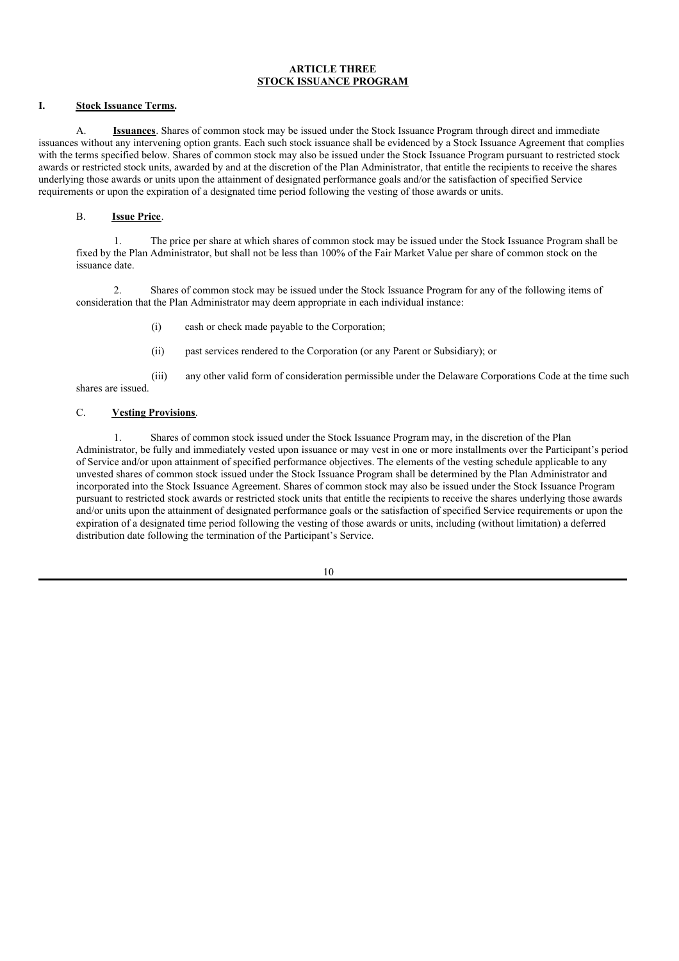#### **ARTICLE THREE STOCK ISSUANCE PROGRAM**

# **I. Stock Issuance Terms.**

A. **Issuances**. Shares of common stock may be issued under the Stock Issuance Program through direct and immediate issuances without any intervening option grants. Each such stock issuance shall be evidenced by a Stock Issuance Agreement that complies with the terms specified below. Shares of common stock may also be issued under the Stock Issuance Program pursuant to restricted stock awards or restricted stock units, awarded by and at the discretion of the Plan Administrator, that entitle the recipients to receive the shares underlying those awards or units upon the attainment of designated performance goals and/or the satisfaction of specified Service requirements or upon the expiration of a designated time period following the vesting of those awards or units.

# B. **Issue Price**.

1. The price per share at which shares of common stock may be issued under the Stock Issuance Program shall be fixed by the Plan Administrator, but shall not be less than 100% of the Fair Market Value per share of common stock on the issuance date.

2. Shares of common stock may be issued under the Stock Issuance Program for any of the following items of consideration that the Plan Administrator may deem appropriate in each individual instance:

- (i) cash or check made payable to the Corporation;
- (ii) past services rendered to the Corporation (or any Parent or Subsidiary); or

(iii) any other valid form of consideration permissible under the Delaware Corporations Code at the time such shares are issued.

#### C. **Vesting Provisions**.

1. Shares of common stock issued under the Stock Issuance Program may, in the discretion of the Plan Administrator, be fully and immediately vested upon issuance or may vest in one or more installments over the Participant's period of Service and/or upon attainment of specified performance objectives. The elements of the vesting schedule applicable to any unvested shares of common stock issued under the Stock Issuance Program shall be determined by the Plan Administrator and incorporated into the Stock Issuance Agreement. Shares of common stock may also be issued under the Stock Issuance Program pursuant to restricted stock awards or restricted stock units that entitle the recipients to receive the shares underlying those awards and/or units upon the attainment of designated performance goals or the satisfaction of specified Service requirements or upon the expiration of a designated time period following the vesting of those awards or units, including (without limitation) a deferred distribution date following the termination of the Participant's Service.

| I<br>۰, |
|---------|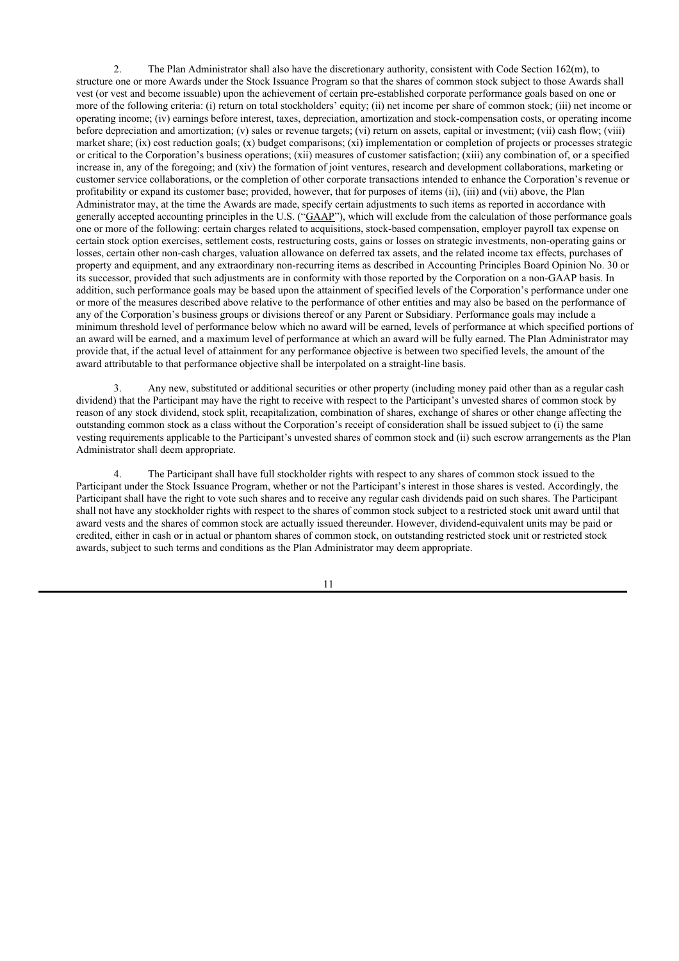2. The Plan Administrator shall also have the discretionary authority, consistent with Code Section 162(m), to structure one or more Awards under the Stock Issuance Program so that the shares of common stock subject to those Awards shall vest (or vest and become issuable) upon the achievement of certain pre-established corporate performance goals based on one or more of the following criteria: (i) return on total stockholders' equity; (ii) net income per share of common stock; (iii) net income or operating income; (iv) earnings before interest, taxes, depreciation, amortization and stock-compensation costs, or operating income before depreciation and amortization; (v) sales or revenue targets; (vi) return on assets, capital or investment; (vii) cash flow; (viii) market share; (ix) cost reduction goals; (x) budget comparisons; (xi) implementation or completion of projects or processes strategic or critical to the Corporation's business operations; (xii) measures of customer satisfaction; (xiii) any combination of, or a specified increase in, any of the foregoing; and (xiv) the formation of joint ventures, research and development collaborations, marketing or customer service collaborations, or the completion of other corporate transactions intended to enhance the Corporation's revenue or profitability or expand its customer base; provided, however, that for purposes of items (ii), (iii) and (vii) above, the Plan Administrator may, at the time the Awards are made, specify certain adjustments to such items as reported in accordance with generally accepted accounting principles in the U.S. ("GAAP"), which will exclude from the calculation of those performance goals one or more of the following: certain charges related to acquisitions, stock-based compensation, employer payroll tax expense on certain stock option exercises, settlement costs, restructuring costs, gains or losses on strategic investments, non-operating gains or losses, certain other non-cash charges, valuation allowance on deferred tax assets, and the related income tax effects, purchases of property and equipment, and any extraordinary non-recurring items as described in Accounting Principles Board Opinion No. 30 or its successor, provided that such adjustments are in conformity with those reported by the Corporation on a non-GAAP basis. In addition, such performance goals may be based upon the attainment of specified levels of the Corporation's performance under one or more of the measures described above relative to the performance of other entities and may also be based on the performance of any of the Corporation's business groups or divisions thereof or any Parent or Subsidiary. Performance goals may include a minimum threshold level of performance below which no award will be earned, levels of performance at which specified portions of an award will be earned, and a maximum level of performance at which an award will be fully earned. The Plan Administrator may provide that, if the actual level of attainment for any performance objective is between two specified levels, the amount of the award attributable to that performance objective shall be interpolated on a straight-line basis.

3. Any new, substituted or additional securities or other property (including money paid other than as a regular cash dividend) that the Participant may have the right to receive with respect to the Participant's unvested shares of common stock by reason of any stock dividend, stock split, recapitalization, combination of shares, exchange of shares or other change affecting the outstanding common stock as a class without the Corporation's receipt of consideration shall be issued subject to (i) the same vesting requirements applicable to the Participant's unvested shares of common stock and (ii) such escrow arrangements as the Plan Administrator shall deem appropriate.

4. The Participant shall have full stockholder rights with respect to any shares of common stock issued to the Participant under the Stock Issuance Program, whether or not the Participant's interest in those shares is vested. Accordingly, the Participant shall have the right to vote such shares and to receive any regular cash dividends paid on such shares. The Participant shall not have any stockholder rights with respect to the shares of common stock subject to a restricted stock unit award until that award vests and the shares of common stock are actually issued thereunder. However, dividend-equivalent units may be paid or credited, either in cash or in actual or phantom shares of common stock, on outstanding restricted stock unit or restricted stock awards, subject to such terms and conditions as the Plan Administrator may deem appropriate.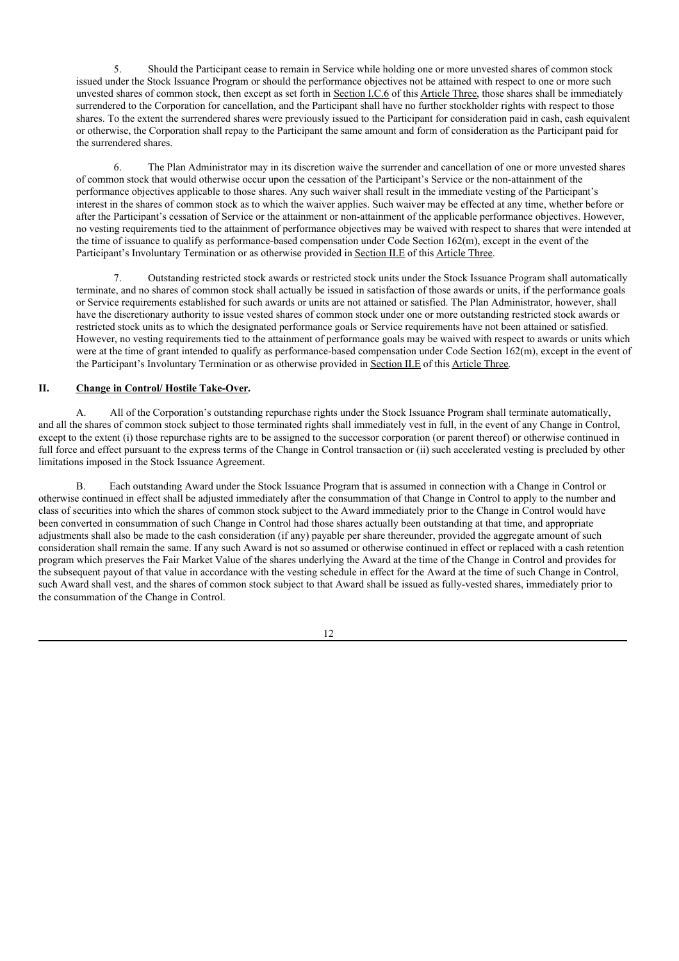5. Should the Participant cease to remain in Service while holding one or more unvested shares of common stock issued under the Stock Issuance Program or should the performance objectives not be attained with respect to one or more such unvested shares of common stock, then except as set forth in Section I.C.6 of this Article Three, those shares shall be immediately surrendered to the Corporation for cancellation, and the Participant shall have no further stockholder rights with respect to those shares. To the extent the surrendered shares were previously issued to the Participant for consideration paid in cash, cash equivalent or otherwise, the Corporation shall repay to the Participant the same amount and form of consideration as the Participant paid for the surrendered shares.

6. The Plan Administrator may in its discretion waive the surrender and cancellation of one or more unvested shares of common stock that would otherwise occur upon the cessation of the Participant's Service or the non-attainment of the performance objectives applicable to those shares. Any such waiver shall result in the immediate vesting of the Participant's interest in the shares of common stock as to which the waiver applies. Such waiver may be effected at any time, whether before or after the Participant's cessation of Service or the attainment or non-attainment of the applicable performance objectives. However, no vesting requirements tied to the attainment of performance objectives may be waived with respect to shares that were intended at the time of issuance to qualify as performance-based compensation under Code Section 162(m), except in the event of the Participant's Involuntary Termination or as otherwise provided in Section II.E of this Article Three.

7. Outstanding restricted stock awards or restricted stock units under the Stock Issuance Program shall automatically terminate, and no shares of common stock shall actually be issued in satisfaction of those awards or units, if the performance goals or Service requirements established for such awards or units are not attained or satisfied. The Plan Administrator, however, shall have the discretionary authority to issue vested shares of common stock under one or more outstanding restricted stock awards or restricted stock units as to which the designated performance goals or Service requirements have not been attained or satisfied. However, no vesting requirements tied to the attainment of performance goals may be waived with respect to awards or units which were at the time of grant intended to qualify as performance-based compensation under Code Section 162(m), except in the event of the Participant's Involuntary Termination or as otherwise provided in Section II.E of this Article Three.

## **II. Change in Control/ Hostile Take-Over.**

A. All of the Corporation's outstanding repurchase rights under the Stock Issuance Program shall terminate automatically, and all the shares of common stock subject to those terminated rights shall immediately vest in full, in the event of any Change in Control, except to the extent (i) those repurchase rights are to be assigned to the successor corporation (or parent thereof) or otherwise continued in full force and effect pursuant to the express terms of the Change in Control transaction or (ii) such accelerated vesting is precluded by other limitations imposed in the Stock Issuance Agreement.

B. Each outstanding Award under the Stock Issuance Program that is assumed in connection with a Change in Control or otherwise continued in effect shall be adjusted immediately after the consummation of that Change in Control to apply to the number and class of securities into which the shares of common stock subject to the Award immediately prior to the Change in Control would have been converted in consummation of such Change in Control had those shares actually been outstanding at that time, and appropriate adjustments shall also be made to the cash consideration (if any) payable per share thereunder, provided the aggregate amount of such consideration shall remain the same. If any such Award is not so assumed or otherwise continued in effect or replaced with a cash retention program which preserves the Fair Market Value of the shares underlying the Award at the time of the Change in Control and provides for the subsequent payout of that value in accordance with the vesting schedule in effect for the Award at the time of such Change in Control, such Award shall vest, and the shares of common stock subject to that Award shall be issued as fully-vested shares, immediately prior to the consummation of the Change in Control.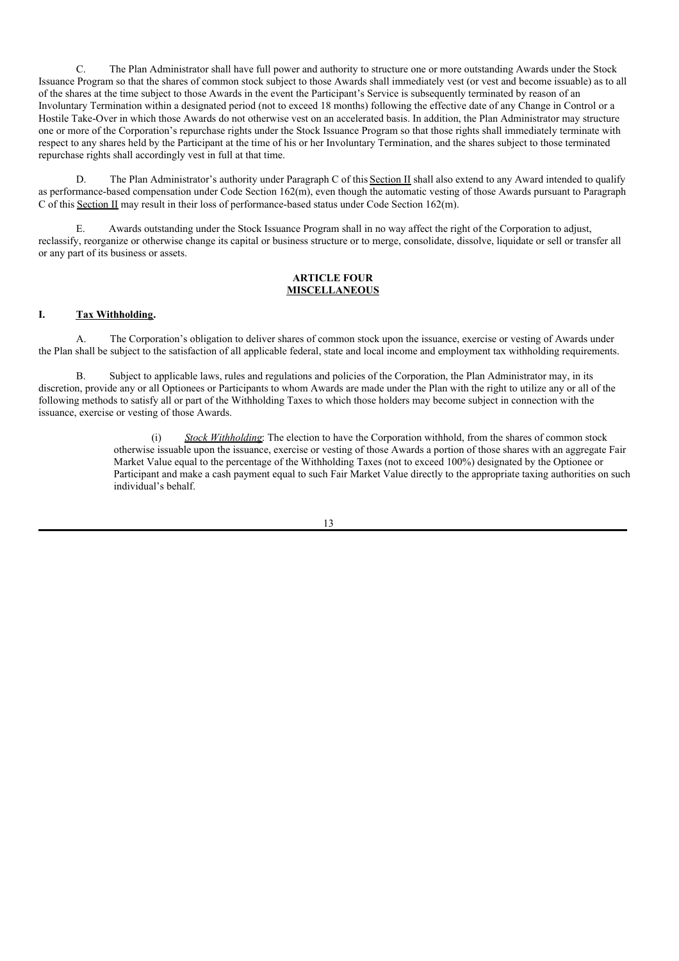C. The Plan Administrator shall have full power and authority to structure one or more outstanding Awards under the Stock Issuance Program so that the shares of common stock subject to those Awards shall immediately vest (or vest and become issuable) as to all of the shares at the time subject to those Awards in the event the Participant's Service is subsequently terminated by reason of an Involuntary Termination within a designated period (not to exceed 18 months) following the effective date of any Change in Control or a Hostile Take-Over in which those Awards do not otherwise vest on an accelerated basis. In addition, the Plan Administrator may structure one or more of the Corporation's repurchase rights under the Stock Issuance Program so that those rights shall immediately terminate with respect to any shares held by the Participant at the time of his or her Involuntary Termination, and the shares subject to those terminated repurchase rights shall accordingly vest in full at that time.

The Plan Administrator's authority under Paragraph C of this Section II shall also extend to any Award intended to qualify as performance-based compensation under Code Section 162(m), even though the automatic vesting of those Awards pursuant to Paragraph C of this Section II may result in their loss of performance-based status under Code Section 162(m).

E. Awards outstanding under the Stock Issuance Program shall in no way affect the right of the Corporation to adjust, reclassify, reorganize or otherwise change its capital or business structure or to merge, consolidate, dissolve, liquidate or sell or transfer all or any part of its business or assets.

## **ARTICLE FOUR MISCELLANEOUS**

## **I. Tax Withholding.**

A. The Corporation's obligation to deliver shares of common stock upon the issuance, exercise or vesting of Awards under the Plan shall be subject to the satisfaction of all applicable federal, state and local income and employment tax withholding requirements.

Subject to applicable laws, rules and regulations and policies of the Corporation, the Plan Administrator may, in its discretion, provide any or all Optionees or Participants to whom Awards are made under the Plan with the right to utilize any or all of the following methods to satisfy all or part of the Withholding Taxes to which those holders may become subject in connection with the issuance, exercise or vesting of those Awards.

> (i) *Stock Withholding*: The election to have the Corporation withhold, from the shares of common stock otherwise issuable upon the issuance, exercise or vesting of those Awards a portion of those shares with an aggregate Fair Market Value equal to the percentage of the Withholding Taxes (not to exceed 100%) designated by the Optionee or Participant and make a cash payment equal to such Fair Market Value directly to the appropriate taxing authorities on such individual's behalf.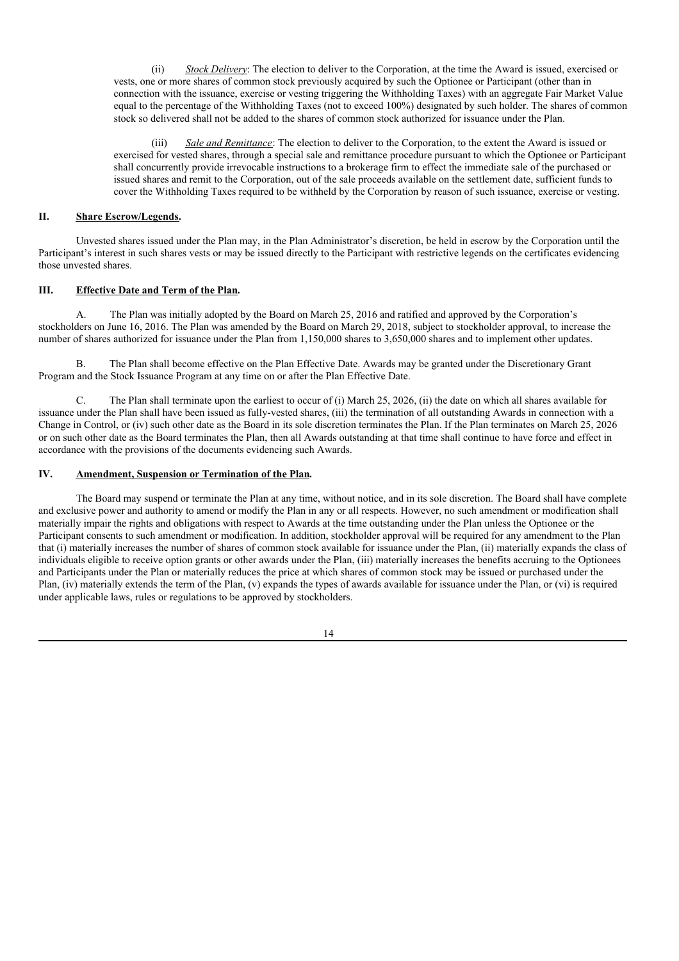(ii) *Stock Delivery*: The election to deliver to the Corporation, at the time the Award is issued, exercised or vests, one or more shares of common stock previously acquired by such the Optionee or Participant (other than in connection with the issuance, exercise or vesting triggering the Withholding Taxes) with an aggregate Fair Market Value equal to the percentage of the Withholding Taxes (not to exceed 100%) designated by such holder. The shares of common stock so delivered shall not be added to the shares of common stock authorized for issuance under the Plan.

(iii) *Sale and Remittance*: The election to deliver to the Corporation, to the extent the Award is issued or exercised for vested shares, through a special sale and remittance procedure pursuant to which the Optionee or Participant shall concurrently provide irrevocable instructions to a brokerage firm to effect the immediate sale of the purchased or issued shares and remit to the Corporation, out of the sale proceeds available on the settlement date, sufficient funds to cover the Withholding Taxes required to be withheld by the Corporation by reason of such issuance, exercise or vesting.

## **II. Share Escrow/Legends.**

Unvested shares issued under the Plan may, in the Plan Administrator's discretion, be held in escrow by the Corporation until the Participant's interest in such shares vests or may be issued directly to the Participant with restrictive legends on the certificates evidencing those unvested shares.

#### **III. Effective Date and Term of the Plan.**

A. The Plan was initially adopted by the Board on March 25, 2016 and ratified and approved by the Corporation's stockholders on June 16, 2016. The Plan was amended by the Board on March 29, 2018, subject to stockholder approval, to increase the number of shares authorized for issuance under the Plan from 1,150,000 shares to 3,650,000 shares and to implement other updates.

B. The Plan shall become effective on the Plan Effective Date. Awards may be granted under the Discretionary Grant Program and the Stock Issuance Program at any time on or after the Plan Effective Date.

C. The Plan shall terminate upon the earliest to occur of (i) March 25, 2026, (ii) the date on which all shares available for issuance under the Plan shall have been issued as fully-vested shares, (iii) the termination of all outstanding Awards in connection with a Change in Control, or (iv) such other date as the Board in its sole discretion terminates the Plan. If the Plan terminates on March 25, 2026 or on such other date as the Board terminates the Plan, then all Awards outstanding at that time shall continue to have force and effect in accordance with the provisions of the documents evidencing such Awards.

#### **IV. Amendment, Suspension or Termination of the Plan.**

The Board may suspend or terminate the Plan at any time, without notice, and in its sole discretion. The Board shall have complete and exclusive power and authority to amend or modify the Plan in any or all respects. However, no such amendment or modification shall materially impair the rights and obligations with respect to Awards at the time outstanding under the Plan unless the Optionee or the Participant consents to such amendment or modification. In addition, stockholder approval will be required for any amendment to the Plan that (i) materially increases the number of shares of common stock available for issuance under the Plan, (ii) materially expands the class of individuals eligible to receive option grants or other awards under the Plan, (iii) materially increases the benefits accruing to the Optionees and Participants under the Plan or materially reduces the price at which shares of common stock may be issued or purchased under the Plan, (iv) materially extends the term of the Plan, (v) expands the types of awards available for issuance under the Plan, or (vi) is required under applicable laws, rules or regulations to be approved by stockholders.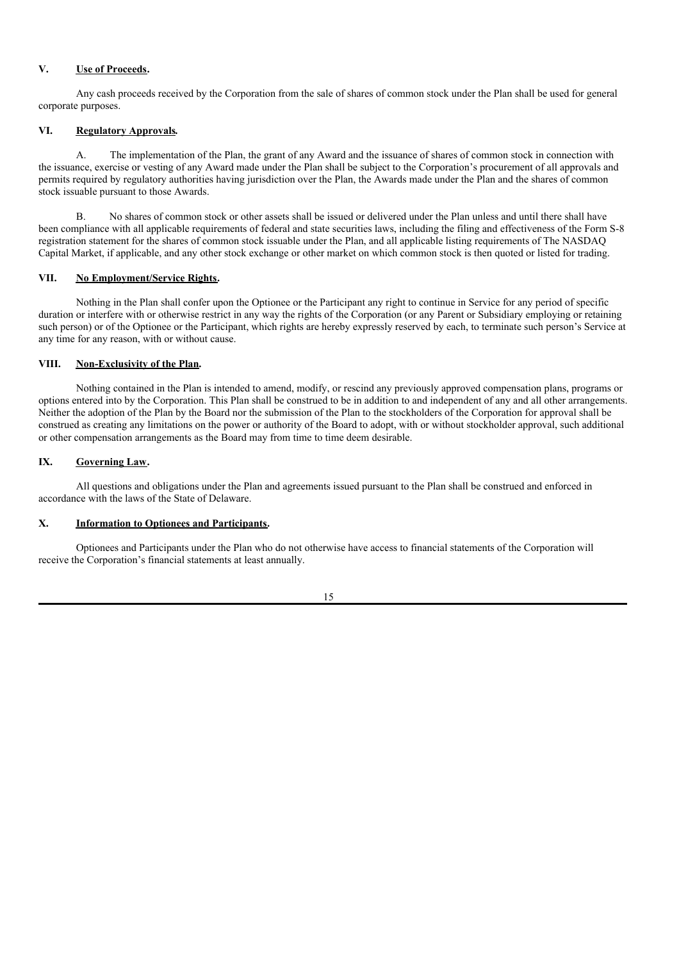# **V. Use of Proceeds.**

Any cash proceeds received by the Corporation from the sale of shares of common stock under the Plan shall be used for general corporate purposes.

## **VI. Regulatory Approvals.**

A. The implementation of the Plan, the grant of any Award and the issuance of shares of common stock in connection with the issuance, exercise or vesting of any Award made under the Plan shall be subject to the Corporation's procurement of all approvals and permits required by regulatory authorities having jurisdiction over the Plan, the Awards made under the Plan and the shares of common stock issuable pursuant to those Awards.

B. No shares of common stock or other assets shall be issued or delivered under the Plan unless and until there shall have been compliance with all applicable requirements of federal and state securities laws, including the filing and effectiveness of the Form S-8 registration statement for the shares of common stock issuable under the Plan, and all applicable listing requirements of The NASDAQ Capital Market, if applicable, and any other stock exchange or other market on which common stock is then quoted or listed for trading.

## **VII. No Employment/Service Rights.**

Nothing in the Plan shall confer upon the Optionee or the Participant any right to continue in Service for any period of specific duration or interfere with or otherwise restrict in any way the rights of the Corporation (or any Parent or Subsidiary employing or retaining such person) or of the Optionee or the Participant, which rights are hereby expressly reserved by each, to terminate such person's Service at any time for any reason, with or without cause.

## **VIII. Non-Exclusivity of the Plan.**

Nothing contained in the Plan is intended to amend, modify, or rescind any previously approved compensation plans, programs or options entered into by the Corporation. This Plan shall be construed to be in addition to and independent of any and all other arrangements. Neither the adoption of the Plan by the Board nor the submission of the Plan to the stockholders of the Corporation for approval shall be construed as creating any limitations on the power or authority of the Board to adopt, with or without stockholder approval, such additional or other compensation arrangements as the Board may from time to time deem desirable.

## **IX. Governing Law.**

All questions and obligations under the Plan and agreements issued pursuant to the Plan shall be construed and enforced in accordance with the laws of the State of Delaware.

# **X. Information to Optionees and Participants.**

Optionees and Participants under the Plan who do not otherwise have access to financial statements of the Corporation will receive the Corporation's financial statements at least annually.

15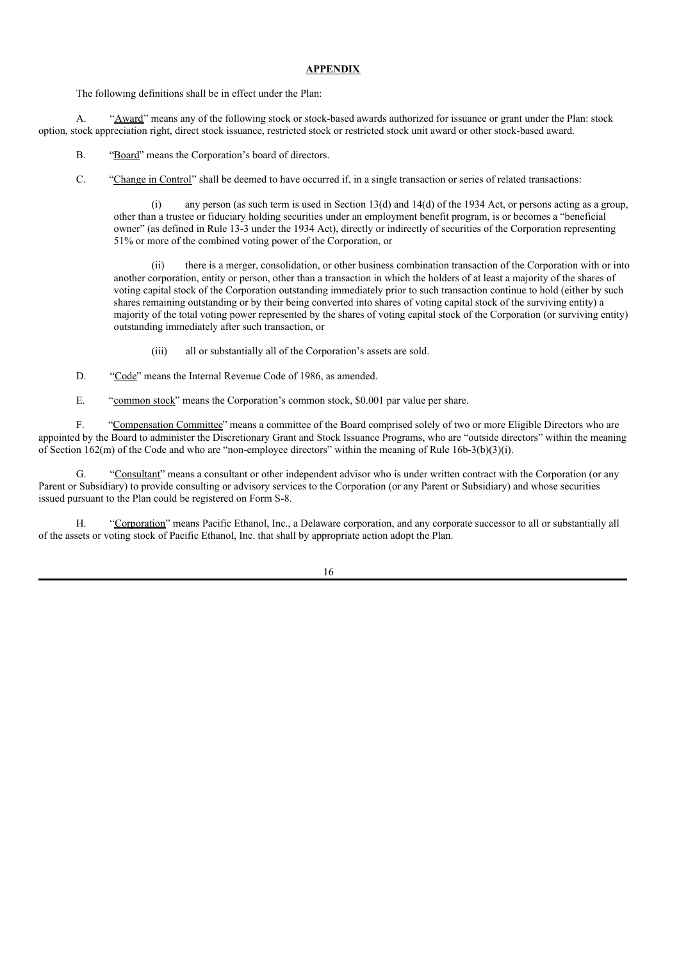## **APPENDIX**

The following definitions shall be in effect under the Plan:

A. "Award" means any of the following stock or stock-based awards authorized for issuance or grant under the Plan: stock option, stock appreciation right, direct stock issuance, restricted stock or restricted stock unit award or other stock-based award.

- B. "Board" means the Corporation's board of directors.
- C. "Change in Control" shall be deemed to have occurred if, in a single transaction or series of related transactions:

any person (as such term is used in Section 13(d) and 14(d) of the 1934 Act, or persons acting as a group, other than a trustee or fiduciary holding securities under an employment benefit program, is or becomes a "beneficial owner" (as defined in Rule 13-3 under the 1934 Act), directly or indirectly of securities of the Corporation representing 51% or more of the combined voting power of the Corporation, or

(ii) there is a merger, consolidation, or other business combination transaction of the Corporation with or into another corporation, entity or person, other than a transaction in which the holders of at least a majority of the shares of voting capital stock of the Corporation outstanding immediately prior to such transaction continue to hold (either by such shares remaining outstanding or by their being converted into shares of voting capital stock of the surviving entity) a majority of the total voting power represented by the shares of voting capital stock of the Corporation (or surviving entity) outstanding immediately after such transaction, or

- (iii) all or substantially all of the Corporation's assets are sold.
- D. "Code" means the Internal Revenue Code of 1986, as amended.
- E. "common stock" means the Corporation's common stock, \$0.001 par value per share.

F. "Compensation Committee" means a committee of the Board comprised solely of two or more Eligible Directors who are appointed by the Board to administer the Discretionary Grant and Stock Issuance Programs, who are "outside directors" within the meaning of Section 162(m) of the Code and who are "non-employee directors" within the meaning of Rule 16b-3(b)(3)(i).

G. "Consultant" means a consultant or other independent advisor who is under written contract with the Corporation (or any Parent or Subsidiary) to provide consulting or advisory services to the Corporation (or any Parent or Subsidiary) and whose securities issued pursuant to the Plan could be registered on Form S-8.

H. "Corporation" means Pacific Ethanol, Inc., a Delaware corporation, and any corporate successor to all or substantially all of the assets or voting stock of Pacific Ethanol, Inc. that shall by appropriate action adopt the Plan.

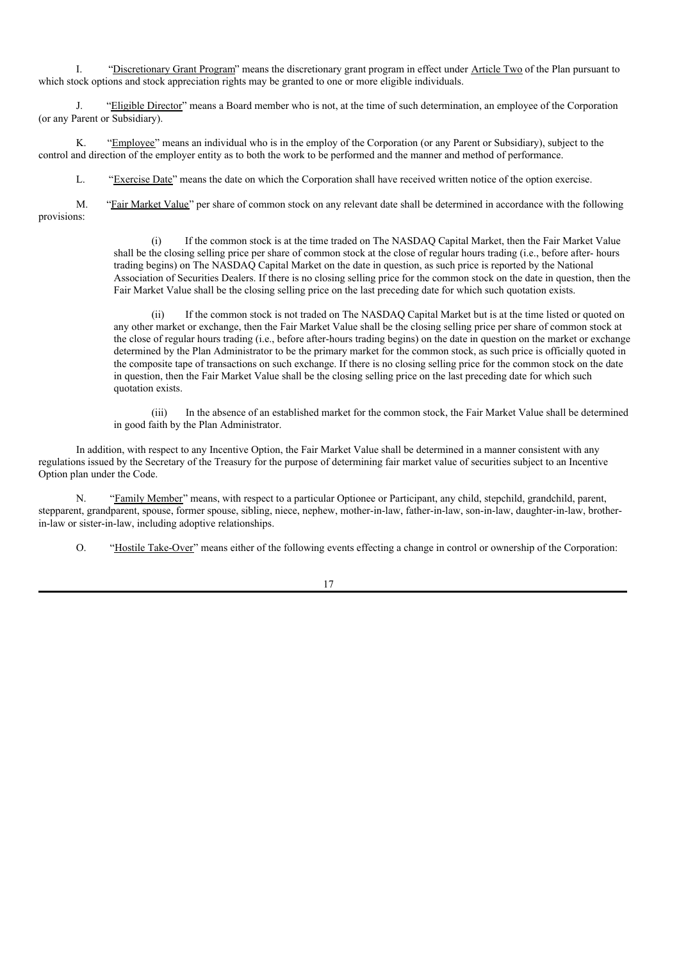I. "Discretionary Grant Program" means the discretionary grant program in effect under Article Two of the Plan pursuant to which stock options and stock appreciation rights may be granted to one or more eligible individuals.

J. "Eligible Director" means a Board member who is not, at the time of such determination, an employee of the Corporation (or any Parent or Subsidiary).

K. "Employee" means an individual who is in the employ of the Corporation (or any Parent or Subsidiary), subject to the control and direction of the employer entity as to both the work to be performed and the manner and method of performance.

L. "Exercise Date" means the date on which the Corporation shall have received written notice of the option exercise.

M. "Fair Market Value" per share of common stock on any relevant date shall be determined in accordance with the following provisions:

> (i) If the common stock is at the time traded on The NASDAQ Capital Market, then the Fair Market Value shall be the closing selling price per share of common stock at the close of regular hours trading (i.e., before after- hours trading begins) on The NASDAQ Capital Market on the date in question, as such price is reported by the National Association of Securities Dealers. If there is no closing selling price for the common stock on the date in question, then the Fair Market Value shall be the closing selling price on the last preceding date for which such quotation exists.

> (ii) If the common stock is not traded on The NASDAQ Capital Market but is at the time listed or quoted on any other market or exchange, then the Fair Market Value shall be the closing selling price per share of common stock at the close of regular hours trading (i.e., before after-hours trading begins) on the date in question on the market or exchange determined by the Plan Administrator to be the primary market for the common stock, as such price is officially quoted in the composite tape of transactions on such exchange. If there is no closing selling price for the common stock on the date in question, then the Fair Market Value shall be the closing selling price on the last preceding date for which such quotation exists.

> (iii) In the absence of an established market for the common stock, the Fair Market Value shall be determined in good faith by the Plan Administrator.

In addition, with respect to any Incentive Option, the Fair Market Value shall be determined in a manner consistent with any regulations issued by the Secretary of the Treasury for the purpose of determining fair market value of securities subject to an Incentive Option plan under the Code.

N. "Family Member" means, with respect to a particular Optionee or Participant, any child, stepchild, grandchild, parent, stepparent, grandparent, spouse, former spouse, sibling, niece, nephew, mother-in-law, father-in-law, son-in-law, daughter-in-law, brotherin-law or sister-in-law, including adoptive relationships.

O. "Hostile Take-Over" means either of the following events effecting a change in control or ownership of the Corporation: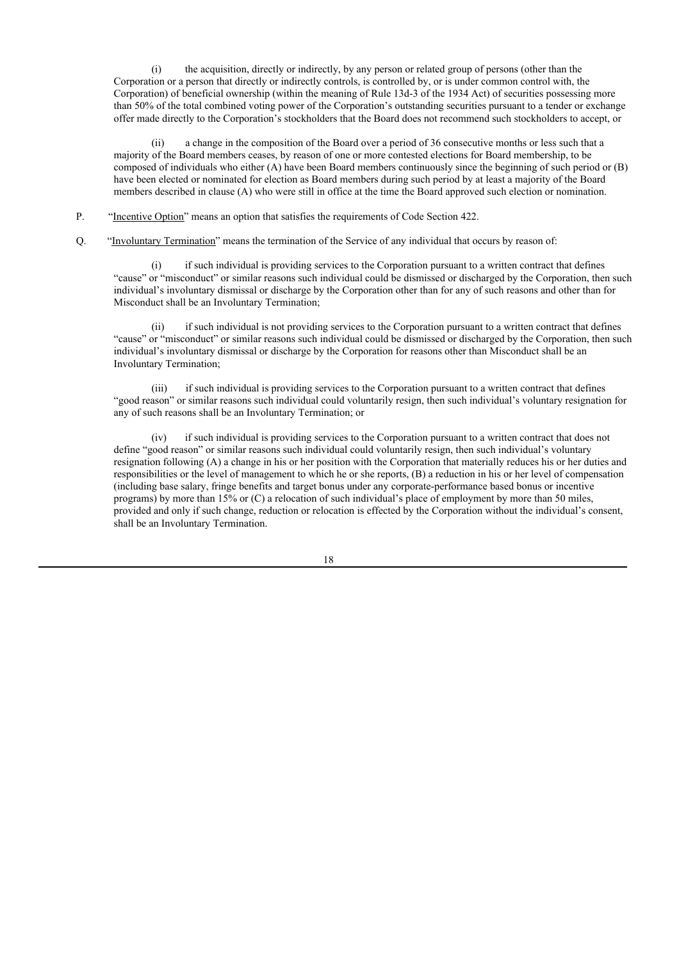(i) the acquisition, directly or indirectly, by any person or related group of persons (other than the Corporation or a person that directly or indirectly controls, is controlled by, or is under common control with, the Corporation) of beneficial ownership (within the meaning of Rule 13d-3 of the 1934 Act) of securities possessing more than 50% of the total combined voting power of the Corporation's outstanding securities pursuant to a tender or exchange offer made directly to the Corporation's stockholders that the Board does not recommend such stockholders to accept, or

(ii) a change in the composition of the Board over a period of 36 consecutive months or less such that a majority of the Board members ceases, by reason of one or more contested elections for Board membership, to be composed of individuals who either (A) have been Board members continuously since the beginning of such period or (B) have been elected or nominated for election as Board members during such period by at least a majority of the Board members described in clause (A) who were still in office at the time the Board approved such election or nomination.

- P. "Incentive Option" means an option that satisfies the requirements of Code Section 422.
- Q. "Involuntary Termination" means the termination of the Service of any individual that occurs by reason of:

(i) if such individual is providing services to the Corporation pursuant to a written contract that defines "cause" or "misconduct" or similar reasons such individual could be dismissed or discharged by the Corporation, then such individual's involuntary dismissal or discharge by the Corporation other than for any of such reasons and other than for Misconduct shall be an Involuntary Termination;

(ii) if such individual is not providing services to the Corporation pursuant to a written contract that defines "cause" or "misconduct" or similar reasons such individual could be dismissed or discharged by the Corporation, then such individual's involuntary dismissal or discharge by the Corporation for reasons other than Misconduct shall be an Involuntary Termination;

(iii) if such individual is providing services to the Corporation pursuant to a written contract that defines "good reason" or similar reasons such individual could voluntarily resign, then such individual's voluntary resignation for any of such reasons shall be an Involuntary Termination; or

(iv) if such individual is providing services to the Corporation pursuant to a written contract that does not define "good reason" or similar reasons such individual could voluntarily resign, then such individual's voluntary resignation following (A) a change in his or her position with the Corporation that materially reduces his or her duties and responsibilities or the level of management to which he or she reports, (B) a reduction in his or her level of compensation (including base salary, fringe benefits and target bonus under any corporate-performance based bonus or incentive programs) by more than 15% or (C) a relocation of such individual's place of employment by more than 50 miles, provided and only if such change, reduction or relocation is effected by the Corporation without the individual's consent, shall be an Involuntary Termination.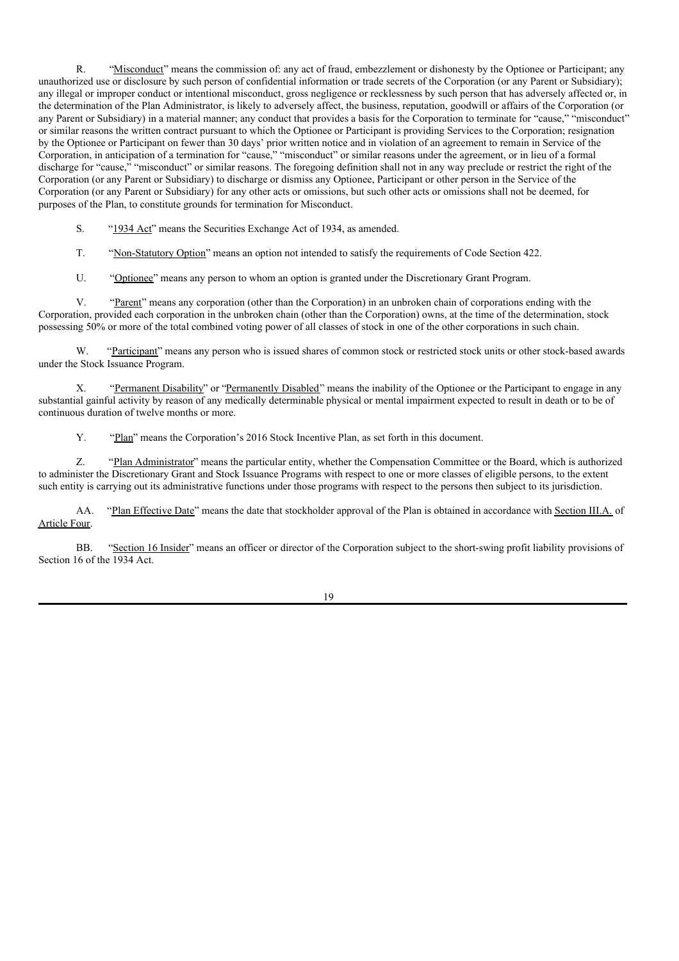R. "Misconduct" means the commission of: any act of fraud, embezzlement or dishonesty by the Optionee or Participant; any unauthorized use or disclosure by such person of confidential information or trade secrets of the Corporation (or any Parent or Subsidiary); any illegal or improper conduct or intentional misconduct, gross negligence or recklessness by such person that has adversely affected or, in the determination of the Plan Administrator, is likely to adversely affect, the business, reputation, goodwill or affairs of the Corporation (or any Parent or Subsidiary) in a material manner; any conduct that provides a basis for the Corporation to terminate for "cause," "misconduct" or similar reasons the written contract pursuant to which the Optionee or Participant is providing Services to the Corporation; resignation by the Optionee or Participant on fewer than 30 days' prior written notice and in violation of an agreement to remain in Service of the Corporation, in anticipation of a termination for "cause," "misconduct" or similar reasons under the agreement, or in lieu of a formal discharge for "cause," "misconduct" or similar reasons. The foregoing definition shall not in any way preclude or restrict the right of the Corporation (or any Parent or Subsidiary) to discharge or dismiss any Optionee, Participant or other person in the Service of the Corporation (or any Parent or Subsidiary) for any other acts or omissions, but such other acts or omissions shall not be deemed, for purposes of the Plan, to constitute grounds for termination for Misconduct.

S. "1934 Act" means the Securities Exchange Act of 1934, as amended.

T. "Non-Statutory Option" means an option not intended to satisfy the requirements of Code Section 422.

U. "Optionee" means any person to whom an option is granted under the Discretionary Grant Program.

V. "Parent" means any corporation (other than the Corporation) in an unbroken chain of corporations ending with the Corporation, provided each corporation in the unbroken chain (other than the Corporation) owns, at the time of the determination, stock possessing 50% or more of the total combined voting power of all classes of stock in one of the other corporations in such chain.

W. "Participant" means any person who is issued shares of common stock or restricted stock units or other stock-based awards under the Stock Issuance Program.

X. "Permanent Disability" or "Permanently Disabled" means the inability of the Optionee or the Participant to engage in any substantial gainful activity by reason of any medically determinable physical or mental impairment expected to result in death or to be of continuous duration of twelve months or more.

Y. "Plan" means the Corporation's 2016 Stock Incentive Plan, as set forth in this document.

Z. "Plan Administrator" means the particular entity, whether the Compensation Committee or the Board, which is authorized to administer the Discretionary Grant and Stock Issuance Programs with respect to one or more classes of eligible persons, to the extent such entity is carrying out its administrative functions under those programs with respect to the persons then subject to its jurisdiction.

AA. "Plan Effective Date" means the date that stockholder approval of the Plan is obtained in accordance with Section III.A. of Article Four.

BB. "Section 16 Insider" means an officer or director of the Corporation subject to the short-swing profit liability provisions of Section 16 of the 1934 Act.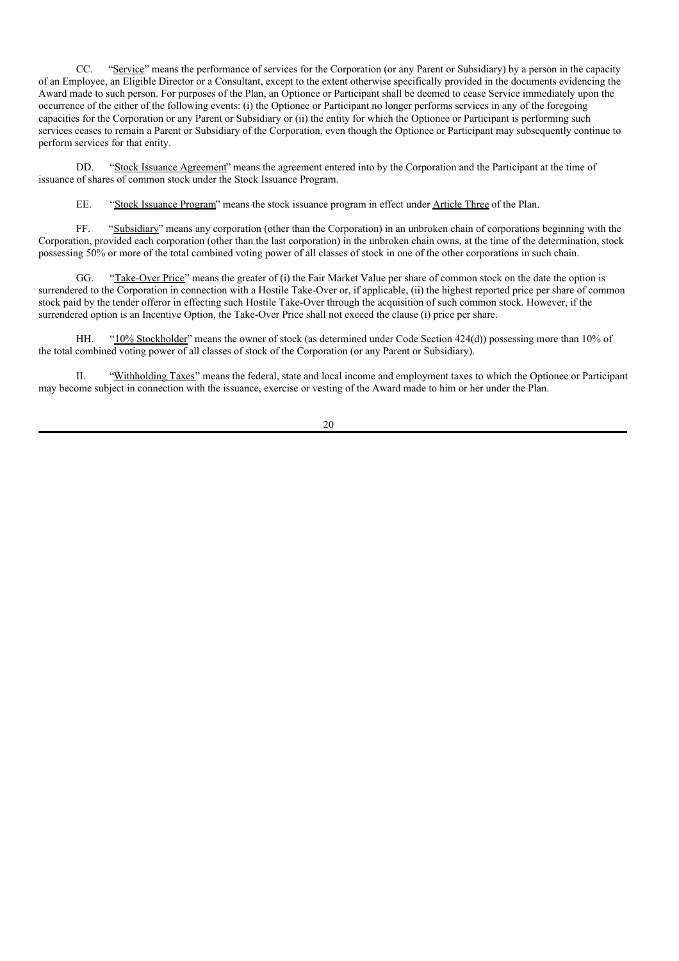CC. "Service" means the performance of services for the Corporation (or any Parent or Subsidiary) by a person in the capacity of an Employee, an Eligible Director or a Consultant, except to the extent otherwise specifically provided in the documents evidencing the Award made to such person. For purposes of the Plan, an Optionee or Participant shall be deemed to cease Service immediately upon the occurrence of the either of the following events: (i) the Optionee or Participant no longer performs services in any of the foregoing capacities for the Corporation or any Parent or Subsidiary or (ii) the entity for which the Optionee or Participant is performing such services ceases to remain a Parent or Subsidiary of the Corporation, even though the Optionee or Participant may subsequently continue to perform services for that entity.

DD. "Stock Issuance Agreement" means the agreement entered into by the Corporation and the Participant at the time of issuance of shares of common stock under the Stock Issuance Program.

EE. "Stock Issuance Program" means the stock issuance program in effect under Article Three of the Plan.

FF. "Subsidiary" means any corporation (other than the Corporation) in an unbroken chain of corporations beginning with the Corporation, provided each corporation (other than the last corporation) in the unbroken chain owns, at the time of the determination, stock possessing 50% or more of the total combined voting power of all classes of stock in one of the other corporations in such chain.

GG. "Take-Over Price" means the greater of (i) the Fair Market Value per share of common stock on the date the option is surrendered to the Corporation in connection with a Hostile Take-Over or, if applicable, (ii) the highest reported price per share of common stock paid by the tender offeror in effecting such Hostile Take-Over through the acquisition of such common stock. However, if the surrendered option is an Incentive Option, the Take-Over Price shall not exceed the clause (i) price per share.

HH. "10% Stockholder" means the owner of stock (as determined under Code Section 424(d)) possessing more than 10% of the total combined voting power of all classes of stock of the Corporation (or any Parent or Subsidiary).

II. "Withholding Taxes" means the federal, state and local income and employment taxes to which the Optionee or Participant may become subject in connection with the issuance, exercise or vesting of the Award made to him or her under the Plan.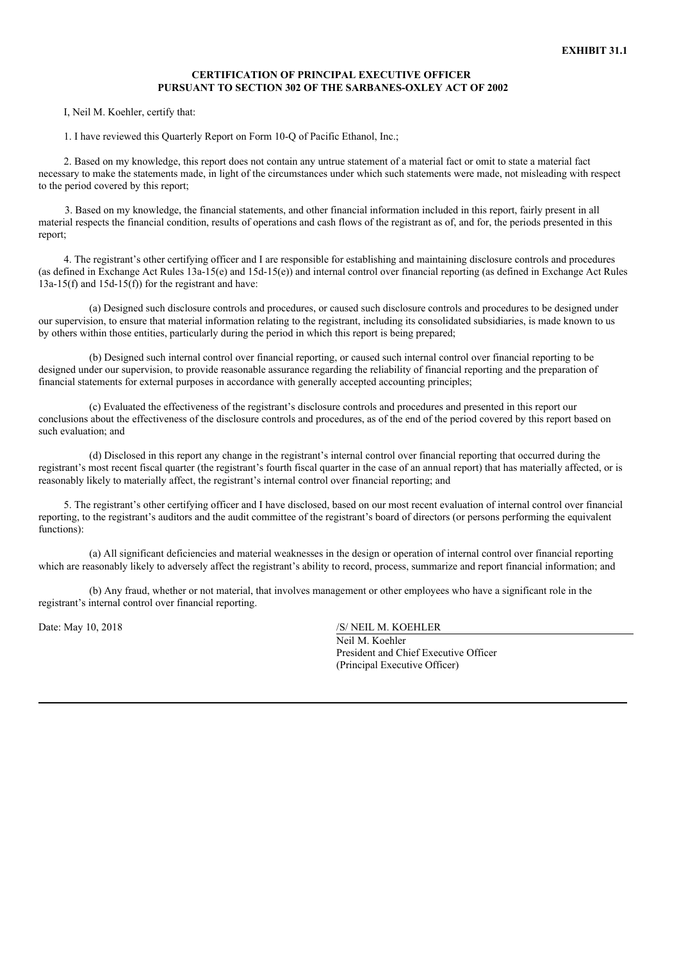## **CERTIFICATION OF PRINCIPAL EXECUTIVE OFFICER PURSUANT TO SECTION 302 OF THE SARBANES-OXLEY ACT OF 2002**

I, Neil M. Koehler, certify that:

1. I have reviewed this Quarterly Report on Form 10-Q of Pacific Ethanol, Inc.;

2. Based on my knowledge, this report does not contain any untrue statement of a material fact or omit to state a material fact necessary to make the statements made, in light of the circumstances under which such statements were made, not misleading with respect to the period covered by this report;

3. Based on my knowledge, the financial statements, and other financial information included in this report, fairly present in all material respects the financial condition, results of operations and cash flows of the registrant as of, and for, the periods presented in this report;

4. The registrant's other certifying officer and I are responsible for establishing and maintaining disclosure controls and procedures (as defined in Exchange Act Rules 13a-15(e) and 15d-15(e)) and internal control over financial reporting (as defined in Exchange Act Rules  $13a-15(f)$  and  $15d-15(f)$  for the registrant and have:

(a) Designed such disclosure controls and procedures, or caused such disclosure controls and procedures to be designed under our supervision, to ensure that material information relating to the registrant, including its consolidated subsidiaries, is made known to us by others within those entities, particularly during the period in which this report is being prepared;

(b) Designed such internal control over financial reporting, or caused such internal control over financial reporting to be designed under our supervision, to provide reasonable assurance regarding the reliability of financial reporting and the preparation of financial statements for external purposes in accordance with generally accepted accounting principles;

(c) Evaluated the effectiveness of the registrant's disclosure controls and procedures and presented in this report our conclusions about the effectiveness of the disclosure controls and procedures, as of the end of the period covered by this report based on such evaluation; and

(d) Disclosed in this report any change in the registrant's internal control over financial reporting that occurred during the registrant's most recent fiscal quarter (the registrant's fourth fiscal quarter in the case of an annual report) that has materially affected, or is reasonably likely to materially affect, the registrant's internal control over financial reporting; and

5. The registrant's other certifying officer and I have disclosed, based on our most recent evaluation of internal control over financial reporting, to the registrant's auditors and the audit committee of the registrant's board of directors (or persons performing the equivalent functions):

(a) All significant deficiencies and material weaknesses in the design or operation of internal control over financial reporting which are reasonably likely to adversely affect the registrant's ability to record, process, summarize and report financial information; and

(b) Any fraud, whether or not material, that involves management or other employees who have a significant role in the registrant's internal control over financial reporting.

Date: May 10, 2018 /S/ NEIL M. KOEHLER

Neil M. Koehler President and Chief Executive Officer (Principal Executive Officer)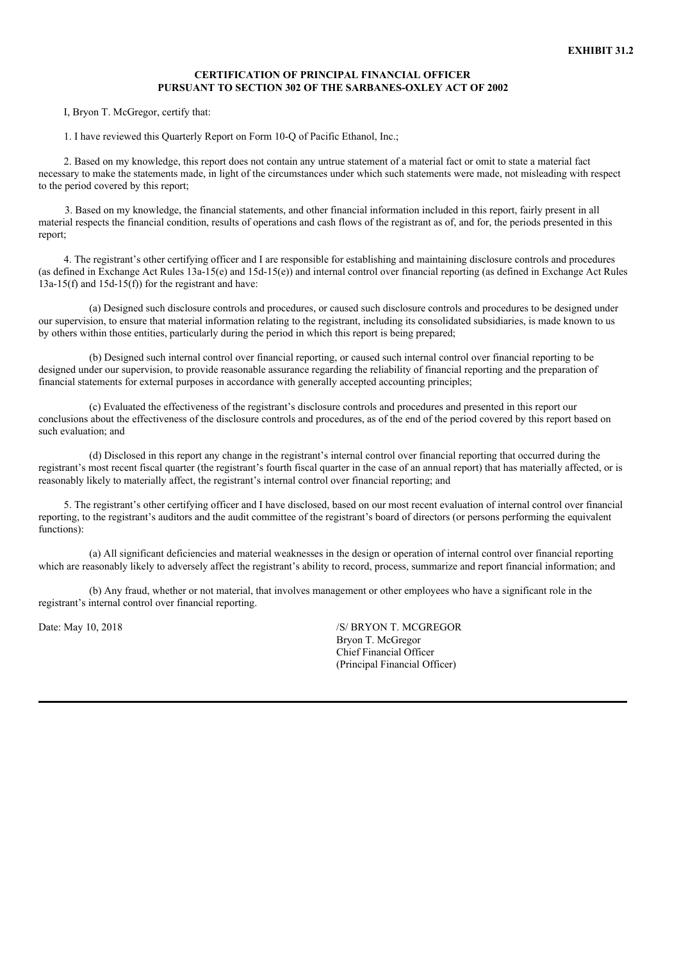## **CERTIFICATION OF PRINCIPAL FINANCIAL OFFICER PURSUANT TO SECTION 302 OF THE SARBANES-OXLEY ACT OF 2002**

I, Bryon T. McGregor, certify that:

1. I have reviewed this Quarterly Report on Form 10-Q of Pacific Ethanol, Inc.;

2. Based on my knowledge, this report does not contain any untrue statement of a material fact or omit to state a material fact necessary to make the statements made, in light of the circumstances under which such statements were made, not misleading with respect to the period covered by this report;

3. Based on my knowledge, the financial statements, and other financial information included in this report, fairly present in all material respects the financial condition, results of operations and cash flows of the registrant as of, and for, the periods presented in this report;

4. The registrant's other certifying officer and I are responsible for establishing and maintaining disclosure controls and procedures (as defined in Exchange Act Rules 13a-15(e) and 15d-15(e)) and internal control over financial reporting (as defined in Exchange Act Rules  $13a-15(f)$  and  $15d-15(f)$  for the registrant and have:

(a) Designed such disclosure controls and procedures, or caused such disclosure controls and procedures to be designed under our supervision, to ensure that material information relating to the registrant, including its consolidated subsidiaries, is made known to us by others within those entities, particularly during the period in which this report is being prepared;

(b) Designed such internal control over financial reporting, or caused such internal control over financial reporting to be designed under our supervision, to provide reasonable assurance regarding the reliability of financial reporting and the preparation of financial statements for external purposes in accordance with generally accepted accounting principles;

(c) Evaluated the effectiveness of the registrant's disclosure controls and procedures and presented in this report our conclusions about the effectiveness of the disclosure controls and procedures, as of the end of the period covered by this report based on such evaluation; and

(d) Disclosed in this report any change in the registrant's internal control over financial reporting that occurred during the registrant's most recent fiscal quarter (the registrant's fourth fiscal quarter in the case of an annual report) that has materially affected, or is reasonably likely to materially affect, the registrant's internal control over financial reporting; and

5. The registrant's other certifying officer and I have disclosed, based on our most recent evaluation of internal control over financial reporting, to the registrant's auditors and the audit committee of the registrant's board of directors (or persons performing the equivalent functions):

(a) All significant deficiencies and material weaknesses in the design or operation of internal control over financial reporting which are reasonably likely to adversely affect the registrant's ability to record, process, summarize and report financial information; and

(b) Any fraud, whether or not material, that involves management or other employees who have a significant role in the registrant's internal control over financial reporting.

Date: May 10, 2018 /S/ BRYON T. MCGREGOR Bryon T. McGregor Chief Financial Officer (Principal Financial Officer)